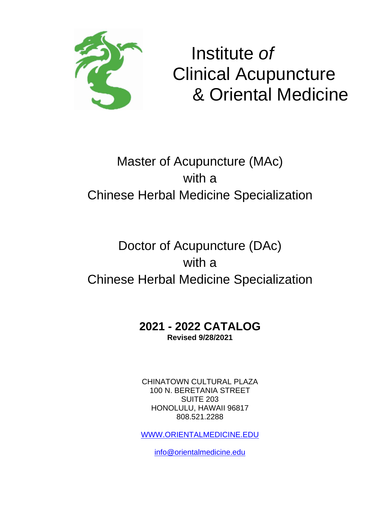

# Institute *of* Clinical Acupuncture & Oriental Medicine

# Master of Acupuncture (MAc) with a Chinese Herbal Medicine Specialization

# Doctor of Acupuncture (DAc) with a Chinese Herbal Medicine Specialization

# **2021 - 2022 CATALOG Revised 9/28/2021**

CHINATOWN CULTURAL PLAZA 100 N. BERETANIA STREET SUITE 203 HONOLULU, HAWAII 96817 808.521.2288

[WWW.ORIENTALMEDICINE.EDU](http://www.orientalmedicine.edu/)

[info@orientalmedicine.edu](mailto:info@orientalmedicine.edu)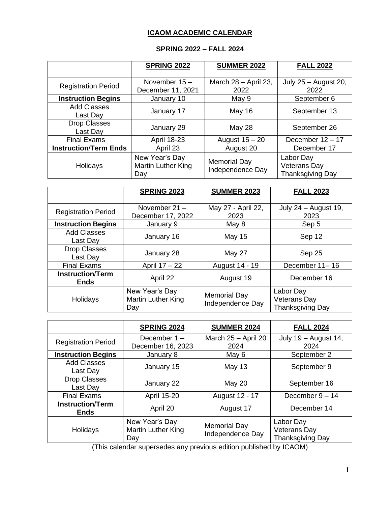# **ICAOM ACADEMIC CALENDAR**

# **SPRING 2022 – FALL 2024**

|                                 | <b>SPRING 2022</b>                          | <b>SUMMER 2022</b>                      | <b>FALL 2022</b>                                     |
|---------------------------------|---------------------------------------------|-----------------------------------------|------------------------------------------------------|
| <b>Registration Period</b>      | November $15 -$<br>December 11, 2021        | March 28 - April 23,<br>2022            | July 25 - August 20,<br>2022                         |
| <b>Instruction Begins</b>       | January 10                                  | May 9                                   | September 6                                          |
| <b>Add Classes</b><br>Last Day  | January 17                                  | <b>May 16</b>                           | September 13                                         |
| <b>Drop Classes</b><br>Last Day | January 29                                  | May 28                                  | September 26                                         |
| <b>Final Exams</b>              | <b>April 18-23</b>                          | August $15 - 20$                        | December $12 - 17$                                   |
| <b>Instruction/Term Ends</b>    | April 23                                    | August 20                               | December 17                                          |
| Holidays                        | New Year's Day<br>Martin Luther King<br>Day | <b>Memorial Day</b><br>Independence Day | Labor Day<br>Veterans Day<br><b>Thanksgiving Day</b> |

|                                        | <b>SPRING 2023</b>                          | <b>SUMMER 2023</b>                      | <b>FALL 2023</b>                                            |
|----------------------------------------|---------------------------------------------|-----------------------------------------|-------------------------------------------------------------|
| <b>Registration Period</b>             | November $21 -$<br>December 17, 2022        | May 27 - April 22,<br>2023              | July 24 - August 19,<br>2023                                |
| <b>Instruction Begins</b>              | January 9                                   | May 8                                   | Sep 5                                                       |
| <b>Add Classes</b><br>Last Day         | January 16                                  | <b>May 15</b>                           | Sep 12                                                      |
| <b>Drop Classes</b><br>Last Day        | January 28                                  | May 27                                  | Sep 25                                                      |
| <b>Final Exams</b>                     | April 17 - 22                               | August 14 - 19                          | December 11-16                                              |
| <b>Instruction/Term</b><br><b>Ends</b> | April 22                                    | August 19                               | December 16                                                 |
| Holidays                               | New Year's Day<br>Martin Luther King<br>Day | <b>Memorial Day</b><br>Independence Day | Labor Day<br><b>Veterans Day</b><br><b>Thanksgiving Day</b> |

|                                        | <b>SPRING 2024</b>                                 | <b>SUMMER 2024</b>                      | <b>FALL 2024</b>                                     |
|----------------------------------------|----------------------------------------------------|-----------------------------------------|------------------------------------------------------|
| <b>Registration Period</b>             | December 1-<br>December 16, 2023                   | March 25 - April 20<br>2024             | July 19 - August 14,<br>2024                         |
| <b>Instruction Begins</b>              | January 8                                          | May 6                                   | September 2                                          |
| <b>Add Classes</b><br>Last Day         | January 15                                         | <b>May 13</b>                           | September 9                                          |
| <b>Drop Classes</b><br>Last Day        | January 22                                         | <b>May 20</b>                           | September 16                                         |
| <b>Final Exams</b>                     | <b>April 15-20</b>                                 | August 12 - 17                          | December $9 - 14$                                    |
| <b>Instruction/Term</b><br><b>Ends</b> | April 20                                           | August 17                               | December 14                                          |
| Holidays                               | New Year's Day<br><b>Martin Luther King</b><br>Day | <b>Memorial Day</b><br>Independence Day | Labor Day<br><b>Veterans Day</b><br>Thanksgiving Day |

(This calendar supersedes any previous edition published by ICAOM)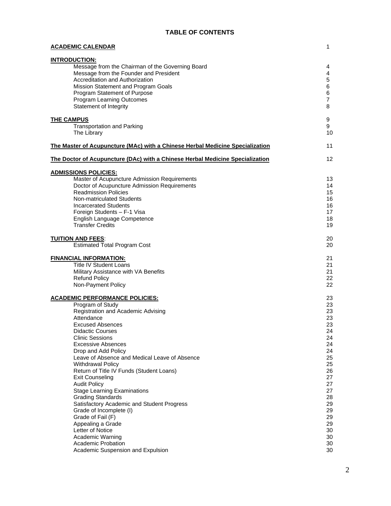## **TABLE OF CONTENTS**

| <b>ACADEMIC CALENDAR</b>                                                                                                                                                                                                                                                                                                                                                                                                                                                                                                                                                                                                                                                                                            | $\mathbf{1}$                                                                                                                                 |
|---------------------------------------------------------------------------------------------------------------------------------------------------------------------------------------------------------------------------------------------------------------------------------------------------------------------------------------------------------------------------------------------------------------------------------------------------------------------------------------------------------------------------------------------------------------------------------------------------------------------------------------------------------------------------------------------------------------------|----------------------------------------------------------------------------------------------------------------------------------------------|
| <b>INTRODUCTION:</b><br>Message from the Chairman of the Governing Board<br>Message from the Founder and President<br>Accreditation and Authorization<br>Mission Statement and Program Goals<br>Program Statement of Purpose<br>Program Learning Outcomes<br>Statement of Integrity                                                                                                                                                                                                                                                                                                                                                                                                                                 | 4<br>4<br>5<br>6<br>6<br>$\overline{7}$<br>8                                                                                                 |
| <b>THE CAMPUS</b><br><b>Transportation and Parking</b><br>The Library                                                                                                                                                                                                                                                                                                                                                                                                                                                                                                                                                                                                                                               | 9<br>9<br>10                                                                                                                                 |
| The Master of Acupuncture (MAc) with a Chinese Herbal Medicine Specialization                                                                                                                                                                                                                                                                                                                                                                                                                                                                                                                                                                                                                                       | 11                                                                                                                                           |
| The Doctor of Acupuncture (DAc) with a Chinese Herbal Medicine Specialization                                                                                                                                                                                                                                                                                                                                                                                                                                                                                                                                                                                                                                       | 12                                                                                                                                           |
| <b>ADMISSIONS POLICIES:</b><br>Master of Acupuncture Admission Requirements<br>Doctor of Acupuncture Admission Requirements<br><b>Readmission Policies</b><br>Non-matriculated Students<br><b>Incarcerated Students</b><br>Foreign Students - F-1 Visa<br>English Language Competence<br><b>Transfer Credits</b>                                                                                                                                                                                                                                                                                                                                                                                                    | 13<br>14<br>15<br>16<br>16<br>17<br>18<br>19                                                                                                 |
| <b>TUITION AND FEES:</b><br><b>Estimated Total Program Cost</b>                                                                                                                                                                                                                                                                                                                                                                                                                                                                                                                                                                                                                                                     | 20<br>20                                                                                                                                     |
| <b>FINANCIAL INFORMATION:</b><br><b>Title IV Student Loans</b><br>Military Assistance with VA Benefits<br><b>Refund Policy</b><br>Non-Payment Policy                                                                                                                                                                                                                                                                                                                                                                                                                                                                                                                                                                | 21<br>21<br>21<br>22<br>22                                                                                                                   |
| <b>ACADEMIC PERFORMANCE POLICIES:</b><br>Program of Study<br>Registration and Academic Advising<br>Attendance<br><b>Excused Absences</b><br><b>Didactic Courses</b><br><b>Clinic Sessions</b><br><b>Excessive Absences</b><br>Drop and Add Policy<br>Leave of Absence and Medical Leave of Absence<br><b>Withdrawal Policy</b><br>Return of Title IV Funds (Student Loans)<br><b>Exit Counseling</b><br><b>Audit Policy</b><br><b>Stage Learning Examinations</b><br><b>Grading Standards</b><br>Satisfactory Academic and Student Progress<br>Grade of Incomplete (I)<br>Grade of Fail (F)<br>Appealing a Grade<br>Letter of Notice<br>Academic Warning<br>Academic Probation<br>Academic Suspension and Expulsion | 23<br>23<br>23<br>23<br>23<br>24<br>24<br>24<br>24<br>25<br>25<br>26<br>27<br>27<br>27<br>28<br>29<br>29<br>29<br>29<br>30<br>30<br>30<br>30 |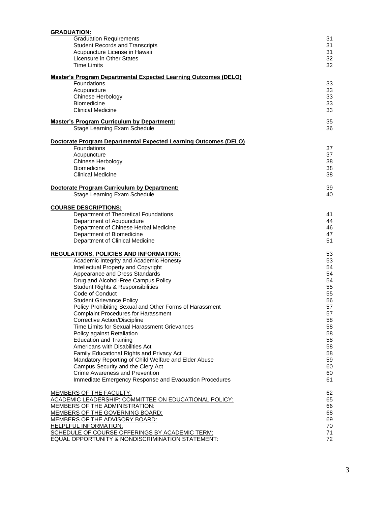| <b>GRADUATION:</b>                                                                                            |          |
|---------------------------------------------------------------------------------------------------------------|----------|
| <b>Graduation Requirements</b>                                                                                | 31       |
| <b>Student Records and Transcripts</b>                                                                        | 31       |
| Acupuncture License in Hawaii                                                                                 | 31       |
| Licensure in Other States                                                                                     | 32       |
| Time Limits                                                                                                   | 32       |
| <b>Master's Program Departmental Expected Learning Outcomes (DELO)</b>                                        |          |
| Foundations                                                                                                   | 33       |
| Acupuncture                                                                                                   | 33       |
| Chinese Herbology                                                                                             | 33       |
| <b>Biomedicine</b>                                                                                            | 33       |
| <b>Clinical Medicine</b>                                                                                      | 33       |
|                                                                                                               |          |
| <b>Master's Program Curriculum by Department:</b>                                                             | 35       |
| Stage Learning Exam Schedule                                                                                  | 36       |
| <b>Doctorate Program Departmental Expected Learning Outcomes (DELO)</b>                                       |          |
| Foundations                                                                                                   | 37       |
| Acupuncture                                                                                                   | 37       |
| Chinese Herbology                                                                                             | 38       |
| <b>Biomedicine</b>                                                                                            | 38       |
| Clinical Medicine                                                                                             | 38       |
|                                                                                                               |          |
| <b>Doctorate Program Curriculum by Department:</b>                                                            | 39       |
| Stage Learning Exam Schedule                                                                                  | 40       |
|                                                                                                               |          |
| <b>COURSE DESCRIPTIONS:</b>                                                                                   |          |
| Department of Theoretical Foundations                                                                         | 41       |
| Department of Acupuncture                                                                                     | 44<br>46 |
| Department of Chinese Herbal Medicine                                                                         | 47       |
| Department of Biomedicine<br>Department of Clinical Medicine                                                  | 51       |
|                                                                                                               |          |
| <b>REGULATIONS, POLICIES AND INFORMATION:</b>                                                                 | 53       |
| Academic Integrity and Academic Honesty                                                                       | 53       |
| Intellectual Property and Copyright                                                                           | 54       |
| Appearance and Dress Standards                                                                                | 54       |
| Drug and Alcohol-Free Campus Policy                                                                           | 54       |
| Student Rights & Responsibilities                                                                             | 55       |
| Code of Conduct                                                                                               | 55       |
| <b>Student Grievance Policy</b>                                                                               | 56       |
| Policy Prohibiting Sexual and Other Forms of Harassment                                                       | 57       |
| <b>Complaint Procedures for Harassment</b>                                                                    | 57       |
| Corrective Action/Discipline                                                                                  | 58       |
| Time Limits for Sexual Harassment Grievances                                                                  | 58       |
| Policy against Retaliation                                                                                    | 58       |
| <b>Education and Training</b>                                                                                 | 58       |
| Americans with Disabilities Act                                                                               | 58       |
| Family Educational Rights and Privacy Act                                                                     | 58       |
| Mandatory Reporting of Child Welfare and Elder Abuse                                                          | 59       |
| Campus Security and the Clery Act                                                                             | 60       |
| Crime Awareness and Prevention                                                                                | 60       |
| Immediate Emergency Response and Evacuation Procedures                                                        | 61       |
|                                                                                                               |          |
| MEMBERS OF THE FACULTY:                                                                                       | 62       |
| <u>ACADEMIC LEADERSHIP: COMMITTEE ON EDUCATIONAL POLICY:</u>                                                  | 65       |
| <b>MEMBERS OF THE ADMINISTRATION:</b>                                                                         | 66       |
| MEMBERS OF THE GOVERNING BOARD:                                                                               | 68       |
| MEMBERS OF THE ADVISORY BOARD:                                                                                | 69       |
| <b>HELPLFUL INFORMATION:</b>                                                                                  | 70       |
| SCHEDULE OF COURSE OFFERINGS BY ACADEMIC TERM:<br><b>EQUAL OPPORTUNITY &amp; NONDISCRIMINATION STATEMENT:</b> | 71<br>72 |
|                                                                                                               |          |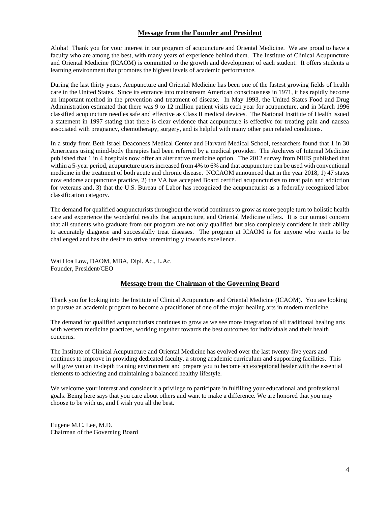#### **Message from the Founder and President**

Aloha! Thank you for your interest in our program of acupuncture and Oriental Medicine. We are proud to have a faculty who are among the best, with many years of experience behind them. The Institute of Clinical Acupuncture and Oriental Medicine (ICAOM) is committed to the growth and development of each student. It offers students a learning environment that promotes the highest levels of academic performance.

During the last thirty years, Acupuncture and Oriental Medicine has been one of the fastest growing fields of health care in the United States. Since its entrance into mainstream American consciousness in 1971, it has rapidly become an important method in the prevention and treatment of disease. In May 1993, the United States Food and Drug Administration estimated that there was 9 to 12 million patient visits each year for acupuncture, and in March 1996 classified acupuncture needles safe and effective as Class II medical devices. The National Institute of Health issued a statement in 1997 stating that there is clear evidence that acupuncture is effective for treating pain and nausea associated with pregnancy, chemotherapy, surgery, and is helpful with many other pain related conditions.

In a study from Beth Israel Deaconess Medical Center and Harvard Medical School, researchers found that 1 in 30 Americans using mind-body therapies had been referred by a medical provider. The Archives of Internal Medicine published that 1 in 4 hospitals now offer an alternative medicine option. The 2012 survey from NHIS published that within a 5-year period, acupuncture users increased from 4% to 6% and that acupuncture can be used with conventional medicine in the treatment of both acute and chronic disease. NCCAOM announced that in the year 2018, 1) 47 states now endorse acupuncture practice, 2) the VA has accepted Board certified acupuncturists to treat pain and addiction for veterans and, 3) that the U.S. Bureau of Labor has recognized the acupuncturist as a federally recognized labor classification category.

The demand for qualified acupuncturists throughout the world continues to grow as more people turn to holistic health care and experience the wonderful results that acupuncture, and Oriental Medicine offers. It is our utmost concern that all students who graduate from our program are not only qualified but also completely confident in their ability to accurately diagnose and successfully treat diseases. The program at ICAOM is for anyone who wants to be challenged and has the desire to strive unremittingly towards excellence.

Wai Hoa Low, DAOM, MBA, Dipl. Ac., L.Ac. Founder, President/CEO

#### **Message from the Chairman of the Governing Board**

Thank you for looking into the Institute of Clinical Acupuncture and Oriental Medicine (ICAOM). You are looking to pursue an academic program to become a practitioner of one of the major healing arts in modern medicine.

The demand for qualified acupuncturists continues to grow as we see more integration of all traditional healing arts with western medicine practices, working together towards the best outcomes for individuals and their health concerns.

The Institute of Clinical Acupuncture and Oriental Medicine has evolved over the last twenty-five years and continues to improve in providing dedicated faculty, a strong academic curriculum and supporting facilities. This will give you an in-depth training environment and prepare you to become an exceptional healer with the essential elements to achieving and maintaining a balanced healthy lifestyle.

We welcome your interest and consider it a privilege to participate in fulfilling your educational and professional goals. Being here says that you care about others and want to make a difference. We are honored that you may choose to be with us, and I wish you all the best.

Eugene M.C. Lee, M.D. Chairman of the Governing Board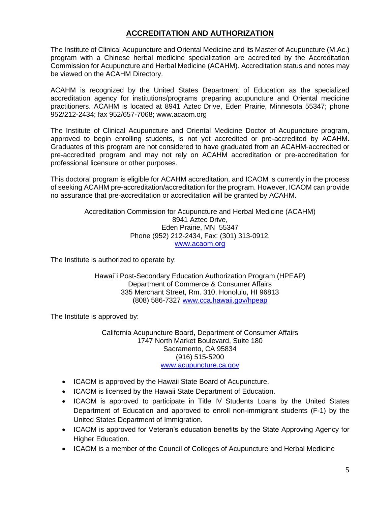# **ACCREDITATION AND AUTHORIZATION**

The Institute of Clinical Acupuncture and Oriental Medicine and its Master of Acupuncture (M.Ac.) program with a Chinese herbal medicine specialization are accredited by the Accreditation Commission for Acupuncture and Herbal Medicine (ACAHM). Accreditation status and notes may be viewed on the ACAHM Directory.

ACAHM is recognized by the United States Department of Education as the specialized accreditation agency for institutions/programs preparing acupuncture and Oriental medicine practitioners. ACAHM is located at 8941 Aztec Drive, Eden Prairie, Minnesota 55347; phone 952/212-2434; fax 952/657-7068; www.acaom.org

The Institute of Clinical Acupuncture and Oriental Medicine Doctor of Acupuncture program, approved to begin enrolling students, is not yet accredited or pre-accredited by ACAHM. Graduates of this program are not considered to have graduated from an ACAHM-accredited or pre-accredited program and may not rely on ACAHM accreditation or pre-accreditation for professional licensure or other purposes.

This doctoral program is eligible for ACAHM accreditation, and ICAOM is currently in the process of seeking ACAHM pre-accreditation/accreditation for the program. However, ICAOM can provide no assurance that pre-accreditation or accreditation will be granted by ACAHM.

> Accreditation Commission for Acupuncture and Herbal Medicine (ACAHM) 8941 Aztec Drive, Eden Prairie, MN 55347 Phone (952) 212-2434, Fax: (301) 313-0912. [www.acaom.org](http://www.acaom.org/)

The Institute is authorized to operate by:

Hawai`i Post-Secondary Education Authorization Program (HPEAP) Department of Commerce & Consumer Affairs 335 Merchant Street, Rm. 310, Honolulu, HI 96813 (808) 586-7327 [www.cca.hawaii.gov/hpeap](http://www.cca.hawaii.gov/hpeap)

The Institute is approved by:

California Acupuncture Board, Department of Consumer Affairs 1747 North Market Boulevard, Suite 180 Sacramento, CA 95834 (916) 515-5200 [www.acupuncture.ca.gov](http://www.acupuncture.ca.gov/)

- ICAOM is approved by the Hawaii State Board of Acupuncture.
- ICAOM is licensed by the Hawaii State Department of Education.
- ICAOM is approved to participate in Title IV Students Loans by the United States Department of Education and approved to enroll non-immigrant students (F-1) by the United States Department of Immigration.
- ICAOM is approved for Veteran's education benefits by the State Approving Agency for Higher Education.
- ICAOM is a member of the Council of Colleges of Acupuncture and Herbal Medicine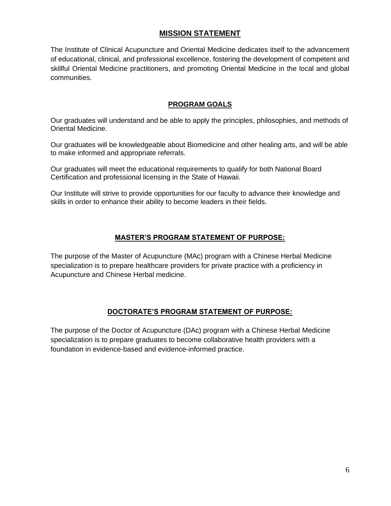# **MISSION STATEMENT**

The Institute of Clinical Acupuncture and Oriental Medicine dedicates itself to the advancement of educational, clinical, and professional excellence, fostering the development of competent and skillful Oriental Medicine practitioners, and promoting Oriental Medicine in the local and global communities.

## **PROGRAM GOALS**

Our graduates will understand and be able to apply the principles, philosophies, and methods of Oriental Medicine.

Our graduates will be knowledgeable about Biomedicine and other healing arts, and will be able to make informed and appropriate referrals.

Our graduates will meet the educational requirements to qualify for both National Board Certification and professional licensing in the State of Hawaii.

Our Institute will strive to provide opportunities for our faculty to advance their knowledge and skills in order to enhance their ability to become leaders in their fields.

## **MASTER'S PROGRAM STATEMENT OF PURPOSE:**

The purpose of the Master of Acupuncture (MAc) program with a Chinese Herbal Medicine specialization is to prepare healthcare providers for private practice with a proficiency in Acupuncture and Chinese Herbal medicine.

## **DOCTORATE'S PROGRAM STATEMENT OF PURPOSE:**

The purpose of the Doctor of Acupuncture (DAc) program with a Chinese Herbal Medicine specialization is to prepare graduates to become collaborative health providers with a foundation in evidence-based and evidence-informed practice.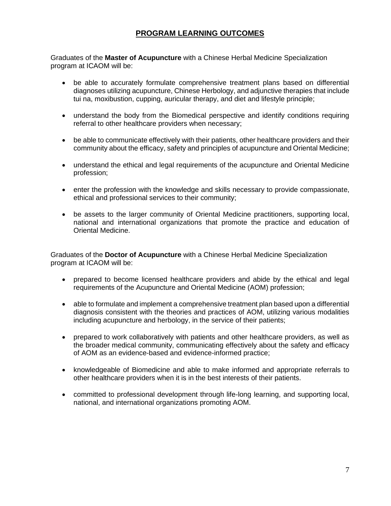# **PROGRAM LEARNING OUTCOMES**

Graduates of the **Master of Acupuncture** with a Chinese Herbal Medicine Specialization program at ICAOM will be:

- be able to accurately formulate comprehensive treatment plans based on differential diagnoses utilizing acupuncture, Chinese Herbology, and adjunctive therapies that include tui na, moxibustion, cupping, auricular therapy, and diet and lifestyle principle;
- understand the body from the Biomedical perspective and identify conditions requiring referral to other healthcare providers when necessary;
- be able to communicate effectively with their patients, other healthcare providers and their community about the efficacy, safety and principles of acupuncture and Oriental Medicine;
- understand the ethical and legal requirements of the acupuncture and Oriental Medicine profession;
- enter the profession with the knowledge and skills necessary to provide compassionate, ethical and professional services to their community;
- be assets to the larger community of Oriental Medicine practitioners, supporting local, national and international organizations that promote the practice and education of Oriental Medicine.

Graduates of the **Doctor of Acupuncture** with a Chinese Herbal Medicine Specialization program at ICAOM will be:

- prepared to become licensed healthcare providers and abide by the ethical and legal requirements of the Acupuncture and Oriental Medicine (AOM) profession;
- able to formulate and implement a comprehensive treatment plan based upon a differential diagnosis consistent with the theories and practices of AOM, utilizing various modalities including acupuncture and herbology, in the service of their patients;
- prepared to work collaboratively with patients and other healthcare providers, as well as the broader medical community, communicating effectively about the safety and efficacy of AOM as an evidence-based and evidence-informed practice;
- knowledgeable of Biomedicine and able to make informed and appropriate referrals to other healthcare providers when it is in the best interests of their patients.
- committed to professional development through life-long learning, and supporting local, national, and international organizations promoting AOM.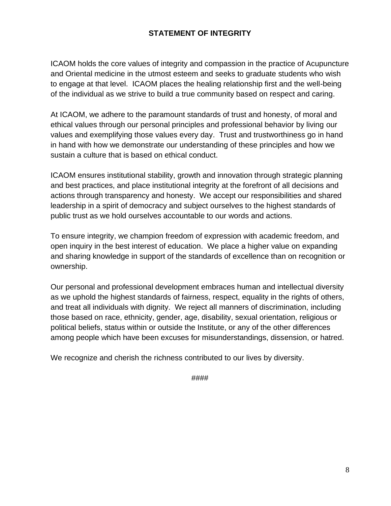# **STATEMENT OF INTEGRITY**

ICAOM holds the core values of integrity and compassion in the practice of Acupuncture and Oriental medicine in the utmost esteem and seeks to graduate students who wish to engage at that level. ICAOM places the healing relationship first and the well-being of the individual as we strive to build a true community based on respect and caring.

At ICAOM, we adhere to the paramount standards of trust and honesty, of moral and ethical values through our personal principles and professional behavior by living our values and exemplifying those values every day. Trust and trustworthiness go in hand in hand with how we demonstrate our understanding of these principles and how we sustain a culture that is based on ethical conduct.

ICAOM ensures institutional stability, growth and innovation through strategic planning and best practices, and place institutional integrity at the forefront of all decisions and actions through transparency and honesty. We accept our responsibilities and shared leadership in a spirit of democracy and subject ourselves to the highest standards of public trust as we hold ourselves accountable to our words and actions.

To ensure integrity, we champion freedom of expression with academic freedom, and open inquiry in the best interest of education. We place a higher value on expanding and sharing knowledge in support of the standards of excellence than on recognition or ownership.

Our personal and professional development embraces human and intellectual diversity as we uphold the highest standards of fairness, respect, equality in the rights of others, and treat all individuals with dignity. We reject all manners of discrimination, including those based on race, ethnicity, gender, age, disability, sexual orientation, religious or political beliefs, status within or outside the Institute, or any of the other differences among people which have been excuses for misunderstandings, dissension, or hatred.

We recognize and cherish the richness contributed to our lives by diversity.

####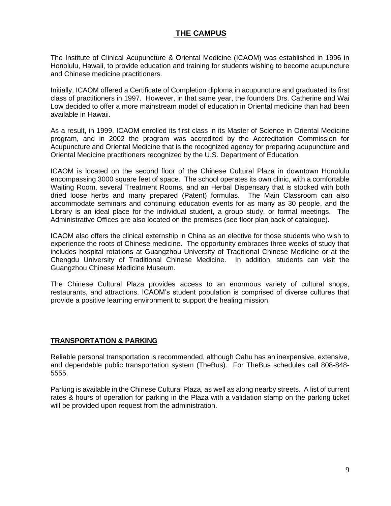# **THE CAMPUS**

The Institute of Clinical Acupuncture & Oriental Medicine (ICAOM) was established in 1996 in Honolulu, Hawaii, to provide education and training for students wishing to become acupuncture and Chinese medicine practitioners.

Initially, ICAOM offered a Certificate of Completion diploma in acupuncture and graduated its first class of practitioners in 1997. However, in that same year, the founders Drs. Catherine and Wai Low decided to offer a more mainstream model of education in Oriental medicine than had been available in Hawaii.

As a result, in 1999, ICAOM enrolled its first class in its Master of Science in Oriental Medicine program, and in 2002 the program was accredited by the Accreditation Commission for Acupuncture and Oriental Medicine that is the recognized agency for preparing acupuncture and Oriental Medicine practitioners recognized by the U.S. Department of Education.

ICAOM is located on the second floor of the Chinese Cultural Plaza in downtown Honolulu encompassing 3000 square feet of space. The school operates its own clinic, with a comfortable Waiting Room, several Treatment Rooms, and an Herbal Dispensary that is stocked with both dried loose herbs and many prepared (Patent) formulas. The Main Classroom can also accommodate seminars and continuing education events for as many as 30 people, and the Library is an ideal place for the individual student, a group study, or formal meetings. The Administrative Offices are also located on the premises (see floor plan back of catalogue).

ICAOM also offers the clinical externship in China as an elective for those students who wish to experience the roots of Chinese medicine. The opportunity embraces three weeks of study that includes hospital rotations at Guangzhou University of Traditional Chinese Medicine or at the Chengdu University of Traditional Chinese Medicine. In addition, students can visit the Guangzhou Chinese Medicine Museum.

The Chinese Cultural Plaza provides access to an enormous variety of cultural shops, restaurants, and attractions. ICAOM's student population is comprised of diverse cultures that provide a positive learning environment to support the healing mission.

#### **TRANSPORTATION & PARKING**

Reliable personal transportation is recommended, although Oahu has an inexpensive, extensive, and dependable public transportation system (TheBus). For TheBus schedules call 808-848- 5555.

Parking is available in the Chinese Cultural Plaza, as well as along nearby streets. A list of current rates & hours of operation for parking in the Plaza with a validation stamp on the parking ticket will be provided upon request from the administration.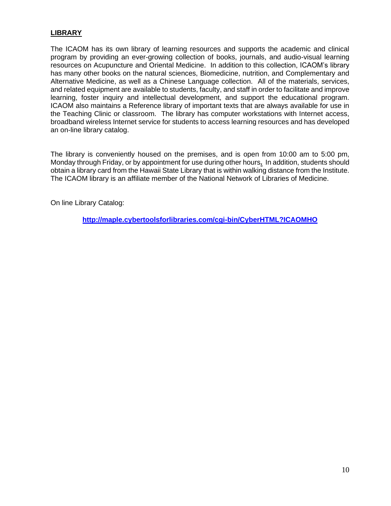## **LIBRARY**

The ICAOM has its own library of learning resources and supports the academic and clinical program by providing an ever-growing collection of books, journals, and audio-visual learning resources on Acupuncture and Oriental Medicine. In addition to this collection, ICAOM's library has many other books on the natural sciences, Biomedicine, nutrition, and Complementary and Alternative Medicine, as well as a Chinese Language collection. All of the materials, services, and related equipment are available to students, faculty, and staff in order to facilitate and improve learning, foster inquiry and intellectual development, and support the educational program. ICAOM also maintains a Reference library of important texts that are always available for use in the Teaching Clinic or classroom. The library has computer workstations with Internet access, broadband wireless Internet service for students to access learning resources and has developed an on-line library catalog.

The library is conveniently housed on the premises, and is open from 10:00 am to 5:00 pm, Monday through Friday, or by appointment for use during other hours**.** In addition, students should obtain a library card from the Hawaii State Library that is within walking distance from the Institute. The ICAOM library is an affiliate member of the National Network of Libraries of Medicine.

On line Library Catalog:

**<http://maple.cybertoolsforlibraries.com/cgi-bin/CyberHTML?ICAOMHO>**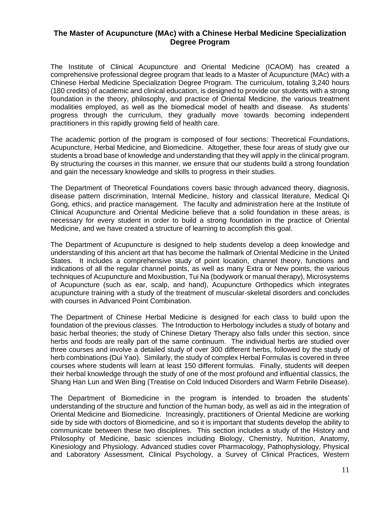## **The Master of Acupuncture (MAc) with a Chinese Herbal Medicine Specialization Degree Program**

The Institute of Clinical Acupuncture and Oriental Medicine (ICAOM) has created a comprehensive professional degree program that leads to a Master of Acupuncture (MAc) with a Chinese Herbal Medicine Specialization Degree Program. The curriculum, totaling 3,240 hours (180 credits) of academic and clinical education, is designed to provide our students with a strong foundation in the theory, philosophy, and practice of Oriental Medicine, the various treatment modalities employed, as well as the biomedical model of health and disease. As students' progress through the curriculum, they gradually move towards becoming independent practitioners in this rapidly growing field of health care.

The academic portion of the program is composed of four sections: Theoretical Foundations, Acupuncture, Herbal Medicine, and Biomedicine. Altogether, these four areas of study give our students a broad base of knowledge and understanding that they will apply in the clinical program. By structuring the courses in this manner, we ensure that our students build a strong foundation and gain the necessary knowledge and skills to progress in their studies.

The Department of Theoretical Foundations covers basic through advanced theory, diagnosis, disease pattern discrimination, Internal Medicine, history and classical literature, Medical Qi Gong, ethics, and practice management. The faculty and administration here at the Institute of Clinical Acupuncture and Oriental Medicine believe that a solid foundation in these areas, is necessary for every student in order to build a strong foundation in the practice of Oriental Medicine, and we have created a structure of learning to accomplish this goal.

The Department of Acupuncture is designed to help students develop a deep knowledge and understanding of this ancient art that has become the hallmark of Oriental Medicine in the United States. It includes a comprehensive study of point location, channel theory, functions and indications of all the regular channel points, as well as many Extra or New points, the various techniques of Acupuncture and Moxibustion, Tui Na (bodywork or manual therapy), Microsystems of Acupuncture (such as ear, scalp, and hand), Acupuncture Orthopedics which integrates acupuncture training with a study of the treatment of muscular-skeletal disorders and concludes with courses in Advanced Point Combination.

The Department of Chinese Herbal Medicine is designed for each class to build upon the foundation of the previous classes. The Introduction to Herbology includes a study of botany and basic herbal theories; the study of Chinese Dietary Therapy also falls under this section, since herbs and foods are really part of the same continuum. The individual herbs are studied over three courses and involve a detailed study of over 300 different herbs, followed by the study of herb combinations (Dui Yao). Similarly, the study of complex Herbal Formulas is covered in three courses where students will learn at least 150 different formulas. Finally, students will deepen their herbal knowledge through the study of one of the most profound and influential classics, the Shang Han Lun and Wen Bing (Treatise on Cold Induced Disorders and Warm Febrile Disease).

The Department of Biomedicine in the program is intended to broaden the students' understanding of the structure and function of the human body, as well as aid in the integration of Oriental Medicine and Biomedicine. Increasingly, practitioners of Oriental Medicine are working side by side with doctors of Biomedicine, and so it is important that students develop the ability to communicate between these two disciplines. This section includes a study of the History and Philosophy of Medicine, basic sciences including Biology, Chemistry, Nutrition, Anatomy, Kinesiology and Physiology. Advanced studies cover Pharmacology, Pathophysiology, Physical and Laboratory Assessment, Clinical Psychology, a Survey of Clinical Practices, Western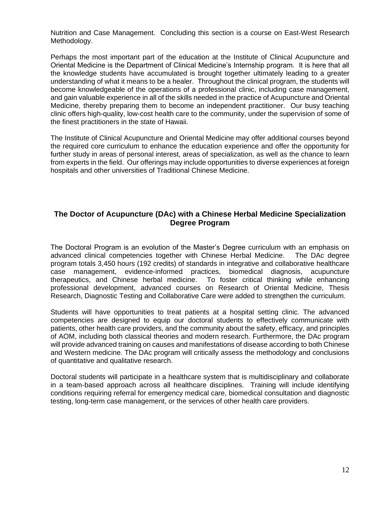Nutrition and Case Management. Concluding this section is a course on East-West Research Methodology.

Perhaps the most important part of the education at the Institute of Clinical Acupuncture and Oriental Medicine is the Department of Clinical Medicine's Internship program. It is here that all the knowledge students have accumulated is brought together ultimately leading to a greater understanding of what it means to be a healer. Throughout the clinical program, the students will become knowledgeable of the operations of a professional clinic, including case management, and gain valuable experience in all of the skills needed in the practice of Acupuncture and Oriental Medicine, thereby preparing them to become an independent practitioner. Our busy teaching clinic offers high-quality, low-cost health care to the community, under the supervision of some of the finest practitioners in the state of Hawaii.

The Institute of Clinical Acupuncture and Oriental Medicine may offer additional courses beyond the required core curriculum to enhance the education experience and offer the opportunity for further study in areas of personal interest, areas of specialization, as well as the chance to learn from experts in the field. Our offerings may include opportunities to diverse experiences at foreign hospitals and other universities of Traditional Chinese Medicine.

## **The Doctor of Acupuncture (DAc) with a Chinese Herbal Medicine Specialization Degree Program**

The Doctoral Program is an evolution of the Master's Degree curriculum with an emphasis on advanced clinical competencies together with Chinese Herbal Medicine. The DAc degree program totals 3,450 hours (192 credits) of standards in integrative and collaborative healthcare case management, evidence-informed practices, biomedical diagnosis, acupuncture therapeutics, and Chinese herbal medicine. To foster critical thinking while enhancing professional development, advanced courses on Research of Oriental Medicine, Thesis Research, Diagnostic Testing and Collaborative Care were added to strengthen the curriculum.

Students will have opportunities to treat patients at a hospital setting clinic. The advanced competencies are designed to equip our doctoral students to effectively communicate with patients, other health care providers, and the community about the safety, efficacy, and principles of AOM, including both classical theories and modern research. Furthermore, the DAc program will provide advanced training on causes and manifestations of disease according to both Chinese and Western medicine. The DAc program will critically assess the methodology and conclusions of quantitative and qualitative research.

Doctoral students will participate in a healthcare system that is multidisciplinary and collaborate in a team-based approach across all healthcare disciplines. Training will include identifying conditions requiring referral for emergency medical care, biomedical consultation and diagnostic testing, long-term case management, or the services of other health care providers.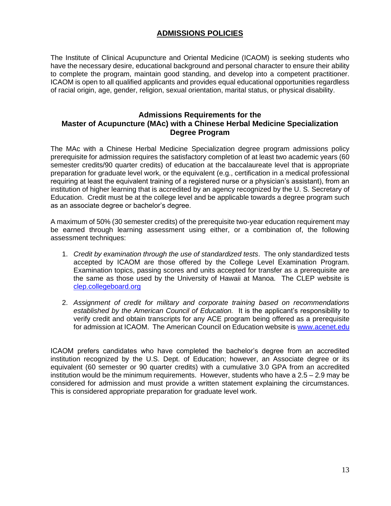# **ADMISSIONS POLICIES**

The Institute of Clinical Acupuncture and Oriental Medicine (ICAOM) is seeking students who have the necessary desire, educational background and personal character to ensure their ability to complete the program, maintain good standing, and develop into a competent practitioner. ICAOM is open to all qualified applicants and provides equal educational opportunities regardless of racial origin, age, gender, religion, sexual orientation, marital status, or physical disability.

#### **Admissions Requirements for the Master of Acupuncture (MAc) with a Chinese Herbal Medicine Specialization Degree Program**

The MAc with a Chinese Herbal Medicine Specialization degree program admissions policy prerequisite for admission requires the satisfactory completion of at least two academic years (60 semester credits/90 quarter credits) of education at the baccalaureate level that is appropriate preparation for graduate level work, or the equivalent (e.g., certification in a medical professional requiring at least the equivalent training of a registered nurse or a physician's assistant), from an institution of higher learning that is accredited by an agency recognized by the U. S. Secretary of Education. Credit must be at the college level and be applicable towards a degree program such as an associate degree or bachelor's degree.

A maximum of 50% (30 semester credits) of the prerequisite two-year education requirement may be earned through learning assessment using either, or a combination of, the following assessment techniques:

- 1. *Credit by examination through the use of standardized tests*. The only standardized tests accepted by ICAOM are those offered by the College Level Examination Program. Examination topics, passing scores and units accepted for transfer as a prerequisite are the same as those used by the University of Hawaii at Manoa. The CLEP website is [clep.collegeboard.org](mailto:clep@collegeboard.org)
- 2. *Assignment of credit for military and corporate training based on recommendations established by the American Council of Education.* It is the applicant's responsibility to verify credit and obtain transcripts for any ACE program being offered as a prerequisite for admission at ICAOM. The American Council on Education website is [www.acenet.edu](http://www.acenet.edu/)

ICAOM prefers candidates who have completed the bachelor's degree from an accredited institution recognized by the U.S. Dept. of Education; however, an Associate degree or its equivalent (60 semester or 90 quarter credits) with a cumulative 3.0 GPA from an accredited institution would be the minimum requirements. However, students who have a 2.5 – 2.9 may be considered for admission and must provide a written statement explaining the circumstances. This is considered appropriate preparation for graduate level work.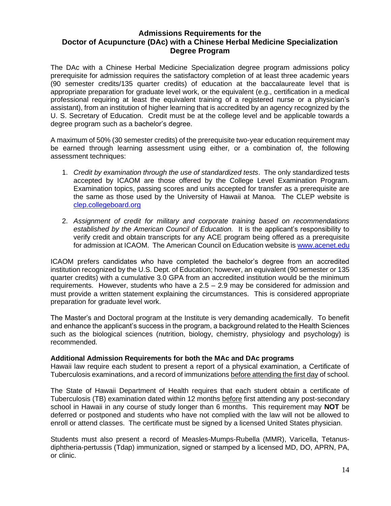## **Admissions Requirements for the Doctor of Acupuncture (DAc) with a Chinese Herbal Medicine Specialization Degree Program**

The DAc with a Chinese Herbal Medicine Specialization degree program admissions policy prerequisite for admission requires the satisfactory completion of at least three academic years (90 semester credits/135 quarter credits) of education at the baccalaureate level that is appropriate preparation for graduate level work, or the equivalent (e.g., certification in a medical professional requiring at least the equivalent training of a registered nurse or a physician's assistant), from an institution of higher learning that is accredited by an agency recognized by the U. S. Secretary of Education. Credit must be at the college level and be applicable towards a degree program such as a bachelor's degree.

A maximum of 50% (30 semester credits) of the prerequisite two-year education requirement may be earned through learning assessment using either, or a combination of, the following assessment techniques:

- 1. *Credit by examination through the use of standardized tests*. The only standardized tests accepted by ICAOM are those offered by the College Level Examination Program. Examination topics, passing scores and units accepted for transfer as a prerequisite are the same as those used by the University of Hawaii at Manoa. The CLEP website is [clep.collegeboard.org](mailto:clep@collegeboard.org)
- 2. *Assignment of credit for military and corporate training based on recommendations established by the American Council of Education.* It is the applicant's responsibility to verify credit and obtain transcripts for any ACE program being offered as a prerequisite for admission at ICAOM. The American Council on Education website is [www.acenet.edu](http://www.acenet.edu/)

ICAOM prefers candidates who have completed the bachelor's degree from an accredited institution recognized by the U.S. Dept. of Education; however, an equivalent (90 semester or 135 quarter credits) with a cumulative 3.0 GPA from an accredited institution would be the minimum requirements. However, students who have a  $2.5 - 2.9$  may be considered for admission and must provide a written statement explaining the circumstances. This is considered appropriate preparation for graduate level work.

The Master's and Doctoral program at the Institute is very demanding academically. To benefit and enhance the applicant's success in the program, a background related to the Health Sciences such as the biological sciences (nutrition, biology, chemistry, physiology and psychology) is recommended.

#### **Additional Admission Requirements for both the MAc and DAc programs**

Hawaii law require each student to present a report of a physical examination, a Certificate of Tuberculosis examinations, and a record of immunizations before attending the first day of school.

The State of Hawaii Department of Health requires that each student obtain a certificate of Tuberculosis (TB) examination dated within 12 months before first attending any post-secondary school in Hawaii in any course of study longer than 6 months. This requirement may **NOT** be deferred or postponed and students who have not complied with the law will not be allowed to enroll or attend classes. The certificate must be signed by a licensed United States physician.

Students must also present a record of Measles-Mumps-Rubella (MMR), Varicella, Tetanusdiphtheria-pertussis (Tdap) immunization, signed or stamped by a licensed MD, DO, APRN, PA, or clinic.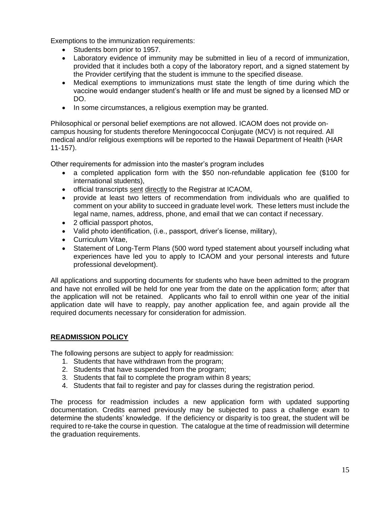Exemptions to the immunization requirements:

- Students born prior to 1957.
- Laboratory evidence of immunity may be submitted in lieu of a record of immunization, provided that it includes both a copy of the laboratory report, and a signed statement by the Provider certifying that the student is immune to the specified disease.
- Medical exemptions to immunizations must state the length of time during which the vaccine would endanger student's health or life and must be signed by a licensed MD or DO.
- In some circumstances, a religious exemption may be granted.

Philosophical or personal belief exemptions are not allowed. ICAOM does not provide oncampus housing for students therefore Meningococcal Conjugate (MCV) is not required. All medical and/or religious exemptions will be reported to the Hawaii Department of Health (HAR 11-157).

Other requirements for admission into the master's program includes

- a completed application form with the \$50 non-refundable application fee (\$100 for international students),
- official transcripts sent directly to the Registrar at ICAOM,
- provide at least two letters of recommendation from individuals who are qualified to comment on your ability to succeed in graduate level work. These letters must include the legal name, names, address, phone, and email that we can contact if necessary.
- 2 official passport photos,
- Valid photo identification, (i.e., passport, driver's license, military),
- Curriculum Vitae,
- Statement of Long-Term Plans (500 word typed statement about yourself including what experiences have led you to apply to ICAOM and your personal interests and future professional development).

All applications and supporting documents for students who have been admitted to the program and have not enrolled will be held for one year from the date on the application form; after that the application will not be retained. Applicants who fail to enroll within one year of the initial application date will have to reapply, pay another application fee, and again provide all the required documents necessary for consideration for admission.

## **READMISSION POLICY**

The following persons are subject to apply for readmission:

- 1. Students that have withdrawn from the program;
- 2. Students that have suspended from the program;
- 3. Students that fail to complete the program within 8 years;
- 4. Students that fail to register and pay for classes during the registration period.

The process for readmission includes a new application form with updated supporting documentation. Credits earned previously may be subjected to pass a challenge exam to determine the students' knowledge. If the deficiency or disparity is too great, the student will be required to re-take the course in question. The catalogue at the time of readmission will determine the graduation requirements.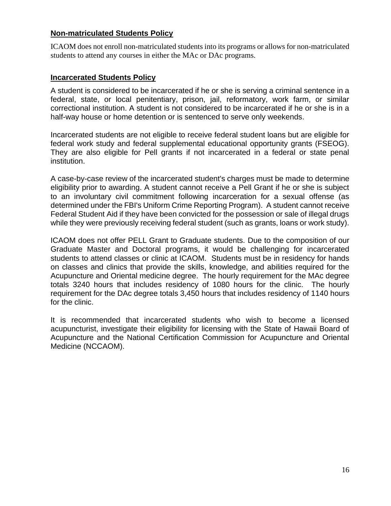# **Non-matriculated Students Policy**

ICAOM does not enroll non-matriculated students into its programs or allows for non-matriculated students to attend any courses in either the MAc or DAc programs.

## **Incarcerated Students Policy**

A student is considered to be incarcerated if he or she is serving a criminal sentence in a federal, state, or local penitentiary, prison, jail, reformatory, work farm, or similar correctional institution. A student is not considered to be incarcerated if he or she is in a half-way house or home detention or is sentenced to serve only weekends.

Incarcerated students are not eligible to receive federal student loans but are eligible for federal work study and federal supplemental educational opportunity grants (FSEOG). They are also eligible for Pell grants if not incarcerated in a federal or state penal institution.

A case-by-case review of the incarcerated student's charges must be made to determine eligibility prior to awarding. A student cannot receive a Pell Grant if he or she is subject to an involuntary civil commitment following incarceration for a sexual offense (as determined under the FBI's Uniform Crime Reporting Program). A student cannot receive Federal Student Aid if they have been convicted for the possession or sale of illegal drugs while they were previously receiving federal student (such as grants, loans or work study).

ICAOM does not offer PELL Grant to Graduate students. Due to the composition of our Graduate Master and Doctoral programs, it would be challenging for incarcerated students to attend classes or clinic at ICAOM. Students must be in residency for hands on classes and clinics that provide the skills, knowledge, and abilities required for the Acupuncture and Oriental medicine degree. The hourly requirement for the MAc degree totals 3240 hours that includes residency of 1080 hours for the clinic. The hourly requirement for the DAc degree totals 3,450 hours that includes residency of 1140 hours for the clinic.

It is recommended that incarcerated students who wish to become a licensed acupuncturist, investigate their eligibility for licensing with the State of Hawaii Board of Acupuncture and the National Certification Commission for Acupuncture and Oriental Medicine (NCCAOM).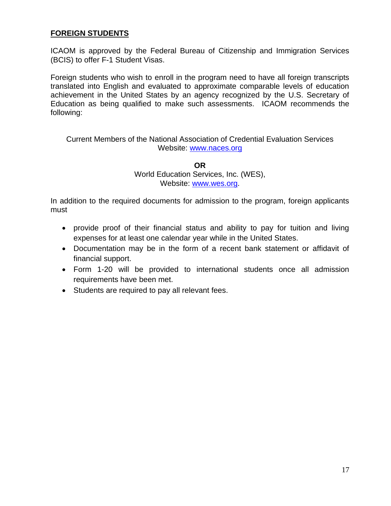# **FOREIGN STUDENTS**

ICAOM is approved by the Federal Bureau of Citizenship and Immigration Services (BCIS) to offer F-1 Student Visas.

Foreign students who wish to enroll in the program need to have all foreign transcripts translated into English and evaluated to approximate comparable levels of education achievement in the United States by an agency recognized by the U.S. Secretary of Education as being qualified to make such assessments. ICAOM recommends the following:

## Current Members of the National Association of Credential Evaluation Services Website: [www.naces.org](http://www.naces.org/)

**OR** World Education Services, Inc. (WES), Website: [www.wes.org.](http://www.west.org/)

In addition to the required documents for admission to the program, foreign applicants must

- provide proof of their financial status and ability to pay for tuition and living expenses for at least one calendar year while in the United States.
- Documentation may be in the form of a recent bank statement or affidavit of financial support.
- Form 1-20 will be provided to international students once all admission requirements have been met.
- Students are required to pay all relevant fees.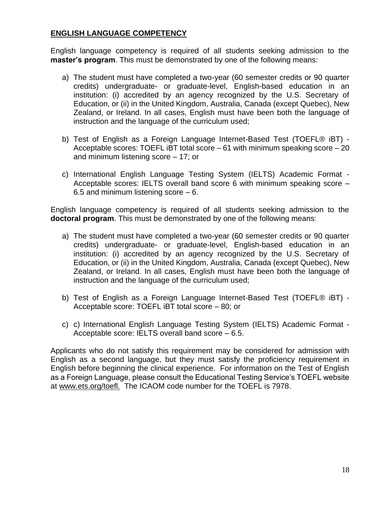# **ENGLISH LANGUAGE COMPETENCY**

English language competency is required of all students seeking admission to the **master's program**. This must be demonstrated by one of the following means:

- a) The student must have completed a two-year (60 semester credits or 90 quarter credits) undergraduate- or graduate-level, English-based education in an institution: (i) accredited by an agency recognized by the U.S. Secretary of Education, or (ii) in the United Kingdom, Australia, Canada (except Quebec), New Zealand, or Ireland. In all cases, English must have been both the language of instruction and the language of the curriculum used;
- b) Test of English as a Foreign Language Internet-Based Test (TOEFL® iBT) Acceptable scores: TOEFL iBT total score – 61 with minimum speaking score – 20 and minimum listening score – 17; or
- c) International English Language Testing System (IELTS) Academic Format Acceptable scores: IELTS overall band score 6 with minimum speaking score – 6.5 and minimum listening score  $-6$ .

English language competency is required of all students seeking admission to the **doctoral program**. This must be demonstrated by one of the following means:

- a) The student must have completed a two-year (60 semester credits or 90 quarter credits) undergraduate- or graduate-level, English-based education in an institution: (i) accredited by an agency recognized by the U.S. Secretary of Education, or (ii) in the United Kingdom, Australia, Canada (except Quebec), New Zealand, or Ireland. In all cases, English must have been both the language of instruction and the language of the curriculum used;
- b) Test of English as a Foreign Language Internet-Based Test (TOEFL® iBT) Acceptable score: TOEFL iBT total score – 80; or
- c) c) International English Language Testing System (IELTS) Academic Format Acceptable score: IELTS overall band score – 6.5.

Applicants who do not satisfy this requirement may be considered for admission with English as a second language, but they must satisfy the proficiency requirement in English before beginning the clinical experience. For information on the Test of English as a Foreign Language, please consult the Educational Testing Service's TOEFL website at www.ets.org/toefl. The ICAOM code number for the TOEFL is 7978.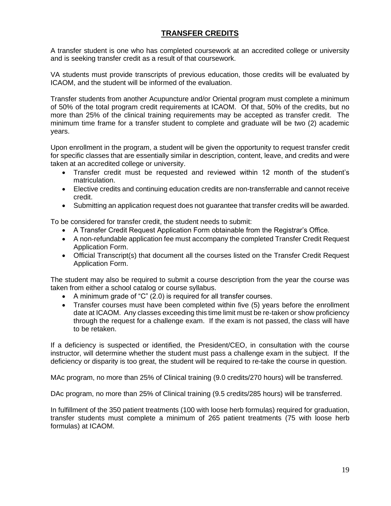# **TRANSFER CREDITS**

A transfer student is one who has completed coursework at an accredited college or university and is seeking transfer credit as a result of that coursework.

VA students must provide transcripts of previous education, those credits will be evaluated by ICAOM, and the student will be informed of the evaluation.

Transfer students from another Acupuncture and/or Oriental program must complete a minimum of 50% of the total program credit requirements at ICAOM. Of that, 50% of the credits, but no more than 25% of the clinical training requirements may be accepted as transfer credit. The minimum time frame for a transfer student to complete and graduate will be two (2) academic years.

Upon enrollment in the program, a student will be given the opportunity to request transfer credit for specific classes that are essentially similar in description, content, leave, and credits and were taken at an accredited college or university.

- Transfer credit must be requested and reviewed within 12 month of the student's matriculation.
- Elective credits and continuing education credits are non-transferrable and cannot receive credit.
- Submitting an application request does not guarantee that transfer credits will be awarded.

To be considered for transfer credit, the student needs to submit:

- A Transfer Credit Request Application Form obtainable from the Registrar's Office.
- A non-refundable application fee must accompany the completed Transfer Credit Request Application Form.
- Official Transcript(s) that document all the courses listed on the Transfer Credit Request Application Form.

The student may also be required to submit a course description from the year the course was taken from either a school catalog or course syllabus.

- A minimum grade of "C" (2.0) is required for all transfer courses.
- Transfer courses must have been completed within five (5) years before the enrollment date at ICAOM. Any classes exceeding this time limit must be re-taken or show proficiency through the request for a challenge exam. If the exam is not passed, the class will have to be retaken.

If a deficiency is suspected or identified, the President/CEO, in consultation with the course instructor, will determine whether the student must pass a challenge exam in the subject. If the deficiency or disparity is too great, the student will be required to re-take the course in question.

MAc program, no more than 25% of Clinical training (9.0 credits/270 hours) will be transferred.

DAc program, no more than 25% of Clinical training (9.5 credits/285 hours) will be transferred.

In fulfillment of the 350 patient treatments (100 with loose herb formulas) required for graduation, transfer students must complete a minimum of 265 patient treatments (75 with loose herb formulas) at ICAOM.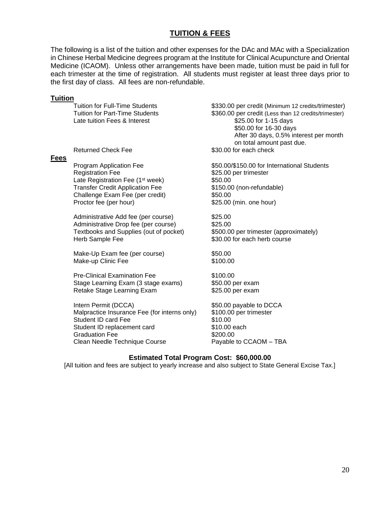# **TUITION & FEES**

The following is a list of the tuition and other expenses for the DAc and MAc with a Specialization in Chinese Herbal Medicine degrees program at the Institute for Clinical Acupuncture and Oriental Medicine (ICAOM). Unless other arrangements have been made, tuition must be paid in full for each trimester at the time of registration. All students must register at least three days prior to the first day of class. All fees are non-refundable.

#### **Tuition**

Late tuition Fees & Interest \$25.00 for 1-15 days

#### **Fees**

Registration Fee \$25.00 per trimester Late Registration Fee (1<sup>st</sup> week) \$50.00 Transfer Credit Application Fee \$150.00 (non-refundable) Challenge Exam Fee (per credit) \$50.00 Proctor fee (per hour) \$25.00 (min. one hour)

Administrative Add fee (per course) \$25.00 Administrative Drop fee (per course) \$25.00 Textbooks and Supplies (out of pocket) \$500.00 per trimester (approximately) Herb Sample Fee \$30.00 for each herb course

Make-Up Exam fee (per course) \$50.00 Make-up Clinic Fee \$100.00

Pre-Clinical Examination Fee  $$100.00$ Stage Learning Exam (3 stage exams) \$50.00 per exam Retake Stage Learning Exam  $$25.00$  per exam

Intern Permit (DCCA) \$50.00 payable to DCCA Malpractice Insurance Fee (for interns only) \$100.00 per trimester Student ID card Fee \$10.00 Student ID replacement card \$10.00 each Graduation Fee \$200.00 Clean Needle Technique Course Payable to CCAOM – TBA

Tuition for Full-Time Students \$330.00 per credit (Minimum 12 credits/trimester) Tuition for Part-Time Students \$360.00 per credit (Less than 12 credits/trimester) \$50.00 for 16-30 days After 30 days, 0.5% interest per month on total amount past due. Returned Check Fee  $$30.00$  for each check

Program Application Fee  $$50.00/$150.00$  for International Students

#### **Estimated Total Program Cost: \$60,000.00**

[All tuition and fees are subject to yearly increase and also subject to State General Excise Tax.]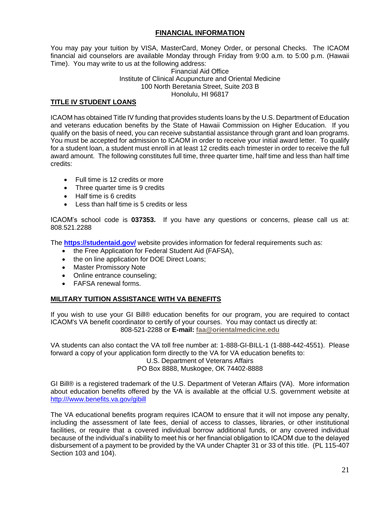### **FINANCIAL INFORMATION**

You may pay your tuition by VISA, MasterCard, Money Order, or personal Checks. The ICAOM financial aid counselors are available Monday through Friday from 9:00 a.m. to 5:00 p.m. (Hawaii Time). You may write to us at the following address:

Financial Aid Office Institute of Clinical Acupuncture and Oriental Medicine 100 North Beretania Street, Suite 203 B Honolulu, HI 96817

#### **TITLE IV STUDENT LOANS**

ICAOM has obtained Title IV funding that provides students loans by the U.S. Department of Education and veterans education benefits by the State of Hawaii Commission on Higher Education. If you qualify on the basis of need, you can receive substantial assistance through grant and loan programs. You must be accepted for admission to ICAOM in order to receive your initial award letter. To qualify for a student loan, a student must enroll in at least 12 credits each trimester in order to receive the full award amount. The following constitutes full time, three quarter time, half time and less than half time credits:

- Full time is 12 credits or more
- Three quarter time is 9 credits
- Half time is 6 credits
- Less than half time is 5 credits or less

ICAOM's school code is **037353.** If you have any questions or concerns, please call us at: 808.521.2288

The **<https://studentaid.gov/>** website provides information for federal requirements such as:

- the Free Application for Federal Student Aid (FAFSA),
- the on line application for DOE Direct Loans;
- Master Promissory Note
- Online entrance counseling;
- FAFSA renewal forms.

#### **MILITARY TUITION ASSISTANCE WITH VA BENEFITS**

If you wish to use your GI Bill® education benefits for our program, you are required to contact ICAOM's VA benefit coordinator to certify of your courses. You may contact us directly at: 808-521-2288 or **E-mail: [faa@orientalmedicine.edu](mailto:faa@orientalmedicine.edu)**

VA students can also contact the VA toll free number at: 1-888-GI-BILL-1 (1-888-442-4551). Please forward a copy of your application form directly to the VA for VA education benefits to:

#### U.S. Department of Veterans Affairs PO Box 8888, Muskogee, OK 74402-8888

GI Bill® is a registered trademark of the U.S. Department of Veteran Affairs (VA). More information about education benefits offered by the VA is available at the official U.S. government website at [http:///www.benefits.va.gov/gibill](http://www.benefits.va.gov/gibill)

The VA educational benefits program requires ICAOM to ensure that it will not impose any penalty, including the assessment of late fees, denial of access to classes, libraries, or other institutional facilities, or require that a covered individual borrow additional funds, or any covered individual because of the individual's inability to meet his or her financial obligation to ICAOM due to the delayed disbursement of a payment to be provided by the VA under Chapter 31 or 33 of this title. (PL 115-407 Section 103 and 104).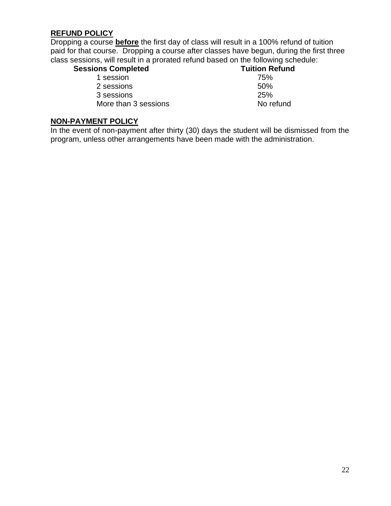# **REFUND POLICY**

Dropping a course **before** the first day of class will result in a 100% refund of tuition paid for that course. Dropping a course after classes have begun, during the first three class sessions, will result in a prorated refund based on the following schedule:

| <b>Sessions Completed</b> | <b>Tuition Refund</b> |
|---------------------------|-----------------------|
| 1 session                 | 75%                   |

2 sessions 50% 3 sessions 25% More than 3 sessions No refund

# **NON-PAYMENT POLICY**

In the event of non-payment after thirty (30) days the student will be dismissed from the program, unless other arrangements have been made with the administration.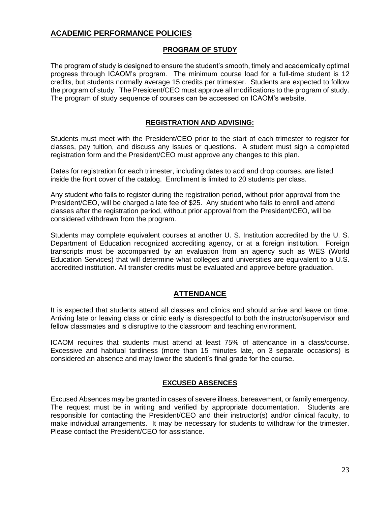# **ACADEMIC PERFORMANCE POLICIES**

### **PROGRAM OF STUDY**

The program of study is designed to ensure the student's smooth, timely and academically optimal progress through ICAOM's program. The minimum course load for a full-time student is 12 credits, but students normally average 15 credits per trimester. Students are expected to follow the program of study. The President/CEO must approve all modifications to the program of study. The program of study sequence of courses can be accessed on ICAOM's website.

## **REGISTRATION AND ADVISING:**

Students must meet with the President/CEO prior to the start of each trimester to register for classes, pay tuition, and discuss any issues or questions. A student must sign a completed registration form and the President/CEO must approve any changes to this plan.

Dates for registration for each trimester, including dates to add and drop courses, are listed inside the front cover of the catalog. Enrollment is limited to 20 students per class.

Any student who fails to register during the registration period, without prior approval from the President/CEO, will be charged a late fee of \$25. Any student who fails to enroll and attend classes after the registration period, without prior approval from the President/CEO, will be considered withdrawn from the program.

Students may complete equivalent courses at another U. S. Institution accredited by the U. S. Department of Education recognized accrediting agency, or at a foreign institution. Foreign transcripts must be accompanied by an evaluation from an agency such as WES (World Education Services) that will determine what colleges and universities are equivalent to a U.S. accredited institution. All transfer credits must be evaluated and approve before graduation.

## **ATTENDANCE**

It is expected that students attend all classes and clinics and should arrive and leave on time. Arriving late or leaving class or clinic early is disrespectful to both the instructor/supervisor and fellow classmates and is disruptive to the classroom and teaching environment.

ICAOM requires that students must attend at least 75% of attendance in a class/course. Excessive and habitual tardiness (more than 15 minutes late, on 3 separate occasions) is considered an absence and may lower the student's final grade for the course.

#### **EXCUSED ABSENCES**

Excused Absences may be granted in cases of severe illness, bereavement, or family emergency. The request must be in writing and verified by appropriate documentation. Students are responsible for contacting the President/CEO and their instructor(s) and/or clinical faculty, to make individual arrangements. It may be necessary for students to withdraw for the trimester. Please contact the President/CEO for assistance.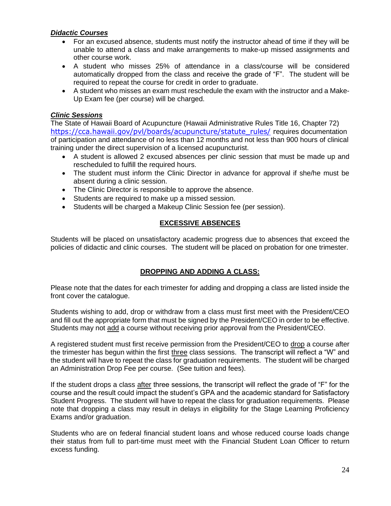## *Didactic Courses*

- For an excused absence, students must notify the instructor ahead of time if they will be unable to attend a class and make arrangements to make-up missed assignments and other course work.
- A student who misses 25% of attendance in a class/course will be considered automatically dropped from the class and receive the grade of "F". The student will be required to repeat the course for credit in order to graduate.
- A student who misses an exam must reschedule the exam with the instructor and a Make-Up Exam fee (per course) will be charged.

## *Clinic Sessions*

The State of Hawaii Board of Acupuncture (Hawaii Administrative Rules Title 16, Chapter 72) [https://cca.hawaii.gov/pvl/boards/acupuncture/statute\\_rules/](https://cca.hawaii.gov/pvl/boards/acupuncture/statute_rules/) requires documentation of participation and attendance of no less than 12 months and not less than 900 hours of clinical training under the direct supervision of a licensed acupuncturist.

- A student is allowed 2 excused absences per clinic session that must be made up and rescheduled to fulfill the required hours.
- The student must inform the Clinic Director in advance for approval if she/he must be absent during a clinic session.
- The Clinic Director is responsible to approve the absence.
- Students are required to make up a missed session.
- Students will be charged a Makeup Clinic Session fee (per session).

# **EXCESSIVE ABSENCES**

Students will be placed on unsatisfactory academic progress due to absences that exceed the policies of didactic and clinic courses. The student will be placed on probation for one trimester.

# **DROPPING AND ADDING A CLASS:**

Please note that the dates for each trimester for adding and dropping a class are listed inside the front cover the catalogue.

Students wishing to add, drop or withdraw from a class must first meet with the President/CEO and fill out the appropriate form that must be signed by the President/CEO in order to be effective. Students may not add a course without receiving prior approval from the President/CEO.

A registered student must first receive permission from the President/CEO to drop a course after the trimester has begun within the first three class sessions. The transcript will reflect a "W" and the student will have to repeat the class for graduation requirements. The student will be charged an Administration Drop Fee per course. (See tuition and fees).

If the student drops a class after three sessions, the transcript will reflect the grade of "F" for the course and the result could impact the student's GPA and the academic standard for Satisfactory Student Progress. The student will have to repeat the class for graduation requirements. Please note that dropping a class may result in delays in eligibility for the Stage Learning Proficiency Exams and/or graduation.

Students who are on federal financial student loans and whose reduced course loads change their status from full to part-time must meet with the Financial Student Loan Officer to return excess funding.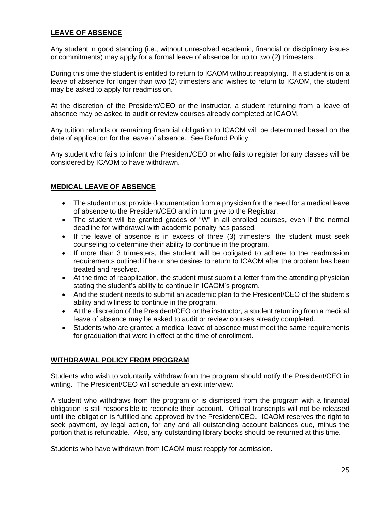## **LEAVE OF ABSENCE**

Any student in good standing (i.e., without unresolved academic, financial or disciplinary issues or commitments) may apply for a formal leave of absence for up to two (2) trimesters.

During this time the student is entitled to return to ICAOM without reapplying. If a student is on a leave of absence for longer than two (2) trimesters and wishes to return to ICAOM, the student may be asked to apply for readmission.

At the discretion of the President/CEO or the instructor, a student returning from a leave of absence may be asked to audit or review courses already completed at ICAOM.

Any tuition refunds or remaining financial obligation to ICAOM will be determined based on the date of application for the leave of absence. See Refund Policy.

Any student who fails to inform the President/CEO or who fails to register for any classes will be considered by ICAOM to have withdrawn.

## **MEDICAL LEAVE OF ABSENCE**

- The student must provide documentation from a physician for the need for a medical leave of absence to the President/CEO and in turn give to the Registrar.
- The student will be granted grades of "W" in all enrolled courses, even if the normal deadline for withdrawal with academic penalty has passed.
- If the leave of absence is in excess of three (3) trimesters, the student must seek counseling to determine their ability to continue in the program.
- If more than 3 trimesters, the student will be obligated to adhere to the readmission requirements outlined if he or she desires to return to ICAOM after the problem has been treated and resolved.
- At the time of reapplication, the student must submit a letter from the attending physician stating the student's ability to continue in ICAOM's program.
- And the student needs to submit an academic plan to the President/CEO of the student's ability and wiliness to continue in the program.
- At the discretion of the President/CEO or the instructor, a student returning from a medical leave of absence may be asked to audit or review courses already completed.
- Students who are granted a medical leave of absence must meet the same requirements for graduation that were in effect at the time of enrollment.

## **WITHDRAWAL POLICY FROM PROGRAM**

Students who wish to voluntarily withdraw from the program should notify the President/CEO in writing. The President/CEO will schedule an exit interview.

A student who withdraws from the program or is dismissed from the program with a financial obligation is still responsible to reconcile their account. Official transcripts will not be released until the obligation is fulfilled and approved by the President/CEO. ICAOM reserves the right to seek payment, by legal action, for any and all outstanding account balances due, minus the portion that is refundable. Also, any outstanding library books should be returned at this time.

Students who have withdrawn from ICAOM must reapply for admission.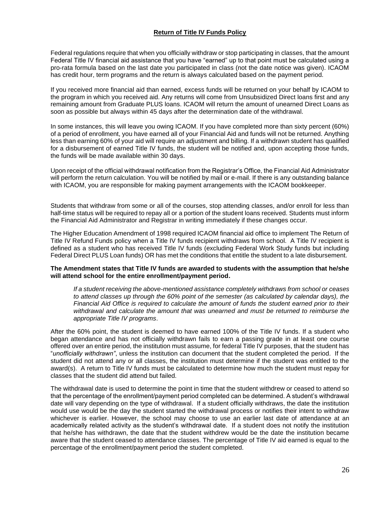#### **Return of Title IV Funds Policy**

Federal regulations require that when you officially withdraw or stop participating in classes, that the amount Federal Title IV financial aid assistance that you have "earned" up to that point must be calculated using a pro-rata formula based on the last date you participated in class (not the date notice was given). ICAOM has credit hour, term programs and the return is always calculated based on the payment period.

If you received more financial aid than earned, excess funds will be returned on your behalf by ICAOM to the program in which you received aid. Any returns will come from Unsubsidized Direct loans first and any remaining amount from Graduate PLUS loans. ICAOM will return the amount of unearned Direct Loans as soon as possible but always within 45 days after the determination date of the withdrawal.

In some instances, this will leave you owing ICAOM. If you have completed more than sixty percent (60%) of a period of enrollment, you have earned all of your Financial Aid and funds will not be returned. Anything less than earning 60% of your aid will require an adjustment and billing. If a withdrawn student has qualified for a disbursement of earned Title IV funds, the student will be notified and, upon accepting those funds, the funds will be made available within 30 days.

Upon receipt of the official withdrawal notification from the Registrar's Office, the Financial Aid Administrator will perform the return calculation. You will be notified by mail or e-mail. If there is any outstanding balance with ICAOM, you are responsible for making payment arrangements with the ICAOM bookkeeper.

Students that withdraw from some or all of the courses, stop attending classes, and/or enroll for less than half-time status will be required to repay all or a portion of the student loans received. Students must inform the Financial Aid Administrator and Registrar in writing immediately if these changes occur.

The Higher Education Amendment of 1998 required ICAOM financial aid office to implement The Return of Title IV Refund Funds policy when a Title IV funds recipient withdraws from school. A Title IV recipient is defined as a student who has received Title IV funds (excluding Federal Work Study funds but including Federal Direct PLUS Loan funds) OR has met the conditions that entitle the student to a late disbursement.

#### **The Amendment states that Title IV funds are awarded to students with the assumption that he/she will attend school for the entire enrollment/payment period.**

*If a student receiving the above-mentioned assistance completely withdraws from school or ceases to attend classes up through the 60% point of the semester (as calculated by calendar days), the Financial Aid Office is required to calculate the amount of funds the student earned prior to their withdrawal and calculate the amount that was unearned and must be returned to reimburse the appropriate Title IV programs*.

After the 60% point, the student is deemed to have earned 100% of the Title IV funds. If a student who began attendance and has not officially withdrawn fails to earn a passing grade in at least one course offered over an entire period, the institution must assume, for federal Title IV purposes, that the student has "*unofficially withdrawn"*, unless the institution can document that the student completed the period. If the student did not attend any or all classes, the institution must determine if the student was entitled to the award(s). A return to Title IV funds must be calculated to determine how much the student must repay for classes that the student did attend but failed.

The withdrawal date is used to determine the point in time that the student withdrew or ceased to attend so that the percentage of the enrollment/payment period completed can be determined. A student's withdrawal date will vary depending on the type of withdrawal. If a student officially withdraws, the date the institution would use would be the day the student started the withdrawal process or notifies their intent to withdraw whichever is earlier. However, the school may choose to use an earlier last date of attendance at an academically related activity as the student's withdrawal date. If a student does not notify the institution that he/she has withdrawn, the date that the student withdrew would be the date the institution became aware that the student ceased to attendance classes. The percentage of Title IV aid earned is equal to the percentage of the enrollment/payment period the student completed.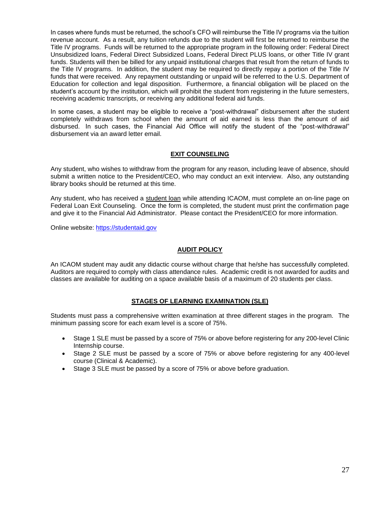In cases where funds must be returned, the school's CFO will reimburse the Title IV programs via the tuition revenue account. As a result, any tuition refunds due to the student will first be returned to reimburse the Title IV programs. Funds will be returned to the appropriate program in the following order: Federal Direct Unsubsidized loans, Federal Direct Subsidized Loans, Federal Direct PLUS loans, or other Title IV grant funds. Students will then be billed for any unpaid institutional charges that result from the return of funds to the Title IV programs. In addition, the student may be required to directly repay a portion of the Title IV funds that were received. Any repayment outstanding or unpaid will be referred to the U.S. Department of Education for collection and legal disposition. Furthermore, a financial obligation will be placed on the student's account by the institution, which will prohibit the student from registering in the future semesters, receiving academic transcripts, or receiving any additional federal aid funds.

In some cases, a student may be eligible to receive a "post-withdrawal" disbursement after the student completely withdraws from school when the amount of aid earned is less than the amount of aid disbursed. In such cases, the Financial Aid Office will notify the student of the "post-withdrawal" disbursement via an award letter email.

#### **EXIT COUNSELING**

Any student, who wishes to withdraw from the program for any reason, including leave of absence, should submit a written notice to the President/CEO, who may conduct an exit interview. Also, any outstanding library books should be returned at this time.

Any student, who has received a student loan while attending ICAOM, must complete an on-line page on Federal Loan Exit Counseling. Once the form is completed, the student must print the confirmation page and give it to the Financial Aid Administrator. Please contact the President/CEO for more information.

Online website: [https://studentaid.gov](https://studentaid.gov/)

#### **AUDIT POLICY**

An ICAOM student may audit any didactic course without charge that he/she has successfully completed. Auditors are required to comply with class attendance rules. Academic credit is not awarded for audits and classes are available for auditing on a space available basis of a maximum of 20 students per class.

#### **STAGES OF LEARNING EXAMINATION (SLE)**

Students must pass a comprehensive written examination at three different stages in the program. The minimum passing score for each exam level is a score of 75%.

- Stage 1 SLE must be passed by a score of 75% or above before registering for any 200-level Clinic Internship course.
- Stage 2 SLE must be passed by a score of 75% or above before registering for any 400-level course (Clinical & Academic).
- Stage 3 SLE must be passed by a score of 75% or above before graduation.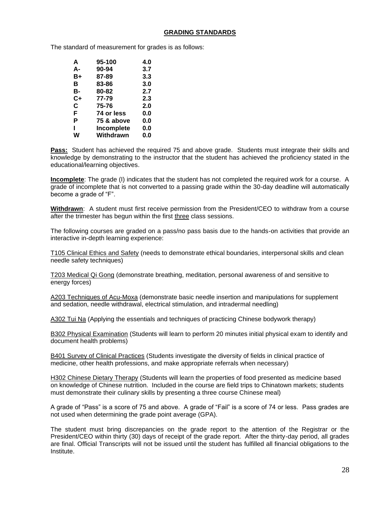#### **GRADING STANDARDS**

The standard of measurement for grades is as follows:

| A  | 95-100     | 4.0 |
|----|------------|-----|
| А- | 90-94      | 3.7 |
| B+ | 87-89      | 3.3 |
| в  | 83-86      | 3.0 |
| в- | 80-82      | 2.7 |
| C+ | 77-79      | 2.3 |
| C  | 75-76      | 2.0 |
| F  | 74 or less | 0.0 |
| Р  | 75 & above | 0.0 |
| ı  | Incomplete | 0.0 |
| w  | Withdrawn  | 0.0 |

**Pass:** Student has achieved the required 75 and above grade. Students must integrate their skills and knowledge by demonstrating to the instructor that the student has achieved the proficiency stated in the educational/learning objectives.

**Incomplete**: The grade (I) indicates that the student has not completed the required work for a course. A grade of incomplete that is not converted to a passing grade within the 30-day deadline will automatically become a grade of "F".

**Withdrawn**: A student must first receive permission from the President/CEO to withdraw from a course after the trimester has begun within the first three class sessions.

The following courses are graded on a pass/no pass basis due to the hands-on activities that provide an interactive in-depth learning experience:

T105 Clinical Ethics and Safety (needs to demonstrate ethical boundaries, interpersonal skills and clean needle safety techniques)

T203 Medical Qi Gong (demonstrate breathing, meditation, personal awareness of and sensitive to energy forces)

A203 Techniques of Acu-Moxa (demonstrate basic needle insertion and manipulations for supplement and sedation, needle withdrawal, electrical stimulation, and intradermal needling)

A302 Tui Na (Applying the essentials and techniques of practicing Chinese bodywork therapy)

B302 Physical Examination (Students will learn to perform 20 minutes initial physical exam to identify and document health problems)

B401 Survey of Clinical Practices (Students investigate the diversity of fields in clinical practice of medicine, other health professions, and make appropriate referrals when necessary)

H302 Chinese Dietary Therapy (Students will learn the properties of food presented as medicine based on knowledge of Chinese nutrition. Included in the course are field trips to Chinatown markets; students must demonstrate their culinary skills by presenting a three course Chinese meal)

A grade of "Pass" is a score of 75 and above. A grade of "Fail" is a score of 74 or less. Pass grades are not used when determining the grade point average (GPA).

The student must bring discrepancies on the grade report to the attention of the Registrar or the President/CEO within thirty (30) days of receipt of the grade report. After the thirty-day period, all grades are final. Official Transcripts will not be issued until the student has fulfilled all financial obligations to the Institute.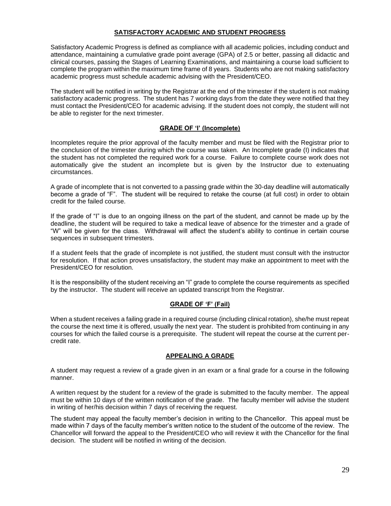#### **SATISFACTORY ACADEMIC AND STUDENT PROGRESS**

Satisfactory Academic Progress is defined as compliance with all academic policies, including conduct and attendance, maintaining a cumulative grade point average (GPA) of 2.5 or better, passing all didactic and clinical courses, passing the Stages of Learning Examinations, and maintaining a course load sufficient to complete the program within the maximum time frame of 8 years. Students who are not making satisfactory academic progress must schedule academic advising with the President/CEO.

The student will be notified in writing by the Registrar at the end of the trimester if the student is not making satisfactory academic progress. The student has 7 working days from the date they were notified that they must contact the President/CEO for academic advising. If the student does not comply, the student will not be able to register for the next trimester.

#### **GRADE OF 'I' (Incomplete)**

Incompletes require the prior approval of the faculty member and must be filed with the Registrar prior to the conclusion of the trimester during which the course was taken. An Incomplete grade (I) indicates that the student has not completed the required work for a course. Failure to complete course work does not automatically give the student an incomplete but is given by the Instructor due to extenuating circumstances.

A grade of incomplete that is not converted to a passing grade within the 30-day deadline will automatically become a grade of "F". The student will be required to retake the course (at full cost) in order to obtain credit for the failed course.

If the grade of "I" is due to an ongoing illness on the part of the student, and cannot be made up by the deadline, the student will be required to take a medical leave of absence for the trimester and a grade of "W" will be given for the class. Withdrawal will affect the student's ability to continue in certain course sequences in subsequent trimesters.

If a student feels that the grade of incomplete is not justified, the student must consult with the instructor for resolution. If that action proves unsatisfactory, the student may make an appointment to meet with the President/CEO for resolution.

It is the responsibility of the student receiving an "I" grade to complete the course requirements as specified by the instructor. The student will receive an updated transcript from the Registrar.

#### **GRADE OF 'F' (Fail)**

When a student receives a failing grade in a required course (including clinical rotation), she/he must repeat the course the next time it is offered, usually the next year. The student is prohibited from continuing in any courses for which the failed course is a prerequisite. The student will repeat the course at the current percredit rate.

#### **APPEALING A GRADE**

A student may request a review of a grade given in an exam or a final grade for a course in the following manner.

A written request by the student for a review of the grade is submitted to the faculty member. The appeal must be within 10 days of the written notification of the grade. The faculty member will advise the student in writing of her/his decision within 7 days of receiving the request.

The student may appeal the faculty member's decision in writing to the Chancellor. This appeal must be made within 7 days of the faculty member's written notice to the student of the outcome of the review. The Chancellor will forward the appeal to the President/CEO who will review it with the Chancellor for the final decision. The student will be notified in writing of the decision.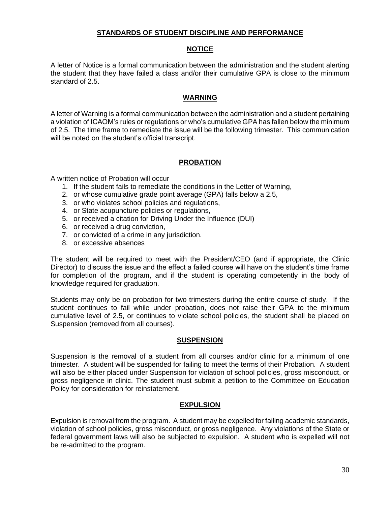#### **STANDARDS OF STUDENT DISCIPLINE AND PERFORMANCE**

#### **NOTICE**

A letter of Notice is a formal communication between the administration and the student alerting the student that they have failed a class and/or their cumulative GPA is close to the minimum standard of 2.5.

#### **WARNING**

A letter of Warning is a formal communication between the administration and a student pertaining a violation of ICAOM's rules or regulations or who's cumulative GPA has fallen below the minimum of 2.5. The time frame to remediate the issue will be the following trimester. This communication will be noted on the student's official transcript.

#### **PROBATION**

A written notice of Probation will occur

- 1. If the student fails to remediate the conditions in the Letter of Warning,
- 2. or whose cumulative grade point average (GPA) falls below a 2.5,
- 3. or who violates school policies and regulations,
- 4. or State acupuncture policies or regulations,
- 5. or received a citation for Driving Under the Influence (DUI)
- 6. or received a drug conviction,
- 7. or convicted of a crime in any jurisdiction.
- 8. or excessive absences

The student will be required to meet with the President/CEO (and if appropriate, the Clinic Director) to discuss the issue and the effect a failed course will have on the student's time frame for completion of the program, and if the student is operating competently in the body of knowledge required for graduation.

Students may only be on probation for two trimesters during the entire course of study. If the student continues to fail while under probation, does not raise their GPA to the minimum cumulative level of 2.5, or continues to violate school policies, the student shall be placed on Suspension (removed from all courses).

#### **SUSPENSION**

Suspension is the removal of a student from all courses and/or clinic for a minimum of one trimester. A student will be suspended for failing to meet the terms of their Probation. A student will also be either placed under Suspension for violation of school policies, gross misconduct, or gross negligence in clinic. The student must submit a petition to the Committee on Education Policy for consideration for reinstatement.

#### **EXPULSION**

Expulsion is removal from the program. A student may be expelled for failing academic standards, violation of school policies, gross misconduct, or gross negligence. Any violations of the State or federal government laws will also be subjected to expulsion. A student who is expelled will not be re-admitted to the program.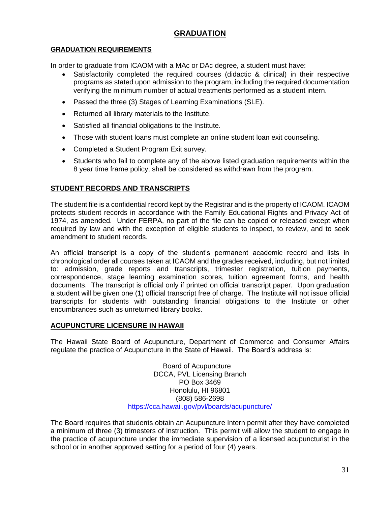# **GRADUATION**

## **GRADUATION REQUIREMENTS**

In order to graduate from ICAOM with a MAc or DAc degree, a student must have:

- Satisfactorily completed the required courses (didactic & clinical) in their respective programs as stated upon admission to the program, including the required documentation verifying the minimum number of actual treatments performed as a student intern.
- Passed the three (3) Stages of Learning Examinations (SLE).
- Returned all library materials to the Institute.
- Satisfied all financial obligations to the Institute.
- Those with student loans must complete an online student loan exit counseling.
- Completed a Student Program Exit survey.
- Students who fail to complete any of the above listed graduation requirements within the 8 year time frame policy, shall be considered as withdrawn from the program.

## **STUDENT RECORDS AND TRANSCRIPTS**

The student file is a confidential record kept by the Registrar and is the property of ICAOM. ICAOM protects student records in accordance with the Family Educational Rights and Privacy Act of 1974, as amended. Under FERPA, no part of the file can be copied or released except when required by law and with the exception of eligible students to inspect, to review, and to seek amendment to student records.

An official transcript is a copy of the student's permanent academic record and lists in chronological order all courses taken at ICAOM and the grades received, including, but not limited to: admission, grade reports and transcripts, trimester registration, tuition payments, correspondence, stage learning examination scores, tuition agreement forms, and health documents. The transcript is official only if printed on official transcript paper. Upon graduation a student will be given one (1) official transcript free of charge. The Institute will not issue official transcripts for students with outstanding financial obligations to the Institute or other encumbrances such as unreturned library books.

#### **ACUPUNCTURE LICENSURE IN HAWAII**

The Hawaii State Board of Acupuncture, Department of Commerce and Consumer Affairs regulate the practice of Acupuncture in the State of Hawaii. The Board's address is:

> Board of Acupuncture DCCA, PVL Licensing Branch PO Box 3469 Honolulu, HI 96801 (808) 586-2698 <https://cca.hawaii.gov/pvl/boards/acupuncture/>

The Board requires that students obtain an Acupuncture Intern permit after they have completed a minimum of three (3) trimesters of instruction. This permit will allow the student to engage in the practice of acupuncture under the immediate supervision of a licensed acupuncturist in the school or in another approved setting for a period of four (4) years.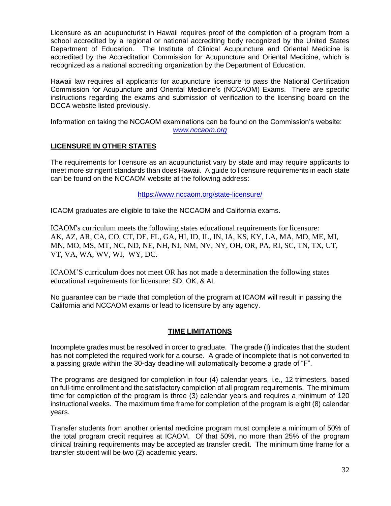Licensure as an acupuncturist in Hawaii requires proof of the completion of a program from a school accredited by a regional or national accrediting body recognized by the United States Department of Education. The Institute of Clinical Acupuncture and Oriental Medicine is accredited by the Accreditation Commission for Acupuncture and Oriental Medicine, which is recognized as a national accrediting organization by the Department of Education.

Hawaii law requires all applicants for acupuncture licensure to pass the National Certification Commission for Acupuncture and Oriental Medicine's (NCCAOM) Exams. There are specific instructions regarding the exams and submission of verification to the licensing board on the DCCA website listed previously.

Information on taking the NCCAOM examinations can be found on the Commission's website: *[www.nccaom.org](http://www.nccaom.org/)*

#### **LICENSURE IN OTHER STATES**

The requirements for licensure as an acupuncturist vary by state and may require applicants to meet more stringent standards than does Hawaii. A guide to licensure requirements in each state can be found on the NCCAOM website at the following address:

<https://www.nccaom.org/state-licensure/>

ICAOM graduates are eligible to take the NCCAOM and California exams.

ICAOM's curriculum meets the following states educational requirements for licensure: AK, AZ, AR, CA, CO, CT, DE, FL, GA, HI, ID, IL, IN, IA, KS, KY, LA, MA, MD, ME, MI, MN, MO, MS, MT, NC, ND, NE, NH, NJ, NM, NV, NY, OH, OR, PA, RI, SC, TN, TX, UT, VT, VA, WA, WV, WI, WY, DC.

ICAOM'S curriculum does not meet OR has not made a determination the following states educational requirements for licensure: SD, OK, & AL

No guarantee can be made that completion of the program at ICAOM will result in passing the California and NCCAOM exams or lead to licensure by any agency.

#### **TIME LIMITATIONS**

Incomplete grades must be resolved in order to graduate. The grade (I) indicates that the student has not completed the required work for a course. A grade of incomplete that is not converted to a passing grade within the 30-day deadline will automatically become a grade of "F".

The programs are designed for completion in four (4) calendar years, i.e., 12 trimesters, based on full-time enrollment and the satisfactory completion of all program requirements. The minimum time for completion of the program is three (3) calendar years and requires a minimum of 120 instructional weeks. The maximum time frame for completion of the program is eight (8) calendar years.

Transfer students from another oriental medicine program must complete a minimum of 50% of the total program credit requires at ICAOM. Of that 50%, no more than 25% of the program clinical training requirements may be accepted as transfer credit. The minimum time frame for a transfer student will be two (2) academic years.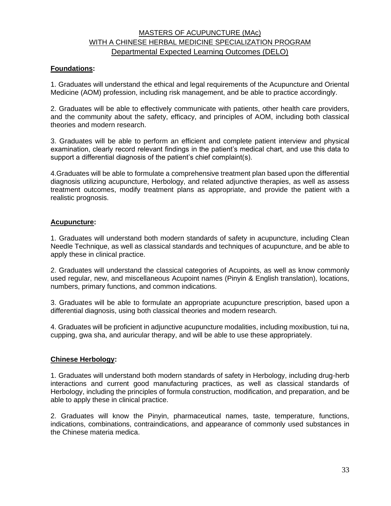# MASTERS OF ACUPUNCTURE (MAc) WITH A CHINESE HERBAL MEDICINE SPECIALIZATION PROGRAM Departmental Expected Learning Outcomes (DELO)

## **Foundations:**

1. Graduates will understand the ethical and legal requirements of the Acupuncture and Oriental Medicine (AOM) profession, including risk management, and be able to practice accordingly.

2. Graduates will be able to effectively communicate with patients, other health care providers, and the community about the safety, efficacy, and principles of AOM, including both classical theories and modern research.

3. Graduates will be able to perform an efficient and complete patient interview and physical examination, clearly record relevant findings in the patient's medical chart, and use this data to support a differential diagnosis of the patient's chief complaint(s).

4.Graduates will be able to formulate a comprehensive treatment plan based upon the differential diagnosis utilizing acupuncture, Herbology, and related adjunctive therapies, as well as assess treatment outcomes, modify treatment plans as appropriate, and provide the patient with a realistic prognosis.

#### **Acupuncture:**

1. Graduates will understand both modern standards of safety in acupuncture, including Clean Needle Technique, as well as classical standards and techniques of acupuncture, and be able to apply these in clinical practice.

2. Graduates will understand the classical categories of Acupoints, as well as know commonly used regular, new, and miscellaneous Acupoint names (Pinyin & English translation), locations, numbers, primary functions, and common indications.

3. Graduates will be able to formulate an appropriate acupuncture prescription, based upon a differential diagnosis, using both classical theories and modern research.

4. Graduates will be proficient in adjunctive acupuncture modalities, including moxibustion, tui na, cupping, gwa sha, and auricular therapy, and will be able to use these appropriately.

#### **Chinese Herbology:**

1. Graduates will understand both modern standards of safety in Herbology, including drug-herb interactions and current good manufacturing practices, as well as classical standards of Herbology, including the principles of formula construction, modification, and preparation, and be able to apply these in clinical practice.

2. Graduates will know the Pinyin, pharmaceutical names, taste, temperature, functions, indications, combinations, contraindications, and appearance of commonly used substances in the Chinese materia medica.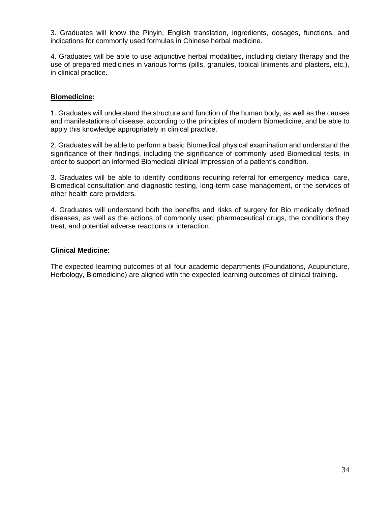3. Graduates will know the Pinyin, English translation, ingredients, dosages, functions, and indications for commonly used formulas in Chinese herbal medicine.

4. Graduates will be able to use adjunctive herbal modalities, including dietary therapy and the use of prepared medicines in various forms (pills, granules, topical liniments and plasters, etc.), in clinical practice.

### **Biomedicine:**

1. Graduates will understand the structure and function of the human body, as well as the causes and manifestations of disease, according to the principles of modern Biomedicine, and be able to apply this knowledge appropriately in clinical practice.

2. Graduates will be able to perform a basic Biomedical physical examination and understand the significance of their findings, including the significance of commonly used Biomedical tests, in order to support an informed Biomedical clinical impression of a patient's condition.

3. Graduates will be able to identify conditions requiring referral for emergency medical care, Biomedical consultation and diagnostic testing, long-term case management, or the services of other health care providers.

4. Graduates will understand both the benefits and risks of surgery for Bio medically defined diseases, as well as the actions of commonly used pharmaceutical drugs, the conditions they treat, and potential adverse reactions or interaction.

### **Clinical Medicine:**

The expected learning outcomes of all four academic departments (Foundations, Acupuncture, Herbology, Biomedicine) are aligned with the expected learning outcomes of clinical training.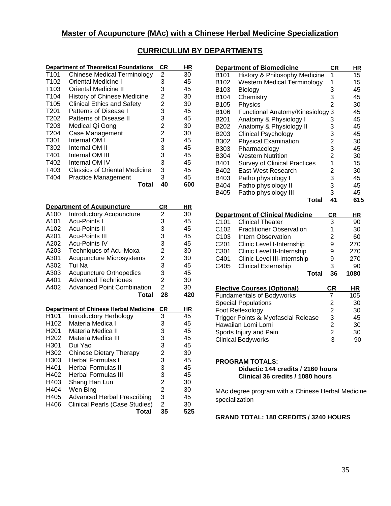# **Master of Acupuncture (MAc) with a Chinese Herbal Medicine Specialization**

|                  | <b>Department of Theoretical Foundations</b> | CR | ΗR  |
|------------------|----------------------------------------------|----|-----|
| T <sub>101</sub> | Chinese Medical Terminology                  | 2  | 30  |
| T <sub>102</sub> | Oriental Medicine I                          | 3  | 45  |
| T <sub>103</sub> | Oriental Medicine II                         | 3  | 45  |
| T <sub>104</sub> | <b>History of Chinese Medicine</b>           | 2  | 30  |
| T <sub>105</sub> | <b>Clinical Ethics and Safety</b>            | 2  | 30  |
| T <sub>201</sub> | Patterns of Disease I                        | 3  | 45  |
| T <sub>202</sub> | Patterns of Disease II                       | 3  | 45  |
| T <sub>203</sub> | Medical Qi Gong                              | 2  | 30  |
| T <sub>204</sub> | Case Management                              | 2  | 30  |
| T301             | Internal OM I                                | 3  | 45  |
| T302             | Internal OM II                               | 3  | 45  |
| T401             | Internal OM III                              | 3  | 45  |
| T402             | Internal OM IV                               | 3  | 45  |
| T403             | <b>Classics of Oriental Medicine</b>         | 3  | 45  |
| T404             | Practice Management                          | 3  | 45  |
|                  | Total                                        | 40 | 600 |

|                  | <b>Department of Acupuncture</b>             | <b>CR</b>      | ΗR  |
|------------------|----------------------------------------------|----------------|-----|
| A100             | <b>Introductory Acupuncture</b>              | 2              | 30  |
| A101             | Acu-Points I                                 | 3              | 45  |
| A102             | <b>Acu-Points II</b>                         | 3              | 45  |
| A201             | <b>Acu-Points III</b>                        | 3              | 45  |
| A202             | <b>Acu-Points IV</b>                         | 3              | 45  |
| A203             | Techniques of Acu-Moxa                       | $\overline{c}$ | 30  |
| A301             | Acupuncture Microsystems                     | 2              | 30  |
| A302             | Tui Na                                       | 3              | 45  |
| A303             | <b>Acupuncture Orthopedics</b>               | 3              | 45  |
| A401             | <b>Advanced Techniques</b>                   | $\overline{2}$ | 30  |
| A402             | <b>Advanced Point Combination</b>            | $\overline{2}$ | 30  |
|                  | Total                                        | 28             | 420 |
|                  | <b>Department of Chinese Herbal Medicine</b> | CR             | ΗR  |
| H <sub>101</sub> | Introductory Herbology                       | 3              | 45  |
| H <sub>102</sub> | Materia Medica I                             | 3              | 45  |
| H <sub>201</sub> | Materia Medica II                            | 3              | 45  |
| H <sub>202</sub> | Materia Medica III                           | 3              | 45  |
| H301             | Dui Yao                                      | 3              | 45  |
| H302             | <b>Chinese Dietary Therapy</b>               | $\overline{c}$ | 30  |
| H303             | <b>Herbal Formulas I</b>                     | 3              | 45  |
| H401             | Herbal Formulas II                           | 3              | 45  |
| H402             | <b>Herbal Formulas III</b>                   | 3              | 45  |
| H403             | Shang Han Lun                                | $\overline{c}$ | 30  |
| H404             | Wen Bing                                     | $\overline{2}$ | 30  |
| H405             | <b>Advanced Herbal Prescribing</b>           | 3              | 45  |
| H406             | Clinical Pearls (Case Studies)               | $\overline{2}$ | 30  |
|                  | Total                                        | 35             | 525 |

|                  | <b>Department of Biomedicine</b>    | СR | ΗR  |
|------------------|-------------------------------------|----|-----|
| B101             | History & Philosophy Medicine       | 1  | 15  |
| B102             | <b>Western Medical Terminology</b>  | 1  | 15  |
| B103             | Biology                             | 3  | 45  |
| B104             | Chemistry                           | 3  | 45  |
| B105             | Physics                             | 2  | 30  |
| B106             | Functional Anatomy/Kinesiology      | 3  | 45  |
| B <sub>201</sub> | Anatomy & Physiology I              | 3  | 45  |
| B202             | Anatomy & Physiology II             | 3  | 45  |
| B203             | Clinical Psychology                 | 3  | 45  |
| B302             | <b>Physical Examination</b>         | 2  | 30  |
| B303             | Pharmacology                        | 3  | 45  |
| B304             | <b>Western Nutrition</b>            | 2  | 30  |
| B401             | <b>Survey of Clinical Practices</b> | 1  | 15  |
| B402             | East-West Research                  | 2  | 30  |
| B403             | Patho physiology I                  | 3  | 45  |
| B404             | Patho physiology II                 | 3  | 45  |
| B405             | Patho physiology III                | 3  | 45  |
|                  | Total                               | 41 | 615 |

|                  | <b>Department of Clinical Medicine</b> | <b>CR</b> | ΗR   |
|------------------|----------------------------------------|-----------|------|
| C <sub>101</sub> | <b>Clinical Theater</b>                | 3         | 90   |
| C <sub>102</sub> | <b>Practitioner Observation</b>        | 1         | 30   |
| C <sub>103</sub> | Intern Observation                     | 2         | 60   |
| C <sub>201</sub> | Clinic Level I-Internship              | 9         | 270  |
| C301             | Clinic Level II-Internship             | 9         | 270  |
| C401             | Clinic Level III-Internship            | 9         | 270  |
| C405             | <b>Clinical Externship</b>             | 3         | 90   |
|                  | Total                                  | 36        | 1080 |

| <b>Elective Courses (Optional)</b>  | СR | ΗR  |
|-------------------------------------|----|-----|
| <b>Fundamentals of Bodyworks</b>    |    | 105 |
| <b>Special Populations</b>          | 2  | 30  |
| Foot Reflexology                    | 2  | 30  |
| Trigger Points & Myofascial Release | 3  | 45  |
| Hawaiian Lomi Lomi                  | 2  | 30  |
| Sports Injury and Pain              | 2  | 30  |
| <b>Clinical Bodyworks</b>           | 3  | 90  |

#### **PROGRAM TOTALS:**

**Didactic 144 credits / 2160 hours Clinical 36 credits / 1080 hours**

MAc degree program with a Chinese Herbal Medicine specialization

**GRAND TOTAL: 180 CREDITS / 3240 HOURS**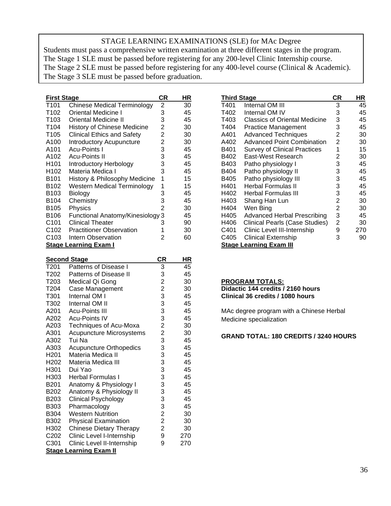# STAGE LEARNING EXAMINATIONS (SLE) for MAc Degree

Students must pass a comprehensive written examination at three different stages in the program. The Stage 1 SLE must be passed before registering for any 200-level Clinic Internship course. The Stage 2 SLE must be passed before registering for any 400-level course (Clinical & Academic). The Stage 3 SLE must be passed before graduation.

| <b>First Stage</b> | СR                                 | HR |    |
|--------------------|------------------------------------|----|----|
| T101               | Chinese Medical Terminology        | 2  | 30 |
| T102               | Oriental Medicine I                | 3  | 45 |
| T103               | Oriental Medicine II               | 3  | 45 |
| T104               | History of Chinese Medicine        | 2  | 30 |
| T105               | <b>Clinical Ethics and Safety</b>  | 2  | 30 |
| A100               | Introductory Acupuncture           | 2  | 30 |
| A101               | <b>Acu-Points I</b>                | 3  | 45 |
| A102               | <b>Acu-Points II</b>               | 3  | 45 |
| H101               | Introductory Herbology             | 3  | 45 |
| H102               | Materia Medica I                   | 3  | 45 |
| B101               | History & Philosophy Medicine      | 1  | 15 |
| B102               | <b>Western Medical Terminology</b> | 1  | 15 |
| B103               | Biology                            | 3  | 45 |
| B104               | Chemistry                          | 3  | 45 |
| B105               | Physics                            | 2  | 30 |
| B106               | Functional Anatomy/Kinesiology     | 3  | 45 |
| C <sub>101</sub>   | <b>Clinical Theater</b>            | 3  | 90 |
| C <sub>102</sub>   | <b>Practitioner Observation</b>    | 1  | 30 |
| C103               | Intern Observation                 | 2  | 60 |
|                    | Stage Learning Exam I              |    |    |

|                  | <b>Second Stage</b>             | CR             | HR  |
|------------------|---------------------------------|----------------|-----|
| T201             | Patterns of Disease I           | 3              | 45  |
| T202             | <b>Patterns of Disease II</b>   | 3              | 45  |
| T203             | Medical Qi Gong                 | $\overline{2}$ | 30  |
| T204             | Case Management                 | $\overline{c}$ | 30  |
| T301             | Internal OM I                   | 3              | 45  |
| T302             | Internal OM II                  | 3              | 45  |
| A201             | Acu-Points III                  | 3              | 45  |
| A202             | <b>Acu-Points IV</b>            | 3              | 45  |
| A203             | Techniques of Acu-Moxa          | $\overline{2}$ | 30  |
| A301             | <b>Acupuncture Microsystems</b> | $\overline{2}$ | 30  |
| A302             | Tui Na                          | 3              | 45  |
| A303             | <b>Acupuncture Orthopedics</b>  | 3              | 45  |
| H <sub>201</sub> | Materia Medica II               | 3              | 45  |
| H <sub>202</sub> | Materia Medica III              | 3              | 45  |
| H301             | Dui Yao                         | 3              | 45  |
| H303             | <b>Herbal Formulas I</b>        | 3              | 45  |
| B201             | Anatomy & Physiology I          | 3              | 45  |
| B202             | Anatomy & Physiology II         | 3              | 45  |
| B203             | <b>Clinical Psychology</b>      | 3              | 45  |
| B303             | Pharmacology                    | 3              | 45  |
| B304             | <b>Western Nutrition</b>        | $\overline{2}$ | 30  |
| B302             | <b>Physical Examination</b>     | $\overline{2}$ | 30  |
| H302             | <b>Chinese Dietary Therapy</b>  | $\overline{2}$ | 30  |
| C <sub>202</sub> | Clinic Level I-Internship       | 9              | 270 |
| C301             | Clinic Level II-Internship      | 9              | 270 |
|                  | <b>Stage Learning Exam II</b>   |                |     |

| Third Stage |                                      |                | HR  |
|-------------|--------------------------------------|----------------|-----|
| T401        | Internal OM III                      | 3              | 45  |
| T402        | Internal OM IV                       | 3              | 45  |
| T403        | <b>Classics of Oriental Medicine</b> | 3              | 45  |
| T404        | <b>Practice Management</b>           | 3              | 45  |
| A401        | <b>Advanced Techniques</b>           | 2              | 30  |
| A402        | <b>Advanced Point Combination</b>    | $\overline{2}$ | 30  |
| B401        | <b>Survey of Clinical Practices</b>  | 1              | 15  |
| B402        | East-West Research                   | 2              | 30  |
| B403        | Patho physiology I                   | 3              | 45  |
| B404        | Patho physiology II                  | 3              | 45  |
| B405        | Patho physiology III                 | 3              | 45  |
| H401        | <b>Herbal Formulas II</b>            | 3              | 45  |
| H402        | Herbal Formulas III                  | 3              | 45  |
| H403        | Shang Han Lun                        | 2              | 30  |
| H404        | Wen Bing                             | $\overline{2}$ | 30  |
| H405        | Advanced Herbal Prescribing          | 3              | 45  |
| H406        | Clinical Pearls (Case Studies)       | 2              | 30  |
| C401        | Clinic Level III-Internship          | 9              | 270 |
| C405        | Clinical Externship                  | 3              | 90  |
|             | Stage Learning Exam III              |                |     |

| <b>PROGRAM TOTALS:</b>            |
|-----------------------------------|
| Didactic 144 credits / 2160 hours |
| Clinical 36 credits / 1080 hours  |
|                                   |

MAc degree program with a Chinese Herbal Medicine specialization

### **GRAND TOTAL: 180 CREDITS / 3240 HOURS**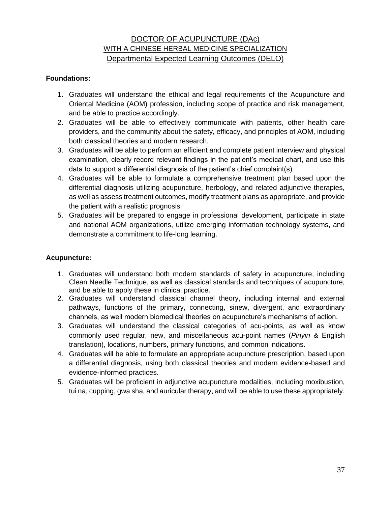# DOCTOR OF ACUPUNCTURE (DAc) WITH A CHINESE HERBAL MEDICINE SPECIALIZATION Departmental Expected Learning Outcomes (DELO)

### **Foundations:**

- 1. Graduates will understand the ethical and legal requirements of the Acupuncture and Oriental Medicine (AOM) profession, including scope of practice and risk management, and be able to practice accordingly.
- 2. Graduates will be able to effectively communicate with patients, other health care providers, and the community about the safety, efficacy, and principles of AOM, including both classical theories and modern research.
- 3. Graduates will be able to perform an efficient and complete patient interview and physical examination, clearly record relevant findings in the patient's medical chart, and use this data to support a differential diagnosis of the patient's chief complaint(s).
- 4. Graduates will be able to formulate a comprehensive treatment plan based upon the differential diagnosis utilizing acupuncture, herbology, and related adjunctive therapies, as well as assess treatment outcomes, modify treatment plans as appropriate, and provide the patient with a realistic prognosis.
- 5. Graduates will be prepared to engage in professional development, participate in state and national AOM organizations, utilize emerging information technology systems, and demonstrate a commitment to life-long learning.

### **Acupuncture:**

- 1. Graduates will understand both modern standards of safety in acupuncture, including Clean Needle Technique, as well as classical standards and techniques of acupuncture, and be able to apply these in clinical practice.
- 2. Graduates will understand classical channel theory, including internal and external pathways, functions of the primary, connecting, sinew, divergent, and extraordinary channels, as well modern biomedical theories on acupuncture's mechanisms of action.
- 3. Graduates will understand the classical categories of acu-points, as well as know commonly used regular, new, and miscellaneous acu-point names (*Pinyin* & English translation), locations, numbers, primary functions, and common indications.
- 4. Graduates will be able to formulate an appropriate acupuncture prescription, based upon a differential diagnosis, using both classical theories and modern evidence-based and evidence-informed practices.
- 5. Graduates will be proficient in adjunctive acupuncture modalities, including moxibustion, tui na, cupping, gwa sha, and auricular therapy, and will be able to use these appropriately.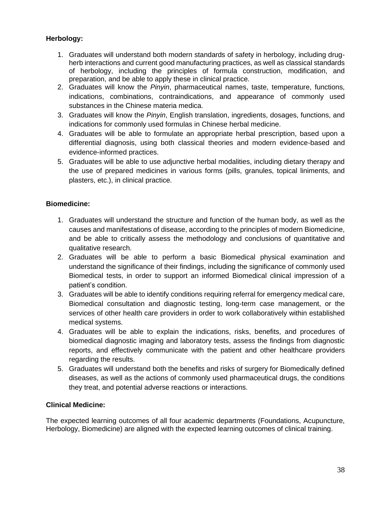# **Herbology:**

- 1. Graduates will understand both modern standards of safety in herbology, including drugherb interactions and current good manufacturing practices, as well as classical standards of herbology, including the principles of formula construction, modification, and preparation, and be able to apply these in clinical practice.
- 2. Graduates will know the *Pinyin*, pharmaceutical names, taste, temperature, functions, indications, combinations, contraindications, and appearance of commonly used substances in the Chinese materia medica.
- 3. Graduates will know the *Pinyin*, English translation, ingredients, dosages, functions, and indications for commonly used formulas in Chinese herbal medicine.
- 4. Graduates will be able to formulate an appropriate herbal prescription, based upon a differential diagnosis, using both classical theories and modern evidence-based and evidence-informed practices.
- 5. Graduates will be able to use adjunctive herbal modalities, including dietary therapy and the use of prepared medicines in various forms (pills, granules, topical liniments, and plasters, etc.), in clinical practice.

## **Biomedicine:**

- 1. Graduates will understand the structure and function of the human body, as well as the causes and manifestations of disease, according to the principles of modern Biomedicine, and be able to critically assess the methodology and conclusions of quantitative and qualitative research.
- 2. Graduates will be able to perform a basic Biomedical physical examination and understand the significance of their findings, including the significance of commonly used Biomedical tests, in order to support an informed Biomedical clinical impression of a patient's condition.
- 3. Graduates will be able to identify conditions requiring referral for emergency medical care, Biomedical consultation and diagnostic testing, long-term case management, or the services of other health care providers in order to work collaboratively within established medical systems.
- 4. Graduates will be able to explain the indications, risks, benefits, and procedures of biomedical diagnostic imaging and laboratory tests, assess the findings from diagnostic reports, and effectively communicate with the patient and other healthcare providers regarding the results.
- 5. Graduates will understand both the benefits and risks of surgery for Biomedically defined diseases, as well as the actions of commonly used pharmaceutical drugs, the conditions they treat, and potential adverse reactions or interactions.

## **Clinical Medicine:**

The expected learning outcomes of all four academic departments (Foundations, Acupuncture, Herbology, Biomedicine) are aligned with the expected learning outcomes of clinical training.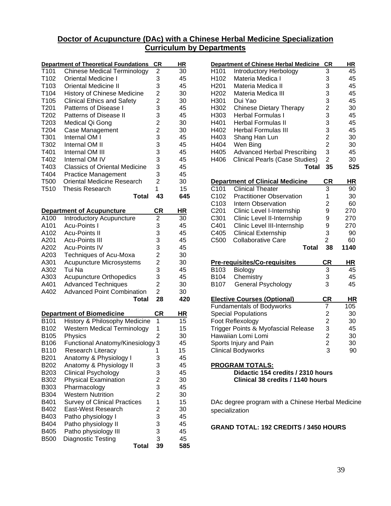### **Doctor of Acupuncture (DAc) with a Chinese Herbal Medicine Specialization Curriculum by Departments**

|                  | <b>Department of Theoretical Foundations</b> | <b>CR</b>                                  | HR  |
|------------------|----------------------------------------------|--------------------------------------------|-----|
| T101             | <b>Chinese Medical Terminology</b>           | 2                                          | 30  |
| T102             | <b>Oriental Medicine I</b>                   | 3                                          | 45  |
| T103             | <b>Oriental Medicine II</b>                  | 3                                          | 45  |
| T104             | <b>History of Chinese Medicine</b>           |                                            | 30  |
| T105             | <b>Clinical Ethics and Safety</b>            | $\frac{2}{2}$                              | 30  |
| T201             | Patterns of Disease I                        | 3                                          | 45  |
| T202             | <b>Patterns of Disease II</b>                | 3                                          | 45  |
| T203             | Medical Qi Gong                              |                                            | 30  |
| T204             | Case Management                              | $\frac{2}{2}$                              | 30  |
| T301             | Internal OM I                                | 3                                          | 45  |
| T302             | Internal OM II                               | 3                                          | 45  |
| T401             | Internal OM III                              | 3                                          | 45  |
| T402             | Internal OM IV                               | 3                                          | 45  |
| T403             | <b>Classics of Oriental Medicine</b>         | 3                                          | 45  |
|                  |                                              | 3                                          | 45  |
| T404             | <b>Practice Management</b>                   | $\overline{2}$                             |     |
| T500             | <b>Oriental Medicine Research</b>            |                                            | 30  |
| T510             | Thesis Research<br><b>Total</b>              | 1<br>43                                    | 15  |
|                  |                                              |                                            | 645 |
|                  |                                              |                                            |     |
|                  | <b>Department of Acupuncture</b>             | CR                                         | ΗR  |
| A100             | <b>Introductory Acupuncture</b>              | $\overline{c}$                             | 30  |
| A101             | <b>Acu-Points I</b>                          | 3                                          | 45  |
| A102             | <b>Acu-Points II</b>                         | 3<br>3                                     | 45  |
| A201             | <b>Acu-Points III</b>                        |                                            | 45  |
| A202             | <b>Acu-Points IV</b>                         | 3                                          | 45  |
| A203             | <b>Techniques of Acu-Moxa</b>                | $\begin{array}{c} 2 \\ 2 \\ 3 \end{array}$ | 30  |
| A301             | Acupuncture Microsystems                     |                                            | 30  |
| A302             | Tui Na                                       |                                            | 45  |
| A303             | <b>Acupuncture Orthopedics</b>               | 3                                          | 45  |
| A401             | <b>Advanced Techniques</b>                   | $\overline{2}$                             | 30  |
| A402             | <b>Advanced Point Combination</b>            | $\overline{2}$                             | 30  |
|                  | Total                                        | 28                                         | 420 |
|                  |                                              |                                            |     |
|                  | <b>Department of Biomedicine</b>             | <b>CR</b>                                  | HR  |
| B101             | History & Philosophy Medicine                | 1                                          | 15  |
| B102             | <b>Western Medical Terminology</b>           | 1                                          | 15  |
| B105             | Physics                                      | $\overline{2}$                             | 30  |
| <b>B106</b>      | Functional Anatomy/Kinesiology 3             |                                            | 45  |
| B110             | Research Literacy                            | 1                                          | 15  |
| B <sub>201</sub> | Anatomy & Physiology I                       | 3                                          | 45  |
| B202             | Anatomy & Physiology II                      | 3<br>3                                     | 45  |
| B203             | <b>Clinical Psychology</b>                   |                                            | 45  |
| B302             | <b>Physical Examination</b>                  | $\overline{c}$                             | 30  |
| B303             | Pharmacology                                 | 3                                          | 45  |
| B304             | <b>Western Nutrition</b>                     | $\overline{c}$                             | 30  |
| B401             | <b>Survey of Clinical Practices</b>          | $\overline{1}$                             | 15  |
| B402             | East-West Research                           | $\overline{\mathbf{c}}$                    | 30  |
| B403             | Patho physiology I                           | 3                                          | 45  |
| B404             | Patho physiology II                          | 3                                          | 45  |
| B405             | Patho physiology III                         | 3                                          | 45  |
| <b>B500</b>      | Diagnostic Testing                           | 3                                          | 45  |
|                  | <b>Total</b>                                 | 39                                         | 585 |

|                                                   | <b>Department of Chinese Herbal Medicine</b>                | <u>CR</u>                                         | <u>HR</u> |  |  |
|---------------------------------------------------|-------------------------------------------------------------|---------------------------------------------------|-----------|--|--|
| H101                                              | Introductory Herbology                                      | 3                                                 | 45        |  |  |
| H102                                              | Materia Medica I                                            | 3                                                 | 45        |  |  |
| H <sub>201</sub>                                  | Materia Medica II                                           | 3                                                 | 45        |  |  |
| H202                                              | Materia Medica III                                          |                                                   | 45        |  |  |
| H301                                              | Dui Yao                                                     | $\frac{3}{3}$                                     | 45        |  |  |
| H302                                              | <b>Chinese Dietary Therapy</b>                              |                                                   | 30        |  |  |
| H303                                              | <b>Herbal Formulas I</b>                                    | $\frac{2}{3}$                                     | 45        |  |  |
|                                                   |                                                             |                                                   |           |  |  |
| H401                                              | <b>Herbal Formulas II</b>                                   | 3                                                 | 45        |  |  |
| H402                                              | <b>Herbal Formulas III</b>                                  | 3                                                 | 45        |  |  |
| H403                                              | Shang Han Lun                                               | $\frac{2}{2}$                                     | 30        |  |  |
| H404                                              | Wen Bing                                                    |                                                   | 30        |  |  |
| H405                                              | <b>Advanced Herbal Prescribing</b>                          | 3                                                 | 45        |  |  |
| H406                                              | Clinical Pearls (Case Studies)                              | $\overline{2}$                                    | 30        |  |  |
|                                                   | <b>Total</b>                                                | 35                                                | 525       |  |  |
|                                                   | <b>Department of Clinical Medicine</b>                      | <b>CR</b>                                         | HR        |  |  |
| C101                                              | <b>Clinical Theater</b>                                     | 3                                                 | 90        |  |  |
| C102                                              | <b>Practitioner Observation</b>                             | 1                                                 | 30        |  |  |
| C <sub>103</sub>                                  | <b>Intern Observation</b>                                   | $\overline{2}$                                    | 60        |  |  |
| C201                                              | Clinic Level I-Internship                                   | 9                                                 | 270       |  |  |
| C301                                              | Clinic Level II-Internship                                  | 9                                                 | 270       |  |  |
| C401                                              | Clinic Level III-Internship                                 | 9                                                 | 270       |  |  |
| C405                                              | <b>Clinical Externship</b>                                  | 3                                                 | 90        |  |  |
| C500                                              | <b>Collaborative Care</b>                                   | $\overline{2}$                                    | 60        |  |  |
|                                                   | Total                                                       | 38                                                | 1140      |  |  |
|                                                   |                                                             |                                                   |           |  |  |
|                                                   | <b>Pre-requisites/Co-requisites</b>                         | <u>CR</u>                                         | ΗR        |  |  |
| B103                                              | Biology                                                     | $\overline{3}$                                    | 45        |  |  |
| B104                                              | Chemistry                                                   | $\frac{3}{3}$                                     | 45        |  |  |
| B107                                              | General Psychology                                          |                                                   | 45        |  |  |
|                                                   | <b>Elective Courses (Optional)</b>                          | <u>CR</u>                                         | ΗR        |  |  |
|                                                   | <b>Fundamentals of Bodyworks</b>                            | 7                                                 | 105       |  |  |
|                                                   | <b>Special Populations</b>                                  |                                                   | 30        |  |  |
|                                                   | Foot Reflexology                                            |                                                   | 30        |  |  |
|                                                   | Trigger Points & Myofascial Release                         | $\begin{array}{c}\n2 \\ 2 \\ 3 \\ 2\n\end{array}$ | 45        |  |  |
|                                                   | Hawaiian Lomi Lomi                                          |                                                   | 30        |  |  |
|                                                   | Sports Injury and Pain                                      | $\overline{2}$                                    | 30        |  |  |
|                                                   | <b>Clinical Bodyworks</b>                                   | 3                                                 | 90        |  |  |
|                                                   |                                                             |                                                   |           |  |  |
|                                                   | <b>PROGRAM TOTALS:</b><br>Didactic 154 credits / 2310 hours |                                                   |           |  |  |
| Clinical 38 credits / 1140 hours                  |                                                             |                                                   |           |  |  |
|                                                   |                                                             |                                                   |           |  |  |
| DAc degree program with a Chinese Herbal Medicine |                                                             |                                                   |           |  |  |

**GRAND TOTAL: 192 CREDITS / 3450 HOURS**

specialization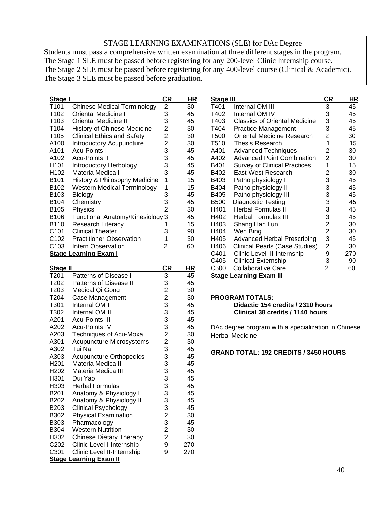## STAGE LEARNING EXAMINATIONS (SLE) for DAc Degree

Students must pass a comprehensive written examination at three different stages in the program. The Stage 1 SLE must be passed before registering for any 200-level Clinic Internship course. The Stage 2 SLE must be passed before registering for any 400-level course (Clinical & Academic). The Stage 3 SLE must be passed before graduation.

| <u>Stage I</u>   |                                    | CR | HR | <b>Sta</b>       |
|------------------|------------------------------------|----|----|------------------|
| T <sub>101</sub> | <b>Chinese Medical Terminology</b> | 2  | 30 | T40              |
| T <sub>102</sub> | Oriental Medicine I                | 3  | 45 | T40              |
| T <sub>103</sub> | Oriental Medicine II               | 3  | 45 | T40              |
| T <sub>104</sub> | <b>History of Chinese Medicine</b> | 2  | 30 | T40              |
| T <sub>105</sub> | <b>Clinical Ethics and Safety</b>  | 2  | 30 | T <sub>5</sub> C |
| A100             | Introductory Acupuncture           | 2  | 30 | <b>T51</b>       |
| A101             | <b>Acu-Points I</b>                | 3  | 45 | A40              |
| A102             | Acu-Points II                      | 3  | 45 | A40              |
| H <sub>101</sub> | Introductory Herbology             | 3  | 45 | B40              |
| H <sub>102</sub> | Materia Medica I                   | 3  | 45 | B40              |
| B <sub>101</sub> | History & Philosophy Medicine      | 1  | 15 | B40              |
| B102             | Western Medical Terminology        | 1  | 15 | B40              |
| B103             | Biology                            | 3  | 45 | B40              |
| B104             | Chemistry                          | 3  | 45 | B50              |
| B105             | Physics                            | 2  | 30 | H4(              |
| B106             | Functional Anatomy/Kinesiology 3   |    | 45 | H40              |
| B110             | Research Literacy                  | 1  | 15 | H4(              |
| C <sub>101</sub> | <b>Clinical Theater</b>            | 3  | 90 | H4(              |
| C102             | <b>Practitioner Observation</b>    | 1  | 30 | H4(              |
| C103             | Intern Observation                 | 2  | 60 | H40              |
|                  | <b>Stage Learning Exam I</b>       |    |    | C40              |

| <b>Stage II</b>  |                                 | CR                      | ΗR  |
|------------------|---------------------------------|-------------------------|-----|
| T201             | Patterns of Disease I           | 3                       | 45  |
| T202             | <b>Patterns of Disease II</b>   | 3                       | 45  |
| T203             | Medical Qi Gong                 | $\overline{\mathbf{c}}$ | 30  |
| T <sub>204</sub> | Case Management                 | $\overline{c}$          | 30  |
| T301             | Internal OM I                   | 3                       | 45  |
| T302             | Internal OM II                  | 3                       | 45  |
| A201             | <b>Acu-Points III</b>           | 3                       | 45  |
| A202             | <b>Acu-Points IV</b>            | 3                       | 45  |
| A203             | Techniques of Acu-Moxa          | 2                       | 30  |
| A301             | <b>Acupuncture Microsystems</b> | $\overline{c}$          | 30  |
| A302             | Tui Na                          | 3                       | 45  |
| A303             | <b>Acupuncture Orthopedics</b>  | 3                       | 45  |
| H <sub>201</sub> | Materia Medica II               | 3                       | 45  |
| H <sub>202</sub> | Materia Medica III              | 3                       | 45  |
| H301             | Dui Yao                         | 3                       | 45  |
| H303             | <b>Herbal Formulas I</b>        | 3                       | 45  |
| B201             | Anatomy & Physiology I          | 3                       | 45  |
| B <sub>202</sub> | Anatomy & Physiology II         | 3                       | 45  |
| B203             | <b>Clinical Psychology</b>      | 3                       | 45  |
| B302             | <b>Physical Examination</b>     | $\overline{c}$          | 30  |
| B303             | Pharmacology                    | 3                       | 45  |
| B304             | <b>Western Nutrition</b>        | $\overline{2}$          | 30  |
| H302             | <b>Chinese Dietary Therapy</b>  | $\overline{2}$          | 30  |
| C <sub>202</sub> | Clinic Level I-Internship       | 9                       | 270 |
| C301             | Clinic Level II-Internship      | 9                       | 270 |
|                  | <b>Stage Learning Exam II</b>   |                         |     |

| <b>Stage III</b> |                                      | СR                      | ΗR  |
|------------------|--------------------------------------|-------------------------|-----|
| T401             | Internal OM III                      | 3                       | 45  |
| T402             | Internal OM IV                       | 3                       | 45  |
| T403             | <b>Classics of Oriental Medicine</b> | 3                       | 45  |
| T404             | <b>Practice Management</b>           | 3                       | 45  |
| T500             | <b>Oriental Medicine Research</b>    | 2                       | 30  |
| T510             | <b>Thesis Research</b>               | 1                       | 15  |
| A401             | <b>Advanced Techniques</b>           | 2                       | 30  |
| A402             | <b>Advanced Point Combination</b>    | $\overline{2}$          | 30  |
| B401             | <b>Survey of Clinical Practices</b>  | 1                       | 15  |
| B402             | East-West Research                   | 2                       | 30  |
| B403             | Patho physiology I                   | 3                       | 45  |
| B404             | Patho physiology II                  | 3                       | 45  |
| B405             | Patho physiology III                 | 3                       | 45  |
| B500             | Diagnostic Testing                   | 3                       | 45  |
| H401             | <b>Herbal Formulas II</b>            | 3                       | 45  |
| H402             | Herbal Formulas III                  | 3                       | 45  |
| H403             | Shang Han Lun                        | $\overline{\mathbf{c}}$ | 30  |
| H404             | Wen Bing                             | $\overline{2}$          | 30  |
| H405             | <b>Advanced Herbal Prescribing</b>   | 3                       | 45  |
| H406             | Clinical Pearls (Case Studies)       | 2                       | 30  |
| C401             | Clinic Level III-Internship          | 9                       | 270 |
| C405             | <b>Clinical Externship</b>           | 3                       | 90  |
| C500             | <b>Collaborative Care</b>            | 2                       | 60  |
|                  | <b>Stage Learning Exam III</b>       |                         |     |

#### **PROGRAM TOTALS:**

#### **Didactic 154 credits / 2310 hours Clinical 38 credits / 1140 hours**

DAc degree program with a specialization in Chinese Herbal Medicine

### **GRAND TOTAL: 192 CREDITS / 3450 HOURS**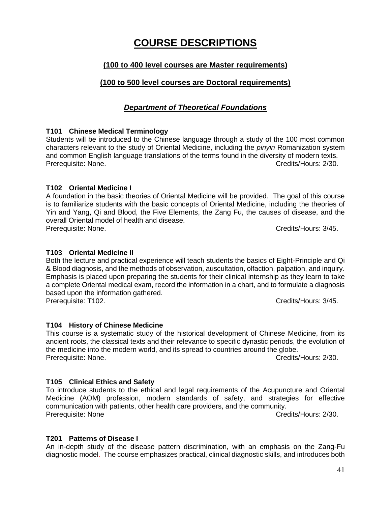# **COURSE DESCRIPTIONS**

# **(100 to 400 level courses are Master requirements)**

# **(100 to 500 level courses are Doctoral requirements)**

# *Department of Theoretical Foundations*

### **T101 Chinese Medical Terminology**

Students will be introduced to the Chinese language through a study of the 100 most common characters relevant to the study of Oriental Medicine, including the *pinyin* Romanization system and common English language translations of the terms found in the diversity of modern texts. Prerequisite: None. Credits/Hours: 2/30.

### **T102 Oriental Medicine I**

A foundation in the basic theories of Oriental Medicine will be provided. The goal of this course is to familiarize students with the basic concepts of Oriental Medicine, including the theories of Yin and Yang, Qi and Blood, the Five Elements, the Zang Fu, the causes of disease, and the overall Oriental model of health and disease. Prerequisite: None. Credits/Hours: 3/45.

### **T103 Oriental Medicine II**

Both the lecture and practical experience will teach students the basics of Eight-Principle and Qi & Blood diagnosis, and the methods of observation, auscultation, olfaction, palpation, and inquiry. Emphasis is placed upon preparing the students for their clinical internship as they learn to take a complete Oriental medical exam, record the information in a chart, and to formulate a diagnosis based upon the information gathered. Prerequisite: T102. Credits/Hours: 3/45.

### **T104 History of Chinese Medicine**

This course is a systematic study of the historical development of Chinese Medicine, from its ancient roots, the classical texts and their relevance to specific dynastic periods, the evolution of the medicine into the modern world, and its spread to countries around the globe. Prerequisite: None. Credits/Hours: 2/30.

### **T105 Clinical Ethics and Safety**

To introduce students to the ethical and legal requirements of the Acupuncture and Oriental Medicine (AOM) profession, modern standards of safety, and strategies for effective communication with patients, other health care providers, and the community. Prerequisite: None Credits/Hours: 2/30.

**T201 Patterns of Disease I**

An in-depth study of the disease pattern discrimination, with an emphasis on the Zang-Fu diagnostic model. The course emphasizes practical, clinical diagnostic skills, and introduces both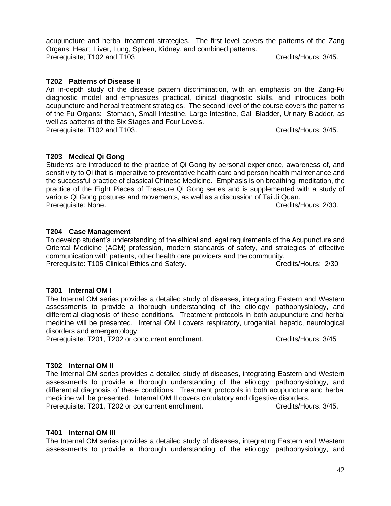acupuncture and herbal treatment strategies. The first level covers the patterns of the Zang Organs: Heart, Liver, Lung, Spleen, Kidney, and combined patterns. Prerequisite: T102 and T103 Credits/Hours: 3/45.

### **T202 Patterns of Disease II**

An in-depth study of the disease pattern discrimination, with an emphasis on the Zang-Fu diagnostic model and emphasizes practical, clinical diagnostic skills, and introduces both acupuncture and herbal treatment strategies. The second level of the course covers the patterns of the Fu Organs: Stomach, Small Intestine, Large Intestine, Gall Bladder, Urinary Bladder, as well as patterns of the Six Stages and Four Levels.

Prerequisite: T102 and T103. Credits/Hours: 3/45.

### **T203 Medical Qi Gong**

Students are introduced to the practice of Qi Gong by personal experience, awareness of, and sensitivity to Qi that is imperative to preventative health care and person health maintenance and the successful practice of classical Chinese Medicine. Emphasis is on breathing, meditation, the practice of the Eight Pieces of Treasure Qi Gong series and is supplemented with a study of various Qi Gong postures and movements, as well as a discussion of Tai Ji Quan. Prerequisite: None. Credits/Hours: 2/30.

### **T204 Case Management**

To develop student's understanding of the ethical and legal requirements of the Acupuncture and Oriental Medicine (AOM) profession, modern standards of safety, and strategies of effective communication with patients, other health care providers and the community. Prerequisite: T105 Clinical Ethics and Safety. Credits/Hours: 2/30

#### **T301 Internal OM I**

The Internal OM series provides a detailed study of diseases, integrating Eastern and Western assessments to provide a thorough understanding of the etiology, pathophysiology, and differential diagnosis of these conditions. Treatment protocols in both acupuncture and herbal medicine will be presented. Internal OM I covers respiratory, urogenital, hepatic, neurological disorders and emergentology.

Prerequisite: T201, T202 or concurrent enrollment. Credits/Hours: 3/45

#### **T302 Internal OM II**

The Internal OM series provides a detailed study of diseases, integrating Eastern and Western assessments to provide a thorough understanding of the etiology, pathophysiology, and differential diagnosis of these conditions. Treatment protocols in both acupuncture and herbal medicine will be presented. Internal OM II covers circulatory and digestive disorders. Prerequisite: T201, T202 or concurrent enrollment. The Credits/Hours: 3/45.

#### **T401 Internal OM III**

The Internal OM series provides a detailed study of diseases, integrating Eastern and Western assessments to provide a thorough understanding of the etiology, pathophysiology, and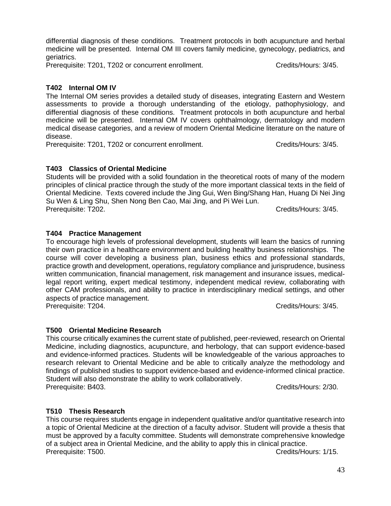differential diagnosis of these conditions. Treatment protocols in both acupuncture and herbal medicine will be presented. Internal OM III covers family medicine, gynecology, pediatrics, and geriatrics.

Prerequisite: T201, T202 or concurrent enrollment. Credits/Hours: 3/45.

# **T402 Internal OM IV**

The Internal OM series provides a detailed study of diseases, integrating Eastern and Western assessments to provide a thorough understanding of the etiology, pathophysiology, and differential diagnosis of these conditions. Treatment protocols in both acupuncture and herbal medicine will be presented. Internal OM IV covers ophthalmology, dermatology and modern medical disease categories, and a review of modern Oriental Medicine literature on the nature of disease.

Prerequisite: T201, T202 or concurrent enrollment. The Credits/Hours: 3/45.

# **T403 Classics of Oriental Medicine**

Students will be provided with a solid foundation in the theoretical roots of many of the modern principles of clinical practice through the study of the more important classical texts in the field of Oriental Medicine. Texts covered include the Jing Gui, Wen Bing/Shang Han, Huang Di Nei Jing Su Wen & Ling Shu, Shen Nong Ben Cao, Mai Jing, and Pi Wei Lun. Prerequisite: T202. Credits/Hours: 3/45.

# **T404 Practice Management**

To encourage high levels of professional development, students will learn the basics of running their own practice in a healthcare environment and building healthy business relationships. The course will cover developing a business plan, business ethics and professional standards, practice growth and development, operations, regulatory compliance and jurisprudence, business written communication, financial management, risk management and insurance issues, medicallegal report writing, expert medical testimony, independent medical review, collaborating with other CAM professionals, and ability to practice in interdisciplinary medical settings, and other aspects of practice management. Prerequisite: T204. Credits/Hours: 3/45.

# **T500 Oriental Medicine Research**

This course critically examines the current state of published, peer-reviewed, research on Oriental Medicine, including diagnostics, acupuncture, and herbology, that can support evidence-based and evidence-informed practices. Students will be knowledgeable of the various approaches to research relevant to Oriental Medicine and be able to critically analyze the methodology and findings of published studies to support evidence-based and evidence-informed clinical practice. Student will also demonstrate the ability to work collaboratively. Prerequisite: B403. Credits/Hours: 2/30.

# **T510 Thesis Research**

This course requires students engage in independent qualitative and/or quantitative research into a topic of Oriental Medicine at the direction of a faculty advisor. Student will provide a thesis that must be approved by a faculty committee. Students will demonstrate comprehensive knowledge of a subject area in Oriental Medicine, and the ability to apply this in clinical practice. Prerequisite: T500. Credits/Hours: 1/15.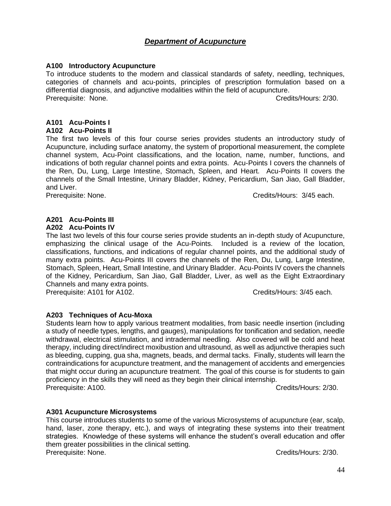# *Department of Acupuncture*

#### **A100 Introductory Acupuncture**

To introduce students to the modern and classical standards of safety, needling, techniques, categories of channels and acu-points, principles of prescription formulation based on a differential diagnosis, and adjunctive modalities within the field of acupuncture. Prerequisite: None. Credits/Hours: 2/30.

### **A101 Acu-Points I**

#### **A102 Acu-Points II**

The first two levels of this four course series provides students an introductory study of Acupuncture, including surface anatomy, the system of proportional measurement, the complete channel system, Acu-Point classifications, and the location, name, number, functions, and indications of both regular channel points and extra points. Acu-Points I covers the channels of the Ren, Du, Lung, Large Intestine, Stomach, Spleen, and Heart. Acu-Points II covers the channels of the Small Intestine, Urinary Bladder, Kidney, Pericardium, San Jiao, Gall Bladder, and Liver.

Prerequisite: None. **Communisty Credits** Credits/Hours: 3/45 each.

# **A201 Acu-Points III**

#### **A202 Acu-Points IV**

The last two levels of this four course series provide students an in-depth study of Acupuncture, emphasizing the clinical usage of the Acu-Points. Included is a review of the location, classifications, functions, and indications of regular channel points, and the additional study of many extra points. Acu-Points III covers the channels of the Ren, Du, Lung, Large Intestine, Stomach, Spleen, Heart, Small Intestine, and Urinary Bladder. Acu-Points IV covers the channels of the Kidney, Pericardium, San Jiao, Gall Bladder, Liver, as well as the Eight Extraordinary Channels and many extra points.

Prerequisite: A101 for A102. Credits/Hours: 3/45 each.

### **A203 Techniques of Acu-Moxa**

Students learn how to apply various treatment modalities, from basic needle insertion (including a study of needle types, lengths, and gauges), manipulations for tonification and sedation, needle withdrawal, electrical stimulation, and intradermal needling. Also covered will be cold and heat therapy, including direct/indirect moxibustion and ultrasound, as well as adjunctive therapies such as bleeding, cupping, gua sha, magnets, beads, and dermal tacks. Finally, students will learn the contraindications for acupuncture treatment, and the management of accidents and emergencies that might occur during an acupuncture treatment. The goal of this course is for students to gain proficiency in the skills they will need as they begin their clinical internship. Prerequisite: A100. Credits/Hours: 2/30.

### **A301 Acupuncture Microsystems**

This course introduces students to some of the various Microsystems of acupuncture (ear, scalp, hand, laser, zone therapy, etc.), and ways of integrating these systems into their treatment strategies. Knowledge of these systems will enhance the student's overall education and offer them greater possibilities in the clinical setting. Prerequisite: None. Credits/Hours: 2/30.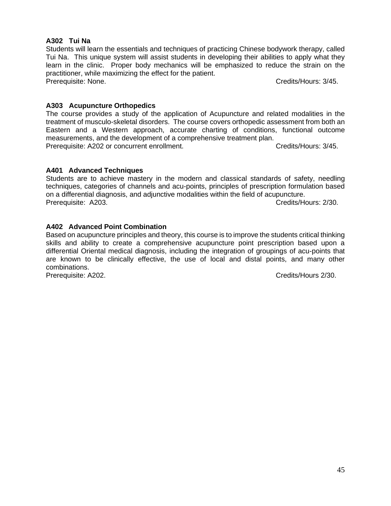# **A302 Tui Na**

Students will learn the essentials and techniques of practicing Chinese bodywork therapy, called Tui Na. This unique system will assist students in developing their abilities to apply what they learn in the clinic. Proper body mechanics will be emphasized to reduce the strain on the practitioner, while maximizing the effect for the patient. Prerequisite: None. Credits/Hours: 3/45.

# **A303 Acupuncture Orthopedics**

The course provides a study of the application of Acupuncture and related modalities in the treatment of musculo-skeletal disorders. The course covers orthopedic assessment from both an Eastern and a Western approach, accurate charting of conditions, functional outcome measurements, and the development of a comprehensive treatment plan. Prerequisite: A202 or concurrent enrollment. Credits/Hours: 3/45.

# **A401 Advanced Techniques**

Students are to achieve mastery in the modern and classical standards of safety, needling techniques, categories of channels and acu-points, principles of prescription formulation based on a differential diagnosis, and adjunctive modalities within the field of acupuncture. Prerequisite: A203. Credits/Hours: 2/30.

# **A402 Advanced Point Combination**

Based on acupuncture principles and theory, this course is to improve the students critical thinking skills and ability to create a comprehensive acupuncture point prescription based upon a differential Oriental medical diagnosis, including the integration of groupings of acu-points that are known to be clinically effective, the use of local and distal points, and many other combinations.

Prerequisite: A202. Credits/Hours 2/30.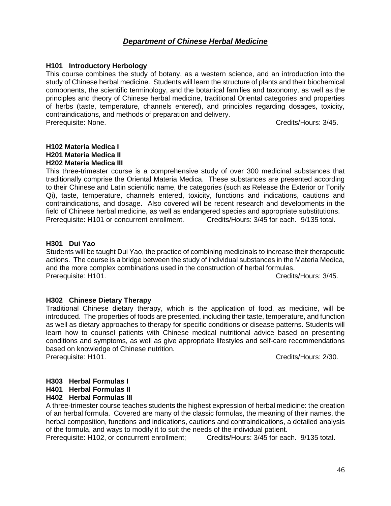# *Department of Chinese Herbal Medicine*

### **H101 Introductory Herbology**

This course combines the study of botany, as a western science, and an introduction into the study of Chinese herbal medicine. Students will learn the structure of plants and their biochemical components, the scientific terminology, and the botanical families and taxonomy, as well as the principles and theory of Chinese herbal medicine, traditional Oriental categories and properties of herbs (taste, temperature, channels entered), and principles regarding dosages, toxicity, contraindications, and methods of preparation and delivery. Prerequisite: None. Credits/Hours: 3/45.

#### **H102 Materia Medica I H201 Materia Medica II H202 Materia Medica III**

This three-trimester course is a comprehensive study of over 300 medicinal substances that traditionally comprise the Oriental Materia Medica. These substances are presented according to their Chinese and Latin scientific name, the categories (such as Release the Exterior or Tonify Qi), taste, temperature, channels entered, toxicity, functions and indications, cautions and contraindications, and dosage. Also covered will be recent research and developments in the field of Chinese herbal medicine, as well as endangered species and appropriate substitutions.<br>Prerequisite: H101 or concurrent enrollment. Credits/Hours: 3/45 for each. 9/135 total. Prerequisite: H101 or concurrent enrollment.

### **H301 Dui Yao**

Students will be taught Dui Yao, the practice of combining medicinals to increase their therapeutic actions. The course is a bridge between the study of individual substances in the Materia Medica, and the more complex combinations used in the construction of herbal formulas. Prerequisite: H101. Credits/Hours: 3/45.

### **H302 Chinese Dietary Therapy**

Traditional Chinese dietary therapy, which is the application of food, as medicine, will be introduced. The properties of foods are presented, including their taste, temperature, and function as well as dietary approaches to therapy for specific conditions or disease patterns. Students will learn how to counsel patients with Chinese medical nutritional advice based on presenting conditions and symptoms, as well as give appropriate lifestyles and self-care recommendations based on knowledge of Chinese nutrition.

Prerequisite: H101. Credits/Hours: 2/30.

## **H303 Herbal Formulas I**

**H401 Herbal Formulas II**

### **H402 Herbal Formulas III**

A three-trimester course teaches students the highest expression of herbal medicine: the creation of an herbal formula. Covered are many of the classic formulas, the meaning of their names, the herbal composition, functions and indications, cautions and contraindications, a detailed analysis of the formula, and ways to modify it to suit the needs of the individual patient.

Prerequisite: H102, or concurrent enrollment; Credits/Hours: 3/45 for each. 9/135 total.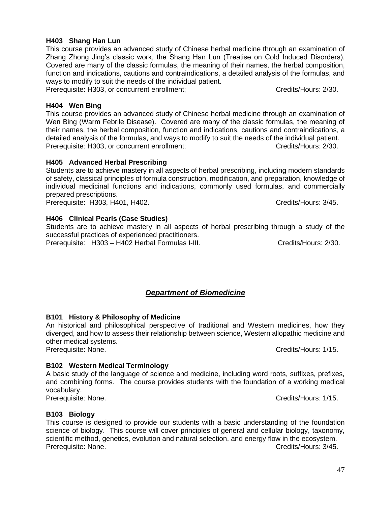### **H403 Shang Han Lun**

This course provides an advanced study of Chinese herbal medicine through an examination of Zhang Zhong Jing's classic work, the Shang Han Lun (Treatise on Cold Induced Disorders). Covered are many of the classic formulas, the meaning of their names, the herbal composition, function and indications, cautions and contraindications, a detailed analysis of the formulas, and ways to modify to suit the needs of the individual patient.

Prerequisite: H303, or concurrent enrollment; Credits/Hours: 2/30.

# **H404 Wen Bing**

This course provides an advanced study of Chinese herbal medicine through an examination of Wen Bing (Warm Febrile Disease). Covered are many of the classic formulas, the meaning of their names, the herbal composition, function and indications, cautions and contraindications, a detailed analysis of the formulas, and ways to modify to suit the needs of the individual patient. Prerequisite: H303, or concurrent enrollment; Credits/Hours: 2/30.

### **H405 Advanced Herbal Prescribing**

Students are to achieve mastery in all aspects of herbal prescribing, including modern standards of safety, classical principles of formula construction, modification, and preparation, knowledge of individual medicinal functions and indications, commonly used formulas, and commercially prepared prescriptions.

Prerequisite: H303, H401, H402. Credits/Hours: 3/45.

## **H406 Clinical Pearls (Case Studies)**

Students are to achieve mastery in all aspects of herbal prescribing through a study of the successful practices of experienced practitioners.

Prerequisite: H303 – H402 Herbal Formulas I-III. Credits/Hours: 2/30.

# *Department of Biomedicine*

### **B101 History & Philosophy of Medicine**

An historical and philosophical perspective of traditional and Western medicines, how they diverged, and how to assess their relationship between science, Western allopathic medicine and other medical systems.

Prerequisite: None. Credits/Hours: 1/15.

## **B102 Western Medical Terminology**

A basic study of the language of science and medicine, including word roots, suffixes, prefixes, and combining forms. The course provides students with the foundation of a working medical vocabulary.

## **B103 Biology**

This course is designed to provide our students with a basic understanding of the foundation science of biology. This course will cover principles of general and cellular biology, taxonomy, scientific method, genetics, evolution and natural selection, and energy flow in the ecosystem. Prerequisite: None. Credits/Hours: 3/45.

Prerequisite: None. Credits/Hours: 1/15.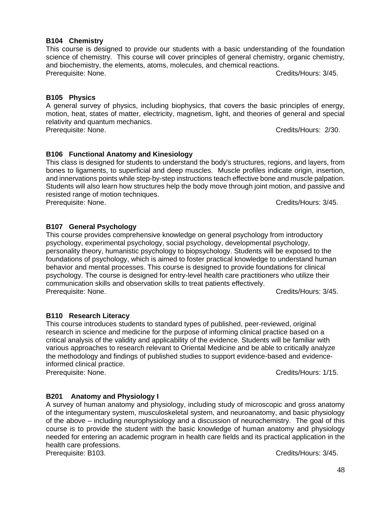### **B104 Chemistry**

This course is designed to provide our students with a basic understanding of the foundation science of chemistry. This course will cover principles of general chemistry, organic chemistry. and biochemistry, the elements, atoms, molecules, and chemical reactions. Prerequisite: None. Credits/Hours: 3/45.

### **B105 Physics**

A general survey of physics, including biophysics, that covers the basic principles of energy, motion, heat, states of matter, electricity, magnetism, light, and theories of general and special relativity and quantum mechanics. Prerequisite: None. Credits/Hours: 2/30.

# **B106 Functional Anatomy and Kinesiology**

This class is designed for students to understand the body's structures, regions, and layers, from bones to ligaments, to superficial and deep muscles. Muscle profiles indicate origin, insertion, and innervations points while step-by-step instructions teach effective bone and muscle palpation. Students will also learn how structures help the body move through joint motion, and passive and resisted range of motion techniques. Prerequisite: None. Credits/Hours: 3/45.

## **B107 General Psychology**

This course provides comprehensive knowledge on general psychology from introductory psychology, experimental psychology, social psychology, developmental psychology, personality theory, humanistic psychology to biopsychology. Students will be exposed to the foundations of psychology, which is aimed to foster practical knowledge to understand human behavior and mental processes. This course is designed to provide foundations for clinical psychology. The course is designed for entry-level health care practitioners who utilize their communication skills and observation skills to treat patients effectively. Prerequisite: None. Credits/Hours: 3/45.

## **B110 Research Literacy**

This course introduces students to standard types of published, peer-reviewed, original research in science and medicine for the purpose of informing clinical practice based on a critical analysis of the validity and applicability of the evidence. Students will be familiar with various approaches to research relevant to Oriental Medicine and be able to critically analyze the methodology and findings of published studies to support evidence-based and evidenceinformed clinical practice.

Prerequisite: None. Credits/Hours: 1/15.

# **B201 Anatomy and Physiology I**

A survey of human anatomy and physiology, including study of microscopic and gross anatomy of the integumentary system, musculoskeletal system, and neuroanatomy, and basic physiology of the above – including neurophysiology and a discussion of neurochemistry. The goal of this course is to provide the student with the basic knowledge of human anatomy and physiology needed for entering an academic program in health care fields and its practical application in the health care professions.

Prerequisite: B103. Credits/Hours: 3/45.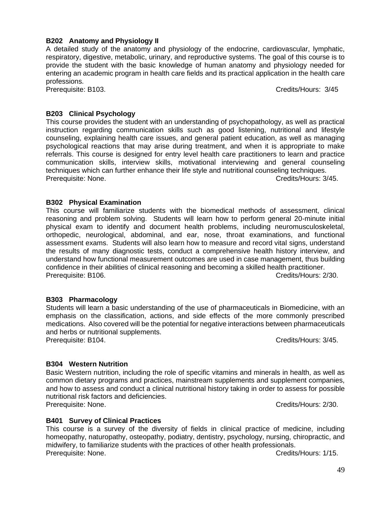#### 49

### **B202 Anatomy and Physiology II**

A detailed study of the anatomy and physiology of the endocrine, cardiovascular, lymphatic, respiratory, digestive, metabolic, urinary, and reproductive systems. The goal of this course is to provide the student with the basic knowledge of human anatomy and physiology needed for entering an academic program in health care fields and its practical application in the health care professions.

Prerequisite: B103. Credits/Hours: 3/45

### **B203 Clinical Psychology**

This course provides the student with an understanding of psychopathology, as well as practical instruction regarding communication skills such as good listening, nutritional and lifestyle counseling, explaining health care issues, and general patient education, as well as managing psychological reactions that may arise during treatment, and when it is appropriate to make referrals. This course is designed for entry level health care practitioners to learn and practice communication skills, interview skills, motivational interviewing and general counseling techniques which can further enhance their life style and nutritional counseling techniques. Prerequisite: None. Credits/Hours: 3/45.

### **B302 Physical Examination**

This course will familiarize students with the biomedical methods of assessment, clinical reasoning and problem solving. Students will learn how to perform general 20-minute initial physical exam to identify and document health problems, including neuromusculoskeletal, orthopedic, neurological, abdominal, and ear, nose, throat examinations, and functional assessment exams. Students will also learn how to measure and record vital signs, understand the results of many diagnostic tests, conduct a comprehensive health history interview, and understand how functional measurement outcomes are used in case management, thus building confidence in their abilities of clinical reasoning and becoming a skilled health practitioner. Prerequisite: B106. Credits/Hours: 2/30.

### **B303 Pharmacology**

Students will learn a basic understanding of the use of pharmaceuticals in Biomedicine, with an emphasis on the classification, actions, and side effects of the more commonly prescribed medications. Also covered will be the potential for negative interactions between pharmaceuticals and herbs or nutritional supplements.

Prerequisite: B104. Credits/Hours: 3/45.

### **B304 Western Nutrition**

Basic Western nutrition, including the role of specific vitamins and minerals in health, as well as common dietary programs and practices, mainstream supplements and supplement companies, and how to assess and conduct a clinical nutritional history taking in order to assess for possible nutritional risk factors and deficiencies. Prerequisite: None. Credits/Hours: 2/30.

# **B401 Survey of Clinical Practices**

This course is a survey of the diversity of fields in clinical practice of medicine, including homeopathy, naturopathy, osteopathy, podiatry, dentistry, psychology, nursing, chiropractic, and midwifery, to familiarize students with the practices of other health professionals. Prerequisite: None. Credits/Hours: 1/15.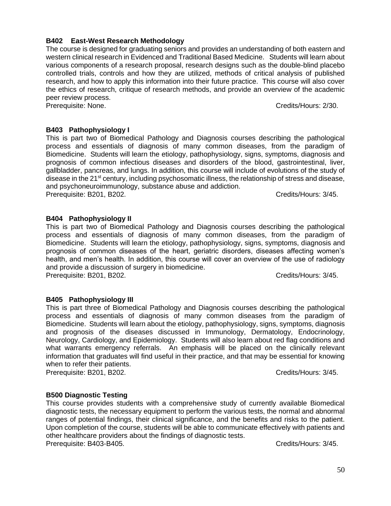# **B402 East-West Research Methodology**

The course is designed for graduating seniors and provides an understanding of both eastern and western clinical research in Evidenced and Traditional Based Medicine. Students will learn about various components of a research proposal, research designs such as the double-blind placebo controlled trials, controls and how they are utilized, methods of critical analysis of published research, and how to apply this information into their future practice. This course will also cover the ethics of research, critique of research methods, and provide an overview of the academic peer review process.

Prerequisite: None. Credits/Hours: 2/30.

# **B403 Pathophysiology I**

This is part two of Biomedical Pathology and Diagnosis courses describing the pathological process and essentials of diagnosis of many common diseases, from the paradigm of Biomedicine. Students will learn the etiology, pathophysiology, signs, symptoms, diagnosis and prognosis of common infectious diseases and disorders of the blood, gastrointestinal, liver, gallbladder, pancreas, and lungs. In addition, this course will include of evolutions of the study of disease in the 21<sup>st</sup> century, including psychosomatic illness, the relationship of stress and disease, and psychoneuroimmunology, substance abuse and addiction. Prerequisite: B201, B202. Credits/Hours: 3/45.

# **B404 Pathophysiology II**

This is part two of Biomedical Pathology and Diagnosis courses describing the pathological process and essentials of diagnosis of many common diseases, from the paradigm of Biomedicine. Students will learn the etiology, pathophysiology, signs, symptoms, diagnosis and prognosis of common diseases of the heart, geriatric disorders, diseases affecting women's health, and men's health. In addition, this course will cover an overview of the use of radiology and provide a discussion of surgery in biomedicine. Prerequisite: B201, B202. Credits/Hours: 3/45.

# **B405 Pathophysiology III**

This is part three of Biomedical Pathology and Diagnosis courses describing the pathological process and essentials of diagnosis of many common diseases from the paradigm of Biomedicine. Students will learn about the etiology, pathophysiology, signs, symptoms, diagnosis and prognosis of the diseases discussed in Immunology, Dermatology, Endocrinology, Neurology, Cardiology, and Epidemiology. Students will also learn about red flag conditions and what warrants emergency referrals. An emphasis will be placed on the clinically relevant information that graduates will find useful in their practice, and that may be essential for knowing when to refer their patients.

Prerequisite: B201, B202. Credits/Hours: 3/45.

# **B500 Diagnostic Testing**

This course provides students with a comprehensive study of currently available Biomedical diagnostic tests, the necessary equipment to perform the various tests, the normal and abnormal ranges of potential findings, their clinical significance, and the benefits and risks to the patient. Upon completion of the course, students will be able to communicate effectively with patients and other healthcare providers about the findings of diagnostic tests. Prerequisite: B403-B405. Credits/Hours: 3/45.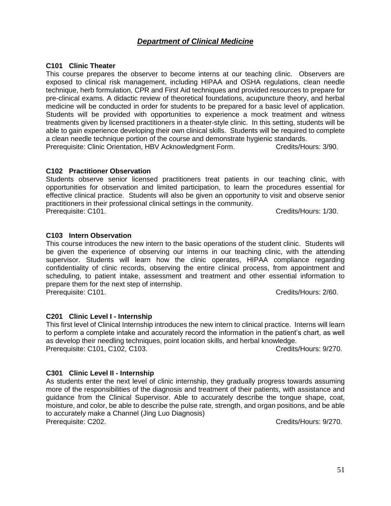# *Department of Clinical Medicine*

### **C101 Clinic Theater**

This course prepares the observer to become interns at our teaching clinic. Observers are exposed to clinical risk management, including HIPAA and OSHA regulations, clean needle technique, herb formulation, CPR and First Aid techniques and provided resources to prepare for pre-clinical exams. A didactic review of theoretical foundations, acupuncture theory, and herbal medicine will be conducted in order for students to be prepared for a basic level of application. Students will be provided with opportunities to experience a mock treatment and witness treatments given by licensed practitioners in a theater-style clinic. In this setting, students will be able to gain experience developing their own clinical skills. Students will be required to complete a clean needle technique portion of the course and demonstrate hygienic standards.

Prerequisite: Clinic Orientation, HBV Acknowledgment Form. Credits/Hours: 3/90.

### **C102 Practitioner Observation**

Students observe senior licensed practitioners treat patients in our teaching clinic, with opportunities for observation and limited participation, to learn the procedures essential for effective clinical practice. Students will also be given an opportunity to visit and observe senior practitioners in their professional clinical settings in the community. Prerequisite: C101. Credits/Hours: 1/30.

### **C103 Intern Observation**

This course introduces the new intern to the basic operations of the student clinic. Students will be given the experience of observing our interns in our teaching clinic, with the attending supervisor. Students will learn how the clinic operates, HIPAA compliance regarding confidentiality of clinic records, observing the entire clinical process, from appointment and scheduling, to patient intake, assessment and treatment and other essential information to prepare them for the next step of internship. Prerequisite: C101. Credits/Hours: 2/60.

### **C201 Clinic Level I - Internship**

This first level of Clinical Internship introduces the new intern to clinical practice. Interns will learn to perform a complete intake and accurately record the information in the patient's chart, as well as develop their needling techniques, point location skills, and herbal knowledge. Prerequisite: C101, C102, C103. Credits/Hours: 9/270.

#### **C301 Clinic Level II - Internship**

As students enter the next level of clinic internship, they gradually progress towards assuming more of the responsibilities of the diagnosis and treatment of their patients, with assistance and guidance from the Clinical Supervisor. Able to accurately describe the tongue shape, coat, moisture, and color, be able to describe the pulse rate, strength, and organ positions, and be able to accurately make a Channel (Jing Luo Diagnosis) Prerequisite: C202.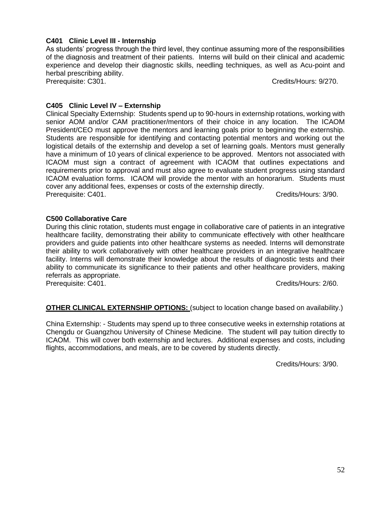### **C401 Clinic Level III - Internship**

As students' progress through the third level, they continue assuming more of the responsibilities of the diagnosis and treatment of their patients. Interns will build on their clinical and academic experience and develop their diagnostic skills, needling techniques, as well as Acu-point and herbal prescribing ability.

Prerequisite: C301. Credits/Hours: 9/270.

# **C405 Clinic Level IV – Externship**

Clinical Specialty Externship: Students spend up to 90-hours in externship rotations, working with senior AOM and/or CAM practitioner/mentors of their choice in any location. The ICAOM President/CEO must approve the mentors and learning goals prior to beginning the externship. Students are responsible for identifying and contacting potential mentors and working out the logistical details of the externship and develop a set of learning goals. Mentors must generally have a minimum of 10 years of clinical experience to be approved. Mentors not associated with ICAOM must sign a contract of agreement with ICAOM that outlines expectations and requirements prior to approval and must also agree to evaluate student progress using standard ICAOM evaluation forms. ICAOM will provide the mentor with an honorarium. Students must cover any additional fees, expenses or costs of the externship directly. Prerequisite: C401. Cases and Contract the Credits/Hours: 3/90.

# **C500 Collaborative Care**

During this clinic rotation, students must engage in collaborative care of patients in an integrative healthcare facility, demonstrating their ability to communicate effectively with other healthcare providers and guide patients into other healthcare systems as needed. Interns will demonstrate their ability to work collaboratively with other healthcare providers in an integrative healthcare facility. Interns will demonstrate their knowledge about the results of diagnostic tests and their ability to communicate its significance to their patients and other healthcare providers, making referrals as appropriate.

Prerequisite: C401. Credits/Hours: 2/60.

# **OTHER CLINICAL EXTERNSHIP OPTIONS:** (subject to location change based on availability.)

China Externship: - Students may spend up to three consecutive weeks in externship rotations at Chengdu or Guangzhou University of Chinese Medicine. The student will pay tuition directly to ICAOM. This will cover both externship and lectures. Additional expenses and costs, including flights, accommodations, and meals, are to be covered by students directly.

Credits/Hours: 3/90.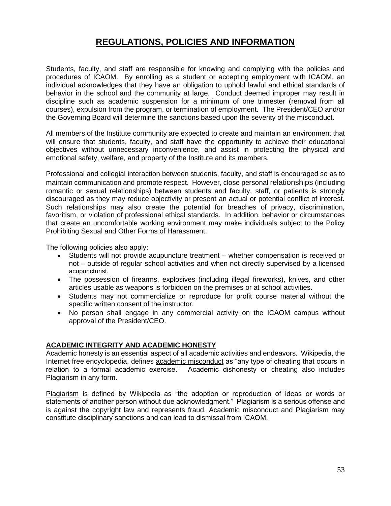# **REGULATIONS, POLICIES AND INFORMATION**

Students, faculty, and staff are responsible for knowing and complying with the policies and procedures of ICAOM. By enrolling as a student or accepting employment with ICAOM, an individual acknowledges that they have an obligation to uphold lawful and ethical standards of behavior in the school and the community at large. Conduct deemed improper may result in discipline such as academic suspension for a minimum of one trimester (removal from all courses), expulsion from the program, or termination of employment. The President/CEO and/or the Governing Board will determine the sanctions based upon the severity of the misconduct.

All members of the Institute community are expected to create and maintain an environment that will ensure that students, faculty, and staff have the opportunity to achieve their educational objectives without unnecessary inconvenience, and assist in protecting the physical and emotional safety, welfare, and property of the Institute and its members.

Professional and collegial interaction between students, faculty, and staff is encouraged so as to maintain communication and promote respect. However, close personal relationships (including romantic or sexual relationships) between students and faculty, staff, or patients is strongly discouraged as they may reduce objectivity or present an actual or potential conflict of interest. Such relationships may also create the potential for breaches of privacy, discrimination, favoritism, or violation of professional ethical standards. In addition, behavior or circumstances that create an uncomfortable working environment may make individuals subject to the Policy Prohibiting Sexual and Other Forms of Harassment.

The following policies also apply:

- Students will not provide acupuncture treatment whether compensation is received or not – outside of regular school activities and when not directly supervised by a licensed acupuncturist.
- The possession of firearms, explosives (including illegal fireworks), knives, and other articles usable as weapons is forbidden on the premises or at school activities.
- Students may not commercialize or reproduce for profit course material without the specific written consent of the instructor.
- No person shall engage in any commercial activity on the ICAOM campus without approval of the President/CEO.

### **ACADEMIC INTEGRITY AND ACADEMIC HONESTY**

Academic honesty is an essential aspect of all academic activities and endeavors. Wikipedia, the Internet free encyclopedia, defines academic misconduct as "any type of cheating that occurs in relation to a formal academic exercise." Academic dishonesty or cheating also includes Plagiarism in any form.

Plagiarism is defined by Wikipedia as "the adoption or reproduction of ideas or words or statements of another person without due acknowledgment." Plagiarism is a serious offense and is against the copyright law and represents fraud. Academic misconduct and Plagiarism may constitute disciplinary sanctions and can lead to dismissal from ICAOM.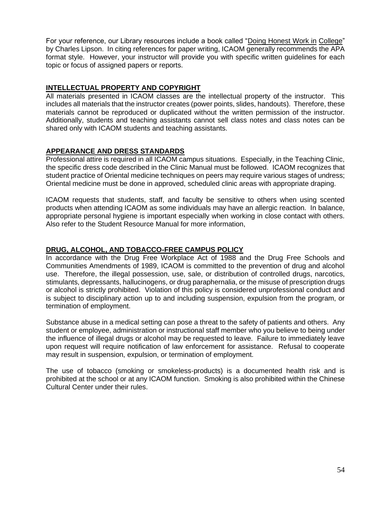For your reference, our Library resources include a book called "Doing Honest Work in College" by Charles Lipson. In citing references for paper writing, ICAOM generally recommends the APA format style. However, your instructor will provide you with specific written guidelines for each topic or focus of assigned papers or reports.

### **INTELLECTUAL PROPERTY AND COPYRIGHT**

All materials presented in ICAOM classes are the intellectual property of the instructor. This includes all materials that the instructor creates (power points, slides, handouts). Therefore, these materials cannot be reproduced or duplicated without the written permission of the instructor. Additionally, students and teaching assistants cannot sell class notes and class notes can be shared only with ICAOM students and teaching assistants.

## **APPEARANCE AND DRESS STANDARDS**

Professional attire is required in all ICAOM campus situations. Especially, in the Teaching Clinic, the specific dress code described in the Clinic Manual must be followed. ICAOM recognizes that student practice of Oriental medicine techniques on peers may require various stages of undress; Oriental medicine must be done in approved, scheduled clinic areas with appropriate draping.

ICAOM requests that students, staff, and faculty be sensitive to others when using scented products when attending ICAOM as some individuals may have an allergic reaction. In balance, appropriate personal hygiene is important especially when working in close contact with others. Also refer to the Student Resource Manual for more information,

## **DRUG, ALCOHOL, AND TOBACCO-FREE CAMPUS POLICY**

In accordance with the Drug Free Workplace Act of 1988 and the Drug Free Schools and Communities Amendments of 1989, ICAOM is committed to the prevention of drug and alcohol use. Therefore, the illegal possession, use, sale, or distribution of controlled drugs, narcotics, stimulants, depressants, hallucinogens, or drug paraphernalia, or the misuse of prescription drugs or alcohol is strictly prohibited. Violation of this policy is considered unprofessional conduct and is subject to disciplinary action up to and including suspension, expulsion from the program, or termination of employment.

Substance abuse in a medical setting can pose a threat to the safety of patients and others. Any student or employee, administration or instructional staff member who you believe to being under the influence of illegal drugs or alcohol may be requested to leave. Failure to immediately leave upon request will require notification of law enforcement for assistance. Refusal to cooperate may result in suspension, expulsion, or termination of employment.

The use of tobacco (smoking or smokeless-products) is a documented health risk and is prohibited at the school or at any ICAOM function. Smoking is also prohibited within the Chinese Cultural Center under their rules.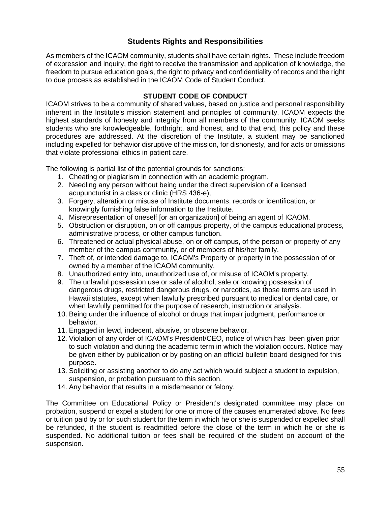# **Students Rights and Responsibilities**

As members of the ICAOM community, students shall have certain rights. These include freedom of expression and inquiry, the right to receive the transmission and application of knowledge, the freedom to pursue education goals, the right to privacy and confidentiality of records and the right to due process as established in the ICAOM Code of Student Conduct.

### **STUDENT CODE OF CONDUCT**

ICAOM strives to be a community of shared values, based on justice and personal responsibility inherent in the lnstitute's mission statement and principles of community. ICAOM expects the highest standards of honesty and integrity from all members of the community. ICAOM seeks students who are knowledgeable, forthright, and honest, and to that end, this policy and these procedures are addressed. At the discretion of the Institute, a student may be sanctioned including expelled for behavior disruptive of the mission, for dishonesty, and for acts or omissions that violate professional ethics in patient care.

The following is partial list of the potential grounds for sanctions:

- 1. Cheating or plagiarism in connection with an academic program.
- 2. Needling any person without being under the direct supervision of a licensed acupuncturist in a class or clinic (HRS 436-e),
- 3. Forgery, alteration or misuse of Institute documents, records or identification, or knowingly furnishing false information to the Institute.
- 4. Misrepresentation of oneself [or an organization] of being an agent of ICAOM.
- 5. Obstruction or disruption, on or off campus property, of the campus educational process, administrative process, or other campus function.
- 6. Threatened or actual physical abuse, on or off campus, of the person or property of any member of the campus community, or of members of his/her family.
- 7. Theft of, or intended damage to, ICAOM's Property or property in the possession of or owned by a member of the ICAOM community.
- 8. Unauthorized entry into, unauthorized use of, or misuse of ICAOM's property.
- 9. The unlawful possession use or sale of alcohol, sale or knowing possession of dangerous drugs, restricted dangerous drugs, or narcotics, as those terms are used in Hawaii statutes, except when lawfully prescribed pursuant to medical or dental care, or when lawfully permitted for the purpose of research, instruction or analysis.
- 10. Being under the influence of alcohol or drugs that impair judgment, performance or behavior.
- 11. Engaged in lewd, indecent, abusive, or obscene behavior.
- 12. Violation of any order of ICAOM's President/CEO, notice of which has been given prior to such violation and during the academic term in which the violation occurs. Notice may be given either by publication or by posting on an official bulletin board designed for this purpose.
- 13. Soliciting or assisting another to do any act which would subject a student to expulsion, suspension, or probation pursuant to this section.
- 14. Any behavior that results in a misdemeanor or felony.

The Committee on Educational Policy or President's designated committee may place on probation, suspend or expel a student for one or more of the causes enumerated above. No fees or tuition paid by or for such student for the term in which he or she is suspended or expelled shall be refunded, if the student is readmitted before the close of the term in which he or she is suspended. No additional tuition or fees shall be required of the student on account of the suspension.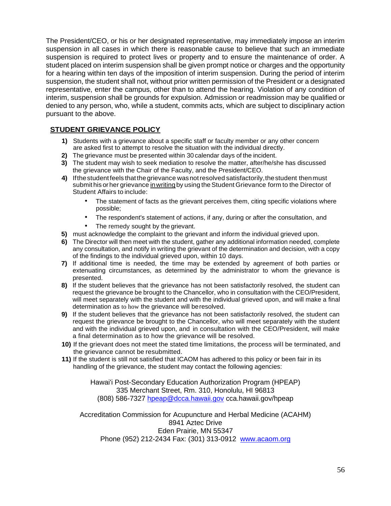The President/CEO, or his or her designated representative, may immediately impose an interim suspension in all cases in which there is reasonable cause to believe that such an immediate suspension is required to protect lives or property and to ensure the maintenance of order. A student placed on interim suspension shall be given prompt notice or charges and the opportunity for a hearing within ten days of the imposition of interim suspension. During the period of interim suspension, the student shall not, without prior written permission of the President or a designated representative, enter the campus, other than to attend the hearing. Violation of any condition of interim, suspension shall be grounds for expulsion. Admission or readmission may be qualified or denied to any person, who, while a student, commits acts, which are subject to disciplinary action pursuant to the above.

# **STUDENT GRIEVANCE POLICY**

- **1)** Students with a grievance about a specific staff or faculty member or any other concern are asked first to attempt to resolve the situation with the individual directly.
- **2)** The grievance must be presented within 30 calendar days of the incident.
- **3)** The student may wish to seek mediation to resolve the matter, after/he/she has discussed the grievance with the Chair of the Faculty, and the President/CEO.
- **4)** Ifthestudent feels thatthegrievance wasnotresolved satisfactorily,thestudent thenmust submit his or her grievance in writing by using the Student Grievance form to the Director of Student Affairs to include:
	- The statement of facts as the grievant perceives them, citing specific violations where possible;
	- The respondent's statement of actions, if any, during or after the consultation, and
	- The remedy sought by the grievant.
- **5)** must acknowledge the complaint to the grievant and inform the individual grieved upon.
- **6)** The Director will then meet with the student, gather any additional information needed, complete any consultation, and notify in writing the grievant of the determination and decision, with a copy of the findings to the individual grieved upon, within 10 days.
- **7)** If additional time is needed, the time may be extended by agreement of both parties or extenuating circumstances, as determined by the administrator to whom the grievance is presented.
- **8)** If the student believes that the grievance has not been satisfactorily resolved, the student can request the grievance be brought to the Chancellor, who in consultation with the CEO/President, will meet separately with the student and with the individual grieved upon, and will make a final determination as to how the grievance will beresolved.
- **9)** If the student believes that the grievance has not been satisfactorily resolved, the student can request the grievance be brought to the Chancellor, who will meet separately with the student and with the individual grieved upon, and in consultation with the CEO/President, will make a final determination as to how the grievance will be resolved.
- **10)** If the grievant does not meet the stated time limitations, the process will be terminated, and the grievance cannot be resubmitted.
- **11)** If the student is still not satisfied that ICAOM has adhered to this policy or been fair in its handling of the grievance, the student may contact the following agencies:

Hawai'i Post-Secondary Education Authorization Program (HPEAP) 335 Merchant Street, Rm. 310, Honolulu, HI 96813 (808) 586-7327 [hpeap@dcca.hawaii.gov](mailto:hpeap@dcca.hawaii.gov) cca.hawaii.gov/hpeap

Accreditation Commission for Acupuncture and Herbal Medicine (ACAHM) 8941 Aztec Drive Eden Prairie, MN 55347 Phone (952) 212-2434 Fax: (301) 313-0912 [www.acaom.org](http://www.acaom.org/)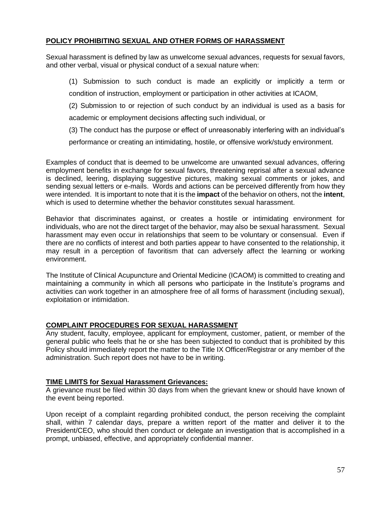### **POLICY PROHIBITING SEXUAL AND OTHER FORMS OF HARASSMENT**

Sexual harassment is defined by law as unwelcome sexual advances, requests for sexual favors, and other verbal, visual or physical conduct of a sexual nature when:

(1) Submission to such conduct is made an explicitly or implicitly a term or condition of instruction, employment or participation in other activities at ICAOM,

(2) Submission to or rejection of such conduct by an individual is used as a basis for academic or employment decisions affecting such individual, or

(3) The conduct has the purpose or effect of unreasonably interfering with an individual's

performance or creating an intimidating, hostile, or offensive work/study environment.

Examples of conduct that is deemed to be unwelcome are unwanted sexual advances, offering employment benefits in exchange for sexual favors, threatening reprisal after a sexual advance is declined, leering, displaying suggestive pictures, making sexual comments or jokes, and sending sexual letters or e-mails. Words and actions can be perceived differently from how they were intended. It is important to note that it is the **impact** of the behavior on others, not the **intent**, which is used to determine whether the behavior constitutes sexual harassment.

Behavior that discriminates against, or creates a hostile or intimidating environment for individuals, who are not the direct target of the behavior, may also be sexual harassment. Sexual harassment may even occur in relationships that seem to be voluntary or consensual. Even if there are no conflicts of interest and both parties appear to have consented to the relationship, it may result in a perception of favoritism that can adversely affect the learning or working environment.

The Institute of Clinical Acupuncture and Oriental Medicine (ICAOM) is committed to creating and maintaining a community in which all persons who participate in the Institute's programs and activities can work together in an atmosphere free of all forms of harassment (including sexual), exploitation or intimidation.

### **COMPLAINT PROCEDURES FOR SEXUAL HARASSMENT**

Any student, faculty, employee, applicant for employment, customer, patient, or member of the general public who feels that he or she has been subjected to conduct that is prohibited by this Policy should immediately report the matter to the Title IX Officer/Registrar or any member of the administration. Such report does not have to be in writing.

### **TIME LIMITS for Sexual Harassment Grievances:**

A grievance must be filed within 30 days from when the grievant knew or should have known of the event being reported.

Upon receipt of a complaint regarding prohibited conduct, the person receiving the complaint shall, within 7 calendar days, prepare a written report of the matter and deliver it to the President/CEO, who should then conduct or delegate an investigation that is accomplished in a prompt, unbiased, effective, and appropriately confidential manner.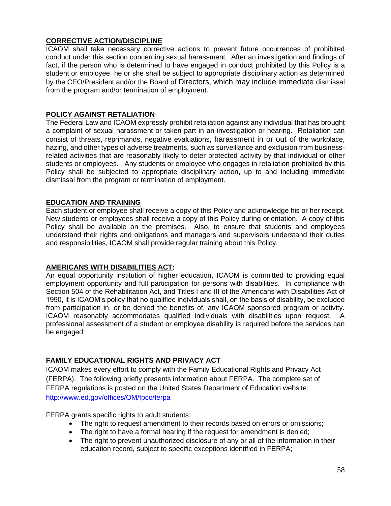### **CORRECTIVE ACTION/DISCIPLINE**

ICAOM shall take necessary corrective actions to prevent future occurrences of prohibited conduct under this section concerning sexual harassment. After an investigation and findings of fact, if the person who is determined to have engaged in conduct prohibited by this Policy is a student or employee, he or she shall be subject to appropriate disciplinary action as determined by the CEO/President and/or the Board of Directors, which may include immediate dismissal from the program and/or termination of employment.

### **POLICY AGAINST RETALIATION**

The Federal Law and ICAOM expressly prohibit retaliation against any individual that has brought a complaint of sexual harassment or taken part in an investigation or hearing. Retaliation can consist of threats, reprimands, negative evaluations, harassment in or out of the workplace, hazing, and other types of adverse treatments, such as surveillance and exclusion from businessrelated activities that are reasonably likely to deter protected activity by that individual or other students or employees. Any students or employee who engages in retaliation prohibited by this Policy shall be subjected to appropriate disciplinary action, up to and including immediate dismissal from the program or termination of employment.

### **EDUCATION AND TRAINING**

Each student or employee shall receive a copy of this Policy and acknowledge his or her receipt. New students or employees shall receive a copy of this Policy during orientation. A copy of this Policy shall be available on the premises. Also, to ensure that students and employees understand their rights and obligations and managers and supervisors understand their duties and responsibilities, ICAOM shall provide regular training about this Policy.

### **AMERICANS WITH DISABILITIES ACT:**

An equal opportunity institution of higher education, ICAOM is committed to providing equal employment opportunity and full participation for persons with disabilities. In compliance with Section 504 of the Rehabilitation Act, and Titles I and III of the Americans with Disabilities Act of 1990, it is ICAOM's policy that no qualified individuals shall, on the basis of disability, be excluded from participation in, or be denied the benefits of, any ICAOM sponsored program or activity. ICAOM reasonably accommodates qualified individuals with disabilities upon request. A professional assessment of a student or employee disability is required before the services can be engaged.

## **FAMILY EDUCATIONAL RIGHTS AND PRIVACY ACT**

ICAOM makes every effort to comply with the Family Educational Rights and Privacy Act (FERPA). The following briefly presents information about FERPA. The complete set of FERPA regulations is posted on the United States Department of Education website: <http://www.ed.gov/offices/OM/fpco/ferpa>

FERPA grants specific rights to adult students:

- The right to request amendment to their records based on errors or omissions;
- The right to have a formal hearing if the request for amendment is denied;
- The right to prevent unauthorized disclosure of any or all of the information in their education record, subject to specific exceptions identified in FERPA;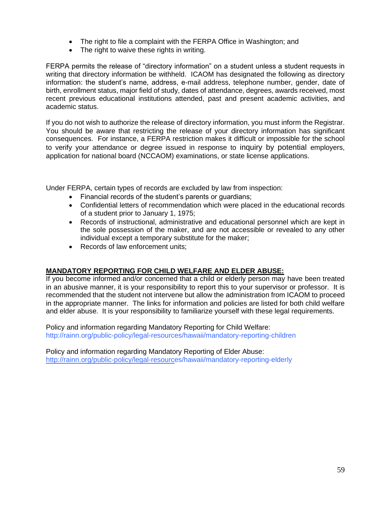- The right to file a complaint with the FERPA Office in Washington; and
- The right to waive these rights in writing.

FERPA permits the release of "directory information" on a student unless a student requests in writing that directory information be withheld. ICAOM has designated the following as directory information: the student's name, address, e-mail address, telephone number, gender, date of birth, enrollment status, major field of study, dates of attendance, degrees, awards received, most recent previous educational institutions attended, past and present academic activities, and academic status.

If you do not wish to authorize the release of directory information, you must inform the Registrar. You should be aware that restricting the release of your directory information has significant consequences. For instance, a FERPA restriction makes it difficult or impossible for the school to verify your attendance or degree issued in response to inquiry by potential employers, application for national board (NCCAOM) examinations, or state license applications.

Under FERPA, certain types of records are excluded by law from inspection:

- Financial records of the student's parents or guardians;
- Confidential letters of recommendation which were placed in the educational records of a student prior to January 1, 1975;
- Records of instructional, administrative and educational personnel which are kept in the sole possession of the maker, and are not accessible or revealed to any other individual except a temporary substitute for the maker;
- Records of law enforcement units;

## **MANDATORY REPORTING FOR CHILD WELFARE AND ELDER ABUSE:**

If you become informed and/or concerned that a child or elderly person may have been treated in an abusive manner, it is your responsibility to report this to your supervisor or professor. It is recommended that the student not intervene but allow the administration from ICAOM to proceed in the appropriate manner. The links for information and policies are listed for both child welfare and elder abuse. It is your responsibility to familiarize yourself with these legal requirements.

Policy and information regarding Mandatory Reporting for Child Welfare: http://rainn.org/public-policy/legal-resources/hawaii/mandatory-reporting-children

Policy and information regarding Mandatory Reporting of Elder Abuse: [http://rainn.org/public-policy/legal-resource](http://rainn.org/public-policy/legal-resourc)s/hawaii/mandatory-reporting-elderly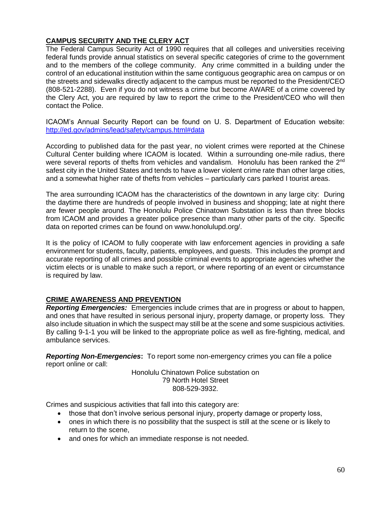### **CAMPUS SECURITY AND THE CLERY ACT**

The Federal Campus Security Act of 1990 requires that all colleges and universities receiving federal funds provide annual statistics on several specific categories of crime to the government and to the members of the college community. Any crime committed in a building under the control of an educational institution within the same contiguous geographic area on campus or on the streets and sidewalks directly adjacent to the campus must be reported to the President/CEO (808-521-2288). Even if you do not witness a crime but become AWARE of a crime covered by the Clery Act, you are required by law to report the crime to the President/CEO who will then contact the Police.

ICAOM's Annual Security Report can be found on U. S. Department of Education website: <http://ed.gov/admins/lead/safety/campus.html#data>

According to published data for the past year, no violent crimes were reported at the Chinese Cultural Center building where ICAOM is located. Within a surrounding one-mile radius, there were several reports of thefts from vehicles and vandalism. Honolulu has been ranked the 2<sup>nd</sup> safest city in the United States and tends to have a lower violent crime rate than other large cities, and a somewhat higher rate of thefts from vehicles – particularly cars parked I tourist areas.

The area surrounding ICAOM has the characteristics of the downtown in any large city: During the daytime there are hundreds of people involved in business and shopping; late at night there are fewer people around. The Honolulu Police Chinatown Substation is less than three blocks from ICAOM and provides a greater police presence than many other parts of the city. Specific data on reported crimes can be found on www.honolulupd.org/.

It is the policy of ICAOM to fully cooperate with law enforcement agencies in providing a safe environment for students, faculty, patients, employees, and guests. This includes the prompt and accurate reporting of all crimes and possible criminal events to appropriate agencies whether the victim elects or is unable to make such a report, or where reporting of an event or circumstance is required by law.

### **CRIME AWARENESS AND PREVENTION**

*Reporting Emergencies:* Emergencies include crimes that are in progress or about to happen, and ones that have resulted in serious personal injury, property damage, or property loss. They also include situation in which the suspect may still be at the scene and some suspicious activities. By calling 9-1-1 you will be linked to the appropriate police as well as fire-fighting, medical, and ambulance services.

*Reporting Non-Emergencies***:** To report some non-emergency crimes you can file a police report online or call:

> Honolulu Chinatown Police substation on 79 North Hotel Street 808-529-3932.

Crimes and suspicious activities that fall into this category are:

- those that don't involve serious personal injury, property damage or property loss,
- ones in which there is no possibility that the suspect is still at the scene or is likely to return to the scene,
- and ones for which an immediate response is not needed.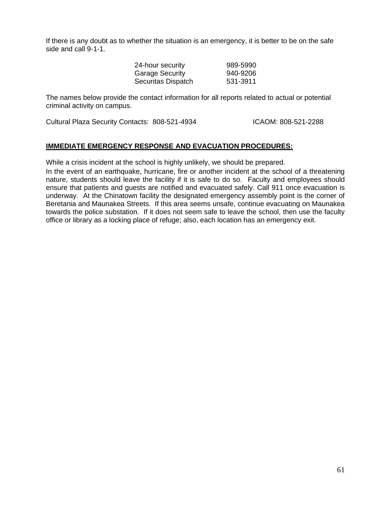If there is any doubt as to whether the situation is an emergency, it is better to be on the safe side and call 9-1-1.

| 24-hour security       | 989-5990 |
|------------------------|----------|
| <b>Garage Security</b> | 940-9206 |
| Securitas Dispatch     | 531-3911 |

The names below provide the contact information for all reports related to actual or potential criminal activity on campus.

Cultural Plaza Security Contacts: 808-521-4934 ICAOM: 808-521-2288

### **IMMEDIATE EMERGENCY RESPONSE AND EVACUATION PROCEDURES:**

While a crisis incident at the school is highly unlikely, we should be prepared.

In the event of an earthquake, hurricane, fire or another incident at the school of a threatening nature, students should leave the facility if it is safe to do so. Faculty and employees should ensure that patients and guests are notified and evacuated safely. Call 911 once evacuation is underway. At the Chinatown facility the designated emergency assembly point is the corner of Beretania and Maunakea Streets. If this area seems unsafe, continue evacuating on Maunakea towards the police substation. If it does not seem safe to leave the school, then use the faculty office or library as a locking place of refuge; also, each location has an emergency exit.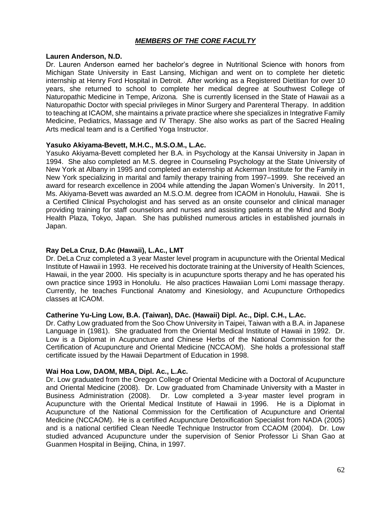### *MEMBERS OF THE CORE FACULTY*

#### **Lauren Anderson, N.D.**

Dr. Lauren Anderson earned her bachelor's degree in Nutritional Science with honors from Michigan State University in East Lansing, Michigan and went on to complete her dietetic internship at Henry Ford Hospital in Detroit. After working as a Registered Dietitian for over 10 years, she returned to school to complete her medical degree at Southwest College of Naturopathic Medicine in Tempe, Arizona. She is currently licensed in the State of Hawaii as a Naturopathic Doctor with special privileges in Minor Surgery and Parenteral Therapy. In addition to teaching at ICAOM, she maintains a private practice where she specializes in Integrative Family Medicine, Pediatrics, Massage and IV Therapy. She also works as part of the Sacred Healing Arts medical team and is a Certified Yoga Instructor.

### **Yasuko Akiyama-Bevett, M.H.C., M.S.O.M., L.Ac.**

Yasuko Akiyama-Bevett completed her B.A. in Psychology at the Kansai University in Japan in 1994. She also completed an M.S. degree in Counseling Psychology at the State University of New York at Albany in 1995 and completed an externship at Ackerman Institute for the Family in New York specializing in marital and family therapy training from 1997–1999. She received an award for research excellence in 2004 while attending the Japan Women's University. In 2011, Ms. Akiyama-Bevett was awarded an M.S.O.M. degree from ICAOM in Honolulu, Hawaii. She is a Certified Clinical Psychologist and has served as an onsite counselor and clinical manager providing training for staff counselors and nurses and assisting patients at the Mind and Body Health Plaza, Tokyo, Japan. She has published numerous articles in established journals in Japan.

### **Ray DeLa Cruz, D.Ac (Hawaii), L.Ac., LMT**

Dr. DeLa Cruz completed a 3 year Master level program in acupuncture with the Oriental Medical Institute of Hawaii in 1993. He received his doctorate training at the University of Health Sciences, Hawaii, in the year 2000. His specialty is in acupuncture sports therapy and he has operated his own practice since 1993 in Honolulu. He also practices Hawaiian Lomi Lomi massage therapy. Currently, he teaches Functional Anatomy and Kinesiology, and Acupuncture Orthopedics classes at ICAOM.

#### **Catherine Yu-Ling Low, B.A. (Taiwan), DAc. (Hawaii) Dipl. Ac., Dipl. C.H., L.Ac.**

Dr. Cathy Low graduated from the Soo Chow University in Taipei, Taiwan with a B.A. in Japanese Language in (1981). She graduated from the Oriental Medical Institute of Hawaii in 1992. Dr. Low is a Diplomat in Acupuncture and Chinese Herbs of the National Commission for the Certification of Acupuncture and Oriental Medicine (NCCAOM). She holds a professional staff certificate issued by the Hawaii Department of Education in 1998.

### **Wai Hoa Low, DAOM, MBA, Dipl. Ac., L.Ac.**

Dr. Low graduated from the Oregon College of Oriental Medicine with a Doctoral of Acupuncture and Oriental Medicine (2008). Dr. Low graduated from Chaminade University with a Master in Business Administration (2008). Dr. Low completed a 3-year master level program in Acupuncture with the Oriental Medical Institute of Hawaii in 1996. He is a Diplomat in Acupuncture of the National Commission for the Certification of Acupuncture and Oriental Medicine (NCCAOM). He is a certified Acupuncture Detoxification Specialist from NADA (2005) and is a national certified Clean Needle Technique Instructor from CCAOM (2004). Dr. Low studied advanced Acupuncture under the supervision of Senior Professor Li Shan Gao at Guanmen Hospital in Beijing, China, in 1997.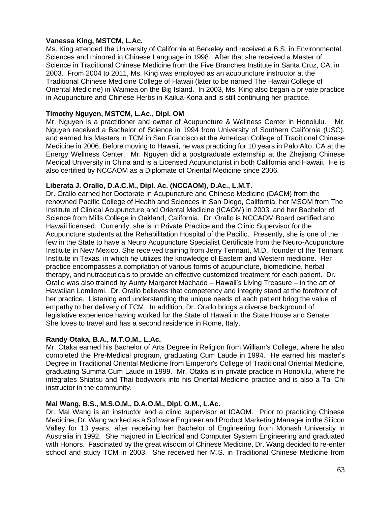### **Vanessa King, MSTCM, L.Ac.**

Ms. King attended the University of California at Berkeley and received a B.S. in Environmental Sciences and minored in Chinese Language in 1998. After that she received a Master of Science in Traditional Chinese Medicine from the Five Branches Institute in Santa Cruz, CA, in 2003. From 2004 to 2011, Ms. King was employed as an acupuncture instructor at the Traditional Chinese Medicine College of Hawaii (later to be named The Hawaii College of Oriental Medicine) in Waimea on the Big Island. In 2003, Ms. King also began a private practice in Acupuncture and Chinese Herbs in Kailua-Kona and is still continuing her practice.

### **Timothy Nguyen, MSTCM, L.Ac., Dipl. OM**

Mr. Nguyen is a practitioner and owner of Acupuncture & Wellness Center in Honolulu. Mr. Nguyen received a Bachelor of Science in 1994 from University of Southern California (USC), and earned his Masters in TCM in San Francisco at the American College of Traditional Chinese Medicine in 2006. Before moving to Hawaii, he was practicing for 10 years in Palo Alto, CA at the Energy Wellness Center. Mr. Nguyen did a postgraduate externship at the Zhejiang Chinese Medical University in China and is a Licensed Acupuncturist in both California and Hawaii. He is also certified by NCCAOM as a Diplomate of Oriental Medicine since 2006.

### **Liberata J. Orallo, D.A.C.M., Dipl. Ac. (NCCAOM), D.Ac., L.M.T.**

Dr. Orallo earned her Doctorate in Acupuncture and Chinese Medicine (DACM) from the renowned Pacific College of Health and Sciences in San Diego, California, her MSOM from The Institute of Clinical Acupuncture and Oriental Medicine (ICAOM) in 2003, and her Bachelor of Science from Mills College in Oakland, California. Dr. Orallo is NCCAOM Board certified and Hawaii licensed. Currently, she is in Private Practice and the Clinic Supervisor for the Acupuncture students at the Rehabilitation Hospital of the Pacific. Presently, she is one of the few in the State to have a Neuro Acupuncture Specialist Certificate from the Neuro-Acupuncture Institute in New Mexico. She received training from Jerry Tennant, M.D., founder of the Tennant Institute in Texas, in which he utilizes the knowledge of Eastern and Western medicine. Her practice encompasses a compilation of various forms of acupuncture, biomedicine, herbal therapy, and nutraceuticals to provide an effective customized treatment for each patient. Dr. Orallo was also trained by Aunty Margaret Machado – Hawaii's Living Treasure – in the art of Hawaiian Lomilomi. Dr. Orallo believes that competency and integrity stand at the forefront of her practice. Listening and understanding the unique needs of each patient bring the value of empathy to her delivery of TCM. In addition, Dr. Orallo brings a diverse background of legislative experience having worked for the State of Hawaii in the State House and Senate. She loves to travel and has a second residence in Rome, Italy.

## **Randy Otaka, B.A., M.T.O.M., L.Ac.**

Mr. Otaka earned his Bachelor of Arts Degree in Religion from William's College, where he also completed the Pre-Medical program, graduating Cum Laude in 1994. He earned his master's Degree in Traditional Oriental Medicine from Emperor's College of Traditional Oriental Medicine, graduating Summa Cum Laude in 1999. Mr. Otaka is in private practice in Honolulu, where he integrates Shiatsu and Thai bodywork into his Oriental Medicine practice and is also a Tai Chi instructor in the community.

### **Mai Wang, B.S., M.S.O.M., D.A.O.M., Dipl. O.M., L.Ac.**

Dr. Mai Wang is an instructor and a clinic supervisor at ICAOM. Prior to practicing Chinese Medicine, Dr. Wang worked as a Software Engineer and Product Marketing Manager in the Silicon Valley for 13 years, after receiving her Bachelor of Engineering from Monash University in Australia in 1992. She majored in Electrical and Computer System Engineering and graduated with Honors. Fascinated by the great wisdom of Chinese Medicine, Dr. Wang decided to re-enter school and study TCM in 2003. She received her M.S. in Traditional Chinese Medicine from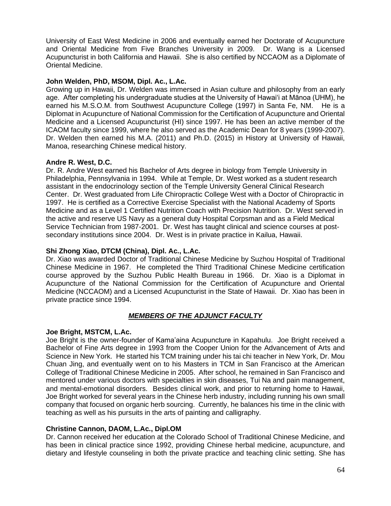University of East West Medicine in 2006 and eventually earned her Doctorate of Acupuncture and Oriental Medicine from Five Branches University in 2009. Dr. Wang is a Licensed Acupuncturist in both California and Hawaii. She is also certified by NCCAOM as a Diplomate of Oriental Medicine.

### **John Welden, PhD, MSOM, Dipl. Ac., L.Ac.**

Growing up in Hawaii, Dr. Welden was immersed in Asian culture and philosophy from an early age. After completing his undergraduate studies at the University of Hawai'i at Mānoa (UHM), he earned his M.S.O.M. from Southwest Acupuncture College (1997) in Santa Fe, NM. He is a Diplomat in Acupuncture of National Commission for the Certification of Acupuncture and Oriental Medicine and a Licensed Acupuncturist (HI) since 1997. He has been an active member of the ICAOM faculty since 1999, where he also served as the Academic Dean for 8 years (1999-2007). Dr. Welden then earned his M.A. (2011) and Ph.D. (2015) in History at University of Hawaii, Manoa, researching Chinese medical history.

### **Andre R. West, D.C.**

Dr. R. Andre West earned his Bachelor of Arts degree in biology from Temple University in Philadelphia, Pennsylvania in 1994. While at Temple, Dr. West worked as a student research assistant in the endocrinology section of the Temple University General Clinical Research Center. Dr. West graduated from Life Chiropractic College West with a Doctor of Chiropractic in 1997. He is certified as a Corrective Exercise Specialist with the National Academy of Sports Medicine and as a Level 1 Certified Nutrition Coach with Precision Nutrition. Dr. West served in the active and reserve US Navy as a general duty Hospital Corpsman and as a Field Medical Service Technician from 1987-2001. Dr. West has taught clinical and science courses at postsecondary institutions since 2004. Dr. West is in private practice in Kailua, Hawaii.

## **Shi Zhong Xiao, DTCM (China), Dipl. Ac., L.Ac.**

Dr. Xiao was awarded Doctor of Traditional Chinese Medicine by Suzhou Hospital of Traditional Chinese Medicine in 1967. He completed the Third Traditional Chinese Medicine certification course approved by the Suzhou Public Health Bureau in 1966. Dr. Xiao is a Diplomat in Acupuncture of the National Commission for the Certification of Acupuncture and Oriental Medicine (NCCAOM) and a Licensed Acupuncturist in the State of Hawaii. Dr. Xiao has been in private practice since 1994.

## *MEMBERS OF THE ADJUNCT FACULTY*

### **Joe Bright, MSTCM, L.Ac.**

Joe Bright is the owner-founder of Kama'aina Acupuncture in Kapahulu. Joe Bright received a Bachelor of Fine Arts degree in 1993 from the Cooper Union for the Advancement of Arts and Science in New York. He started his TCM training under his tai chi teacher in New York, Dr. Mou Chuan Jing, and eventually went on to his Masters in TCM in San Francisco at the American College of Traditional Chinese Medicine in 2005. After school, he remained in San Francisco and mentored under various doctors with specialties in skin diseases, Tui Na and pain management, and mental-emotional disorders. Besides clinical work, and prior to returning home to Hawaii, Joe Bright worked for several years in the Chinese herb industry, including running his own small company that focused on organic herb sourcing. Currently, he balances his time in the clinic with teaching as well as his pursuits in the arts of painting and calligraphy.

### **Christine Cannon, DAOM, L.Ac., Dipl.OM**

Dr. Cannon received her education at the Colorado School of Traditional Chinese Medicine, and has been in clinical practice since 1992, providing Chinese herbal medicine, acupuncture, and dietary and lifestyle counseling in both the private practice and teaching clinic setting. She has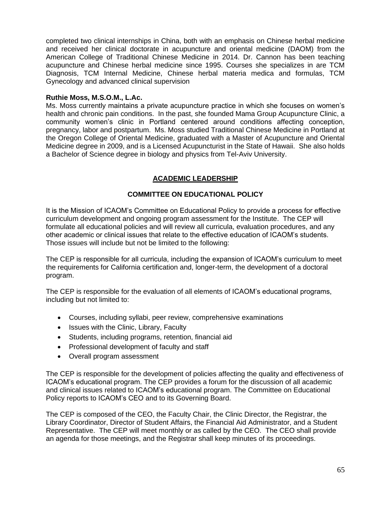completed two clinical internships in China, both with an emphasis on Chinese herbal medicine and received her clinical doctorate in acupuncture and oriental medicine (DAOM) from the American College of Traditional Chinese Medicine in 2014. Dr. Cannon has been teaching acupuncture and Chinese herbal medicine since 1995. Courses she specializes in are TCM Diagnosis, TCM Internal Medicine, Chinese herbal materia medica and formulas, TCM Gynecology and advanced clinical supervision

### **Ruthie Moss, M.S.O.M., L.Ac.**

Ms. Moss currently maintains a private acupuncture practice in which she focuses on women's health and chronic pain conditions. In the past, she founded Mama Group Acupuncture Clinic, a community women's clinic in Portland centered around conditions affecting conception, pregnancy, labor and postpartum. Ms. Moss studied Traditional Chinese Medicine in Portland at the Oregon College of Oriental Medicine, graduated with a Master of Acupuncture and Oriental Medicine degree in 2009, and is a Licensed Acupuncturist in the State of Hawaii. She also holds a Bachelor of Science degree in biology and physics from Tel-Aviv University.

### **ACADEMIC LEADERSHIP**

### **COMMITTEE ON EDUCATIONAL POLICY**

It is the Mission of ICAOM's Committee on Educational Policy to provide a process for effective curriculum development and ongoing program assessment for the Institute. The CEP will formulate all educational policies and will review all curricula, evaluation procedures, and any other academic or clinical issues that relate to the effective education of ICAOM's students. Those issues will include but not be limited to the following:

The CEP is responsible for all curricula, including the expansion of ICAOM's curriculum to meet the requirements for California certification and, longer-term, the development of a doctoral program.

The CEP is responsible for the evaluation of all elements of ICAOM's educational programs, including but not limited to:

- Courses, including syllabi, peer review, comprehensive examinations
- Issues with the Clinic, Library, Faculty
- Students, including programs, retention, financial aid
- Professional development of faculty and staff
- Overall program assessment

The CEP is responsible for the development of policies affecting the quality and effectiveness of ICAOM's educational program. The CEP provides a forum for the discussion of all academic and clinical issues related to ICAOM's educational program. The Committee on Educational Policy reports to ICAOM's CEO and to its Governing Board.

The CEP is composed of the CEO, the Faculty Chair, the Clinic Director, the Registrar, the Library Coordinator, Director of Student Affairs, the Financial Aid Administrator, and a Student Representative. The CEP will meet monthly or as called by the CEO. The CEO shall provide an agenda for those meetings, and the Registrar shall keep minutes of its proceedings.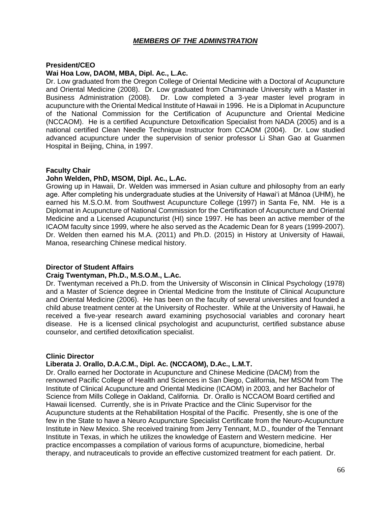### *MEMBERS OF THE ADMINSTRATION*

### **President/CEO**

#### **Wai Hoa Low, DAOM, MBA, Dipl. Ac., L.Ac.**

Dr. Low graduated from the Oregon College of Oriental Medicine with a Doctoral of Acupuncture and Oriental Medicine (2008). Dr. Low graduated from Chaminade University with a Master in Business Administration (2008). Dr. Low completed a 3-year master level program in acupuncture with the Oriental Medical Institute of Hawaii in 1996. He is a Diplomat in Acupuncture of the National Commission for the Certification of Acupuncture and Oriental Medicine (NCCAOM). He is a certified Acupuncture Detoxification Specialist from NADA (2005) and is a national certified Clean Needle Technique Instructor from CCAOM (2004). Dr. Low studied advanced acupuncture under the supervision of senior professor Li Shan Gao at Guanmen Hospital in Beijing, China, in 1997.

### **Faculty Chair**

### **John Welden, PhD, MSOM, Dipl. Ac., L.Ac.**

Growing up in Hawaii, Dr. Welden was immersed in Asian culture and philosophy from an early age. After completing his undergraduate studies at the University of Hawai'i at Mānoa (UHM), he earned his M.S.O.M. from Southwest Acupuncture College (1997) in Santa Fe, NM. He is a Diplomat in Acupuncture of National Commission for the Certification of Acupuncture and Oriental Medicine and a Licensed Acupuncturist (HI) since 1997. He has been an active member of the ICAOM faculty since 1999, where he also served as the Academic Dean for 8 years (1999-2007). Dr. Welden then earned his M.A. (2011) and Ph.D. (2015) in History at University of Hawaii, Manoa, researching Chinese medical history.

### **Director of Student Affairs**

#### **Craig Twentyman, Ph.D., M.S.O.M., L.Ac.**

Dr. Twentyman received a Ph.D. from the University of Wisconsin in Clinical Psychology (1978) and a Master of Science degree in Oriental Medicine from the Institute of Clinical Acupuncture and Oriental Medicine (2006). He has been on the faculty of several universities and founded a child abuse treatment center at the University of Rochester. While at the University of Hawaii, he received a five-year research award examining psychosocial variables and coronary heart disease. He is a licensed clinical psychologist and acupuncturist, certified substance abuse counselor, and certified detoxification specialist.

#### **Clinic Director**

#### **Liberata J. Orallo, D.A.C.M., Dipl. Ac. (NCCAOM), D.Ac., L.M.T.**

Dr. Orallo earned her Doctorate in Acupuncture and Chinese Medicine (DACM) from the renowned Pacific College of Health and Sciences in San Diego, California, her MSOM from The Institute of Clinical Acupuncture and Oriental Medicine (ICAOM) in 2003, and her Bachelor of Science from Mills College in Oakland, California. Dr. Orallo is NCCAOM Board certified and Hawaii licensed. Currently, she is in Private Practice and the Clinic Supervisor for the Acupuncture students at the Rehabilitation Hospital of the Pacific. Presently, she is one of the few in the State to have a Neuro Acupuncture Specialist Certificate from the Neuro-Acupuncture Institute in New Mexico. She received training from Jerry Tennant, M.D., founder of the Tennant Institute in Texas, in which he utilizes the knowledge of Eastern and Western medicine. Her practice encompasses a compilation of various forms of acupuncture, biomedicine, herbal therapy, and nutraceuticals to provide an effective customized treatment for each patient. Dr.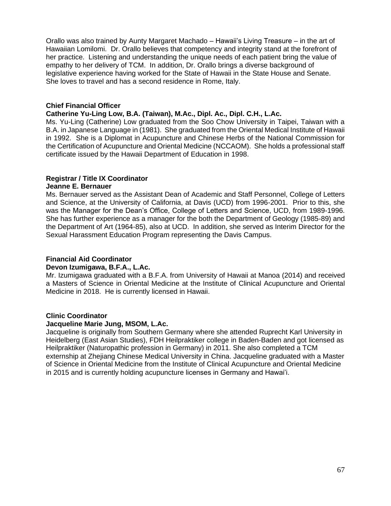Orallo was also trained by Aunty Margaret Machado – Hawaii's Living Treasure – in the art of Hawaiian Lomilomi. Dr. Orallo believes that competency and integrity stand at the forefront of her practice. Listening and understanding the unique needs of each patient bring the value of empathy to her delivery of TCM. In addition, Dr. Orallo brings a diverse background of legislative experience having worked for the State of Hawaii in the State House and Senate. She loves to travel and has a second residence in Rome, Italy.

### **Chief Financial Officer**

### **Catherine Yu-Ling Low, B.A. (Taiwan), M.Ac., Dipl. Ac., Dipl. C.H., L.Ac.**

Ms. Yu-Ling (Catherine) Low graduated from the Soo Chow University in Taipei, Taiwan with a B.A. in Japanese Language in (1981). She graduated from the Oriental Medical Institute of Hawaii in 1992. She is a Diplomat in Acupuncture and Chinese Herbs of the National Commission for the Certification of Acupuncture and Oriental Medicine (NCCAOM). She holds a professional staff certificate issued by the Hawaii Department of Education in 1998.

# **Registrar / Title IX Coordinator**

### **Jeanne E. Bernauer**

Ms. Bernauer served as the Assistant Dean of Academic and Staff Personnel, College of Letters and Science, at the University of California, at Davis (UCD) from 1996-2001. Prior to this, she was the Manager for the Dean's Office, College of Letters and Science, UCD, from 1989-1996. She has further experience as a manager for the both the Department of Geology (1985-89) and the Department of Art (1964-85), also at UCD. In addition, she served as Interim Director for the Sexual Harassment Education Program representing the Davis Campus.

### **Financial Aid Coordinator**

#### **Devon Izumigawa, B.F.A., L.Ac.**

Mr. Izumigawa graduated with a B.F.A. from University of Hawaii at Manoa (2014) and received a Masters of Science in Oriental Medicine at the Institute of Clinical Acupuncture and Oriental Medicine in 2018. He is currently licensed in Hawaii.

### **Clinic Coordinator**

#### **Jacqueline Marie Jung, MSOM, L.Ac.**

Jacqueline is originally from Southern Germany where she attended Ruprecht Karl University in Heidelberg (East Asian Studies), FDH Heilpraktiker college in Baden-Baden and got licensed as Heilpraktiker (Naturopathic profession in Germany) in 2011. She also completed a TCM externship at Zhejiang Chinese Medical University in China. Jacqueline graduated with a Master of Science in Oriental Medicine from the Institute of Clinical Acupuncture and Oriental Medicine in 2015 and is currently holding acupuncture licenses in Germany and Hawai'i.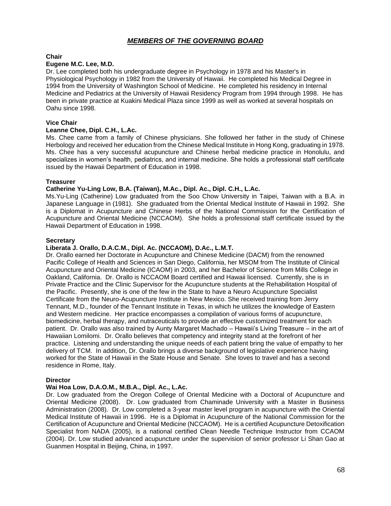### *MEMBERS OF THE GOVERNING BOARD*

#### **Chair**

#### **Eugene M.C. Lee, M.D.**

Dr. Lee completed both his undergraduate degree in Psychology in 1978 and his Master's in Physiological Psychology in 1982 from the University of Hawaii. He completed his Medical Degree in 1994 from the University of Washington School of Medicine. He completed his residency in Internal Medicine and Pediatrics at the University of Hawaii Residency Program from 1994 through 1998. He has been in private practice at Kuakini Medical Plaza since 1999 as well as worked at several hospitals on Oahu since 1998.

#### **Vice Chair**

#### **Leanne Chee, Dipl. C.H., L.Ac.**

Ms. Chee came from a family of Chinese physicians. She followed her father in the study of Chinese Herbology and received her education from the Chinese Medical Institute in Hong Kong, graduating in 1978. Ms. Chee has a very successful acupuncture and Chinese herbal medicine practice in Honolulu, and specializes in women's health, pediatrics, and internal medicine. She holds a professional staff certificate issued by the Hawaii Department of Education in 1998.

#### **Treasurer**

#### **Catherine Yu-Ling Low, B.A. (Taiwan), M.Ac., Dipl. Ac., Dipl. C.H., L.Ac.**

Ms.Yu-Ling (Catherine) Low graduated from the Soo Chow University in Taipei, Taiwan with a B.A. in Japanese Language in (1981). She graduated from the Oriental Medical Institute of Hawaii in 1992. She is a Diplomat in Acupuncture and Chinese Herbs of the National Commission for the Certification of Acupuncture and Oriental Medicine (NCCAOM). She holds a professional staff certificate issued by the Hawaii Department of Education in 1998.

#### **Secretary**

#### **Liberata J. Orallo, D.A.C.M., Dipl. Ac. (NCCAOM), D.Ac., L.M.T.**

Dr. Orallo earned her Doctorate in Acupuncture and Chinese Medicine (DACM) from the renowned Pacific College of Health and Sciences in San Diego, California, her MSOM from The Institute of Clinical Acupuncture and Oriental Medicine (ICAOM) in 2003, and her Bachelor of Science from Mills College in Oakland, California. Dr. Orallo is NCCAOM Board certified and Hawaii licensed. Currently, she is in Private Practice and the Clinic Supervisor for the Acupuncture students at the Rehabilitation Hospital of the Pacific. Presently, she is one of the few in the State to have a Neuro Acupuncture Specialist Certificate from the Neuro-Acupuncture Institute in New Mexico. She received training from Jerry Tennant, M.D., founder of the Tennant Institute in Texas, in which he utilizes the knowledge of Eastern and Western medicine. Her practice encompasses a compilation of various forms of acupuncture, biomedicine, herbal therapy, and nutraceuticals to provide an effective customized treatment for each patient. Dr. Orallo was also trained by Aunty Margaret Machado – Hawaii's Living Treasure – in the art of Hawaiian Lomilomi. Dr. Orallo believes that competency and integrity stand at the forefront of her practice. Listening and understanding the unique needs of each patient bring the value of empathy to her delivery of TCM. In addition, Dr. Orallo brings a diverse background of legislative experience having worked for the State of Hawaii in the State House and Senate. She loves to travel and has a second residence in Rome, Italy.

#### **Director**

#### **Wai Hoa Low, D.A.O.M., M.B.A., Dipl. Ac., L.Ac.**

Dr. Low graduated from the Oregon College of Oriental Medicine with a Doctoral of Acupuncture and Oriental Medicine (2008). Dr. Low graduated from Chaminade University with a Master in Business Administration (2008). Dr. Low completed a 3-year master level program in acupuncture with the Oriental Medical Institute of Hawaii in 1996. He is a Diplomat in Acupuncture of the National Commission for the Certification of Acupuncture and Oriental Medicine (NCCAOM). He is a certified Acupuncture Detoxification Specialist from NADA (2005), is a national certified Clean Needle Technique Instructor from CCAOM (2004). Dr. Low studied advanced acupuncture under the supervision of senior professor Li Shan Gao at Guanmen Hospital in Beijing, China, in 1997.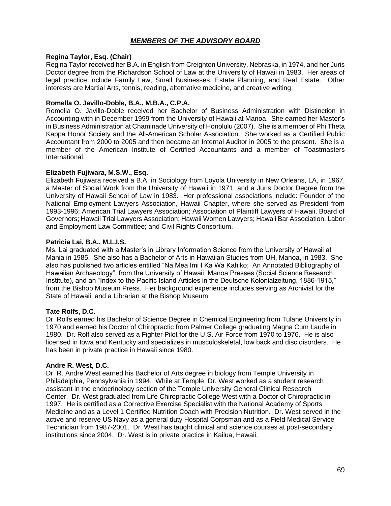### *MEMBERS OF THE ADVISORY BOARD*

#### **Regina Taylor, Esq. (Chair)**

Regina Taylor received her B.A. in English from Creighton University, Nebraska, in 1974, and her Juris Doctor degree from the Richardson School of Law at the University of Hawaii in 1983. Her areas of legal practice include Family Law, Small Businesses, Estate Planning, and Real Estate. Other interests are Martial Arts, tennis, reading, alternative medicine, and creative writing.

#### **Romella O. Javillo-Doble, B.A., M.B.A., C.P.A.**

Romella O. Javillo-Doble received her Bachelor of Business Administration with Distinction in Accounting with in December 1999 from the University of Hawaii at Manoa. She earned her Master's in Business Administration at Chaminade University of Honolulu (2007). She is a member of Phi Theta Kappa Honor Society and the All-American Scholar Association. She worked as a Certified Public Accountant from 2000 to 2005 and then became an Internal Auditor in 2005 to the present. She is a member of the American Institute of Certified Accountants and a member of Toastmasters International.

#### **Elizabeth Fujiwara, M.S.W., Esq.**

Elizabeth Fujiwara received a B.A. in Sociology from Loyola University in New Orleans, LA, in 1967, a Master of Social Work from the University of Hawaii in 1971, and a Juris Doctor Degree from the University of Hawaii School of Law in 1983. Her professional associations include: Founder of the National Employment Lawyers Association, Hawaii Chapter, where she served as President from 1993-1996; American Trial Lawyers Association; Association of Plaintiff Lawyers of Hawaii, Board of Governors; Hawaii Trial Lawyers Association; Hawaii Women Lawyers; Hawaii Bar Association, Labor and Employment Law Committee; and Civil Rights Consortium.

#### **Patricia Lai, B.A., M.L.I.S.**

Ms. Lai graduated with a Master's in Library Information Science from the University of Hawaii at Mania in 1985. She also has a Bachelor of Arts in Hawaiian Studies from UH, Manoa, in 1983. She also has published two articles entitled "Na Mea Imi I Ka Wa Kahiko; An Annotated Bibliography of Hawaiian Archaeology", from the University of Hawaii, Manoa Presses (Social Science Research Institute), and an "Index to the Pacific Island Articles in the Deutsche Kolonialzeitung, 1886-1915," from the Bishop Museum Press. Her background experience includes serving as Archivist for the State of Hawaii, and a Librarian at the Bishop Museum.

#### **Tate Rolfs, D.C.**

Dr. Rolfs earned his Bachelor of Science Degree in Chemical Engineering from Tulane University in 1970 and earned his Doctor of Chiropractic from Palmer College graduating Magna Cum Laude in 1980. Dr. Rolf also served as a Fighter Pilot for the U.S. Air Force from 1970 to 1976. He is also licensed in Iowa and Kentucky and specializes in musculoskeletal, low back and disc disorders. He has been in private practice in Hawaii since 1980.

#### **Andre R. West, D.C.**

Dr. R. Andre West earned his Bachelor of Arts degree in biology from Temple University in Philadelphia, Pennsylvania in 1994. While at Temple, Dr. West worked as a student research assistant in the endocrinology section of the Temple University General Clinical Research Center. Dr. West graduated from Life Chiropractic College West with a Doctor of Chiropractic in 1997. He is certified as a Corrective Exercise Specialist with the National Academy of Sports Medicine and as a Level 1 Certified Nutrition Coach with Precision Nutrition. Dr. West served in the active and reserve US Navy as a general duty Hospital Corpsman and as a Field Medical Service Technician from 1987-2001. Dr. West has taught clinical and science courses at post-secondary institutions since 2004. Dr. West is in private practice in Kailua, Hawaii.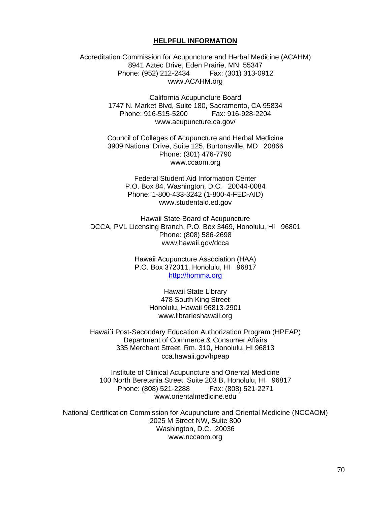#### **HELPFUL INFORMATION**

Accreditation Commission for Acupuncture and Herbal Medicine (ACAHM) 8941 Aztec Drive, Eden Prairie, MN 55347 Phone: (952) 212-2434 Fax: (301) 313-0912 www.ACAHM.org

> California Acupuncture Board 1747 N. Market Blvd, Suite 180, Sacramento, CA 95834 Phone: 916-515-5200 Fax: 916-928-2204 www.acupuncture.ca.gov/

Council of Colleges of Acupuncture and Herbal Medicine 3909 National Drive, Suite 125, Burtonsville, MD 20866 Phone: (301) 476-7790 www.ccaom.org

> Federal Student Aid Information Center P.O. Box 84, Washington, D.C. 20044-0084 Phone: 1-800-433-3242 (1-800-4-FED-AID) www.studentaid.ed.gov

Hawaii State Board of Acupuncture DCCA, PVL Licensing Branch, P.O. Box 3469, Honolulu, HI 96801 Phone: (808) 586-2698 www.hawaii.gov/dcca

> Hawaii Acupuncture Association (HAA) P.O. Box 372011, Honolulu, HI 96817 [http://homma.org](http://homma.org/)

> > Hawaii State Library 478 South King Street Honolulu, Hawaii 96813-2901 www.librarieshawaii.org

Hawai`i Post-Secondary Education Authorization Program (HPEAP) Department of Commerce & Consumer Affairs 335 Merchant Street, Rm. 310, Honolulu, HI 96813 cca.hawaii.gov/hpeap

Institute of Clinical Acupuncture and Oriental Medicine 100 North Beretania Street, Suite 203 B, Honolulu, HI 96817 Phone: (808) 521-2288 Fax: (808) 521-2271 www.orientalmedicine.edu

National Certification Commission for Acupuncture and Oriental Medicine (NCCAOM) 2025 M Street NW, Suite 800 Washington, D.C. 20036 www.nccaom.org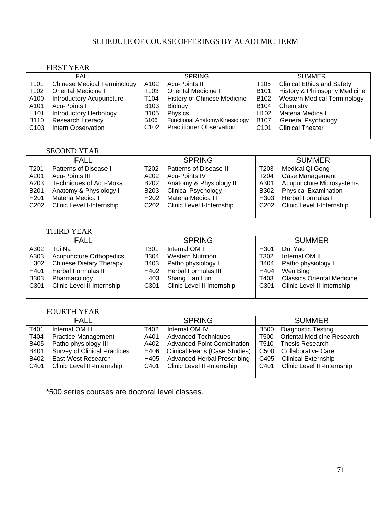### SCHEDULE OF COURSE OFFERINGS BY ACADEMIC TERM

### FIRST YEAR

|                  | <b>FALL</b>                        |                  | <b>SPRING</b>                      |                  | <b>SUMMER</b>                      |
|------------------|------------------------------------|------------------|------------------------------------|------------------|------------------------------------|
| T <sub>101</sub> | <b>Chinese Medical Terminology</b> | A102             | <b>Acu-Points II</b>               | T105             | <b>Clinical Ethics and Safety</b>  |
| T102             | Oriental Medicine I                | T103             | <b>Oriental Medicine II</b>        | B <sub>101</sub> | History & Philosophy Medicine      |
| A100             | <b>Introductory Acupuncture</b>    | T104             | <b>History of Chinese Medicine</b> | B <sub>102</sub> | <b>Western Medical Terminology</b> |
| A101             | Acu-Points I                       | B <sub>103</sub> | <b>Biology</b>                     | B104             | Chemistry                          |
| H <sub>101</sub> | <b>Introductory Herbology</b>      | B <sub>105</sub> | Physics                            | H <sub>102</sub> | Materia Medica I                   |
| <b>B110</b>      | <b>Research Literacy</b>           | B106             | Functional Anatomy/Kinesiology     | B <sub>107</sub> | <b>General Psychology</b>          |
| C <sub>103</sub> | Intern Observation                 | C <sub>102</sub> | <b>Practitioner Observation</b>    | C <sub>101</sub> | <b>Clinical Theater</b>            |
|                  |                                    |                  |                                    |                  |                                    |

#### SECOND YEAR

| <b>FALL</b>      |                           | <b>SPRING</b>    |                            | <b>SUMMER</b>    |                                 |
|------------------|---------------------------|------------------|----------------------------|------------------|---------------------------------|
| T201             | Patterns of Disease I     | T202             | Patterns of Disease II     | T203             | Medical Qi Gong                 |
| A201             | Acu-Points III            | A202             | <b>Acu-Points IV</b>       | T204             | Case Management                 |
| A203             | Techniques of Acu-Moxa    | B <sub>202</sub> | Anatomy & Physiology II    | A301             | <b>Acupuncture Microsystems</b> |
| <b>B201</b>      | Anatomy & Physiology I    | B <sub>203</sub> | <b>Clinical Psychology</b> | <b>B302</b>      | <b>Physical Examination</b>     |
| H <sub>201</sub> | Materia Medica II         | H <sub>202</sub> | Materia Medica III         | H <sub>303</sub> | <b>Herbal Formulas I</b>        |
| C <sub>202</sub> | Clinic Level I-Internship | C <sub>202</sub> | Clinic Level I-Internship  | C <sub>202</sub> | Clinic Level I-Internship       |
|                  |                           |                  |                            |                  |                                 |

#### THIRD YEAR

| FALL             |                                | <b>SPRING</b>    |                            | <b>SUMMER</b>    |                                   |
|------------------|--------------------------------|------------------|----------------------------|------------------|-----------------------------------|
| A302             | Tui Na                         | T301             | Internal OM I              | H <sub>301</sub> | Dui Yao                           |
| A303             | <b>Acupuncture Orthopedics</b> | <b>B</b> 304     | <b>Western Nutrition</b>   | T <sub>302</sub> | Internal OM II                    |
| H302             | <b>Chinese Dietary Therapy</b> | B403             | Patho physiology I         | B404             | Patho physiology II               |
| H401             | Herbal Formulas II             | H402             | <b>Herbal Formulas III</b> | H404             | Wen Bing                          |
| B303             | Pharmacology                   | H403             | Shang Han Lun              | T403             | <b>Classics Oriental Medicine</b> |
| C <sub>301</sub> | Clinic Level II-Internship     | C <sub>301</sub> | Clinic Level II-Internship | C <sub>301</sub> | Clinic Level II-Internship        |
|                  |                                |                  |                            |                  |                                   |

#### FOURTH YEAR

| <b>FALL</b> |                                     | <b>SPRING</b>    |                                       | <b>SUMMER</b>    |                                   |
|-------------|-------------------------------------|------------------|---------------------------------------|------------------|-----------------------------------|
| T401        | Internal OM III                     | T402             | Internal OM IV                        | B500             | <b>Diagnostic Testing</b>         |
| T404        | <b>Practice Management</b>          | A401             | <b>Advanced Techniques</b>            | T500             | <b>Oriental Medicine Research</b> |
| B405        | Patho physiology III                | A402             | <b>Advanced Point Combination</b>     | T510             | <b>Thesis Research</b>            |
| B401        | <b>Survey of Clinical Practices</b> | H406             | <b>Clinical Pearls (Case Studies)</b> | C <sub>500</sub> | Collaborative Care                |
| B402        | East-West Research                  | H405             | <b>Advanced Herbal Prescribing</b>    | C405             | <b>Clinical Externship</b>        |
| C401        | Clinic Level III-Internship         | C <sub>401</sub> | Clinic Level III-Internship           | C401             | Clinic Level III-Internship       |
|             |                                     |                  |                                       |                  |                                   |

\*500 series courses are doctoral level classes.